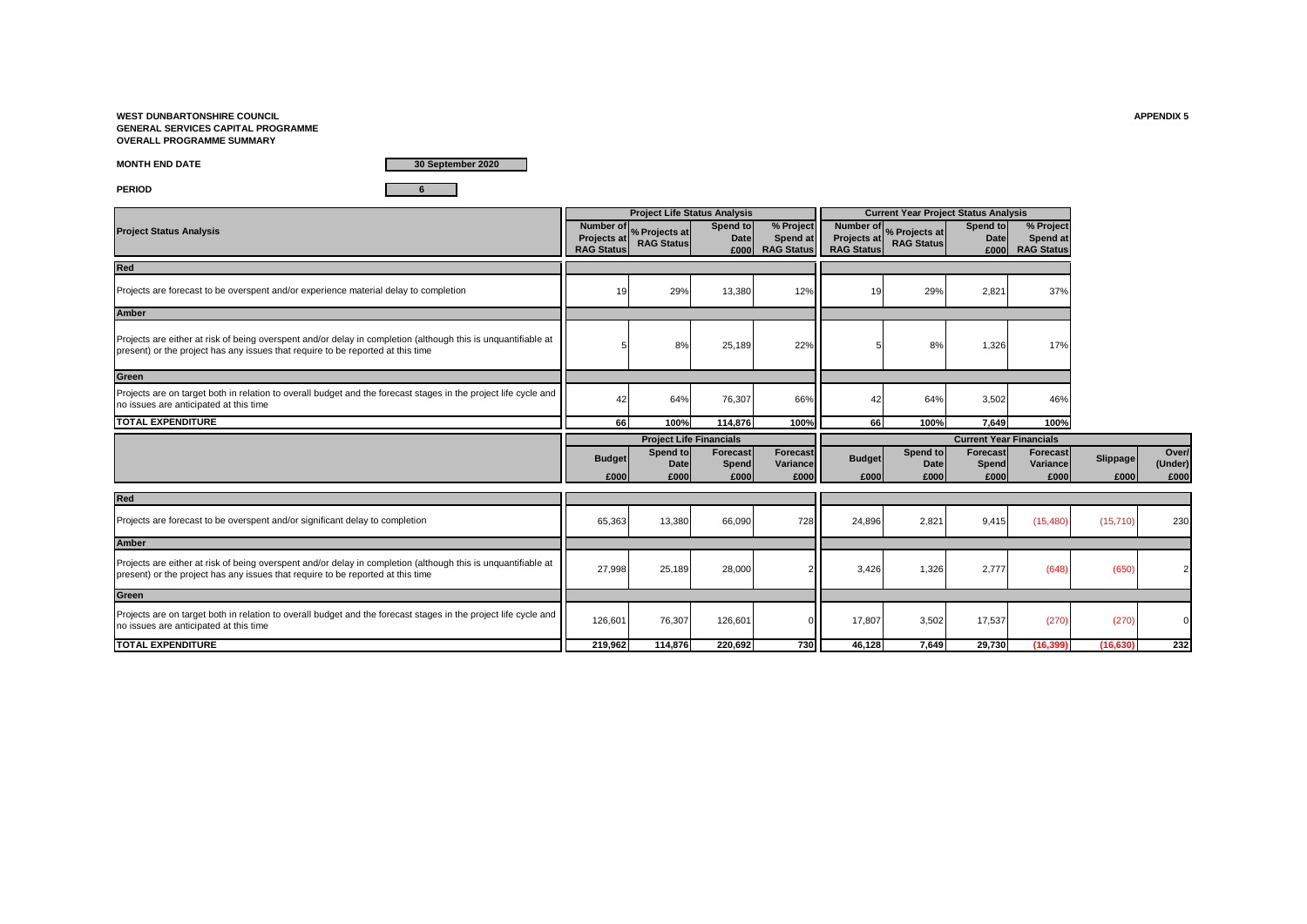**WEST DUNBARTONSHIRE COUNCIL APPENDIX 5 GENERAL SERVICES CAPITAL PROGRAMME OVERALL PROGRAMME SUMMARY**

**MONTH END DATE**

**30 September 2020**

**PERIOD 6**

|                                                                                                                                                                                                  |                                         | <b>Project Life Status Analysis</b>          |                                 |                                            |                                  |                                                         |                                  | <b>Current Year Project Status Analysis</b> |                  |                         |
|--------------------------------------------------------------------------------------------------------------------------------------------------------------------------------------------------|-----------------------------------------|----------------------------------------------|---------------------------------|--------------------------------------------|----------------------------------|---------------------------------------------------------|----------------------------------|---------------------------------------------|------------------|-------------------------|
| <b>Project Status Analysis</b>                                                                                                                                                                   | <b>Projects at</b><br><b>RAG Status</b> | Number of % Projects at<br><b>RAG Status</b> | Spend to<br><b>Date</b><br>£000 | % Project<br>Spend at<br><b>RAG Status</b> | Projects at<br><b>RAG Status</b> | Number of <sub>%</sub> Projects at<br><b>RAG Status</b> | Spend to<br><b>Date</b><br>£000  | % Project<br>Spend at<br><b>RAG Status</b>  |                  |                         |
| Red                                                                                                                                                                                              |                                         |                                              |                                 |                                            |                                  |                                                         |                                  |                                             |                  |                         |
| Projects are forecast to be overspent and/or experience material delay to completion                                                                                                             | 19                                      | 29%                                          | 13,380                          | 12%                                        | 19                               | 29%                                                     | 2,821                            | 37%                                         |                  |                         |
| Amber                                                                                                                                                                                            |                                         |                                              |                                 |                                            |                                  |                                                         |                                  |                                             |                  |                         |
| Projects are either at risk of being overspent and/or delay in completion (although this is unquantifiable at<br>present) or the project has any issues that require to be reported at this time |                                         | 8%                                           | 25,189                          | 22%                                        |                                  | 8%                                                      | 1,326                            | 17%                                         |                  |                         |
| Green                                                                                                                                                                                            |                                         |                                              |                                 |                                            |                                  |                                                         |                                  |                                             |                  |                         |
| Projects are on target both in relation to overall budget and the forecast stages in the project life cycle and<br>no issues are anticipated at this time                                        | 42                                      | 64%                                          | 76,307                          | 66%                                        | 42                               | 64%                                                     | 3,502                            | 46%                                         |                  |                         |
| <b>TOTAL EXPENDITURE</b>                                                                                                                                                                         | 66                                      | 100%                                         | 114.876                         | 100%                                       | 66                               | 100%                                                    | 7.649                            | 100%                                        |                  |                         |
|                                                                                                                                                                                                  |                                         |                                              |                                 |                                            |                                  |                                                         |                                  |                                             |                  |                         |
|                                                                                                                                                                                                  |                                         | <b>Project Life Financials</b>               |                                 |                                            |                                  |                                                         | <b>Current Year Financials</b>   |                                             |                  |                         |
|                                                                                                                                                                                                  | <b>Budget</b><br>£000                   | Spend to<br>Date<br>£000                     | Forecast<br>Spend<br>£000       | Forecast<br>Variance<br>£000               | <b>Budget</b><br>£000            | Spend to<br>Date<br>£000                                | <b>Forecast</b><br>Spend<br>£000 | <b>Forecast</b><br>Variance<br>£000         | Slippage<br>£000 | £000                    |
| Red                                                                                                                                                                                              |                                         |                                              |                                 |                                            |                                  |                                                         |                                  |                                             |                  |                         |
| Projects are forecast to be overspent and/or significant delay to completion                                                                                                                     | 65,363                                  | 13,380                                       | 66,090                          | 728                                        | 24,896                           | 2,821                                                   | 9,415                            | (15, 480)                                   | (15, 710)        |                         |
| <b>Amber</b>                                                                                                                                                                                     |                                         |                                              |                                 |                                            |                                  |                                                         |                                  |                                             |                  | Over/<br>(Under)<br>230 |
| Projects are either at risk of being overspent and/or delay in completion (although this is unquantifiable at<br>present) or the project has any issues that require to be reported at this time | 27,998                                  | 25,189                                       | 28,000                          |                                            | 3,426                            | 1,326                                                   | 2,777                            | (648)                                       | (650)            |                         |
| Green                                                                                                                                                                                            |                                         |                                              |                                 |                                            |                                  |                                                         |                                  |                                             |                  |                         |
| Projects are on target both in relation to overall budget and the forecast stages in the project life cycle and<br>no issues are anticipated at this time                                        | 126,601                                 | 76,307                                       | 126,601                         |                                            | 17,807                           | 3,502                                                   | 17,537                           | (270)                                       | (270)            |                         |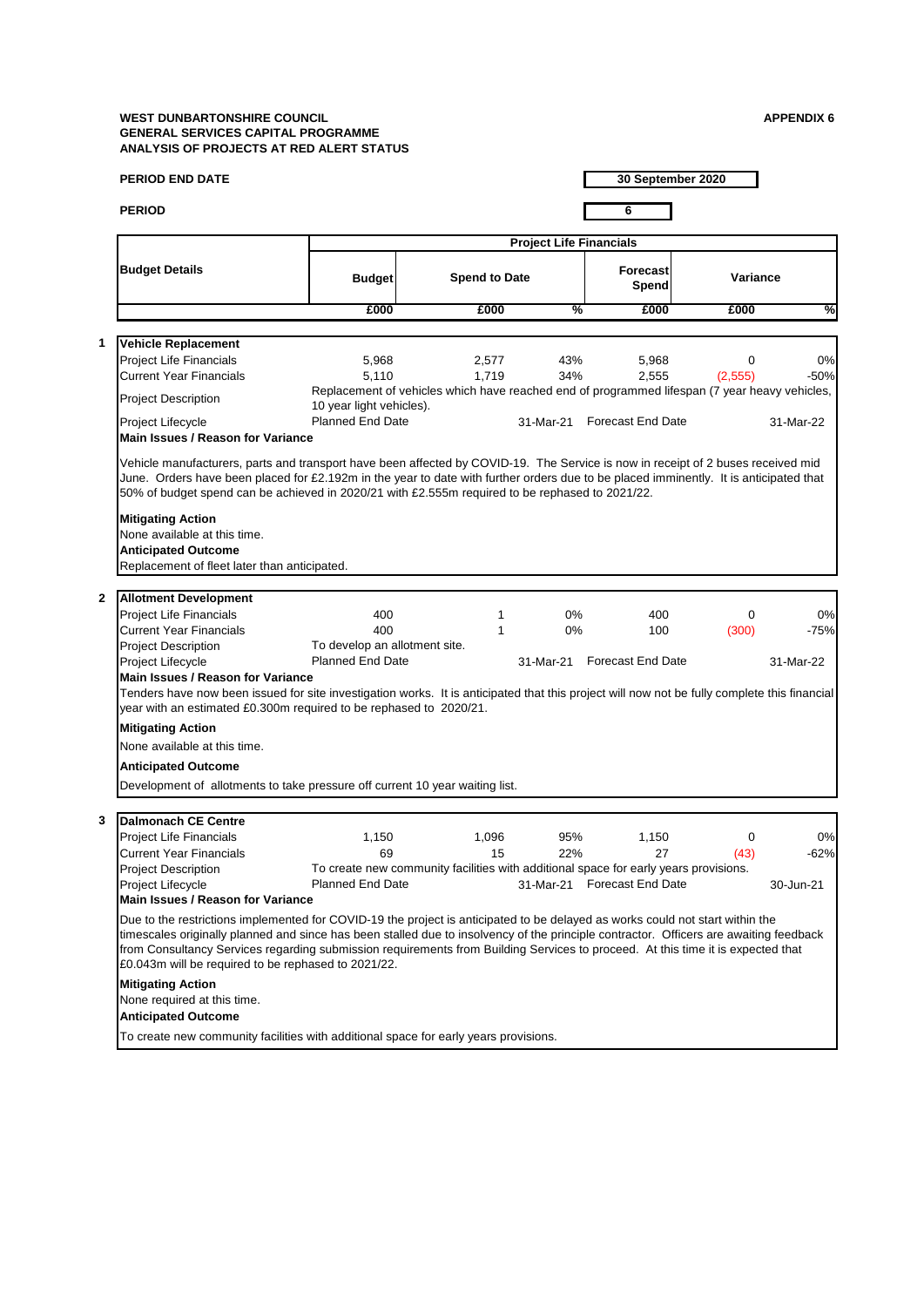|              | <b>PERIOD END DATE</b>                                                                                                                                                                                                                                                                                                                                                                                                                                            |                                                                                                                           |                      |                                | 30 September 2020           |          |           |
|--------------|-------------------------------------------------------------------------------------------------------------------------------------------------------------------------------------------------------------------------------------------------------------------------------------------------------------------------------------------------------------------------------------------------------------------------------------------------------------------|---------------------------------------------------------------------------------------------------------------------------|----------------------|--------------------------------|-----------------------------|----------|-----------|
|              | <b>PERIOD</b>                                                                                                                                                                                                                                                                                                                                                                                                                                                     |                                                                                                                           |                      |                                | 6                           |          |           |
|              |                                                                                                                                                                                                                                                                                                                                                                                                                                                                   |                                                                                                                           |                      |                                |                             |          |           |
|              |                                                                                                                                                                                                                                                                                                                                                                                                                                                                   |                                                                                                                           |                      | <b>Project Life Financials</b> |                             |          |           |
|              | <b>Budget Details</b>                                                                                                                                                                                                                                                                                                                                                                                                                                             | <b>Budget</b>                                                                                                             | <b>Spend to Date</b> |                                | <b>Forecast</b><br>Spend    | Variance |           |
|              |                                                                                                                                                                                                                                                                                                                                                                                                                                                                   | £000                                                                                                                      | £000                 | %                              | £000                        | £000     | %         |
|              |                                                                                                                                                                                                                                                                                                                                                                                                                                                                   |                                                                                                                           |                      |                                |                             |          |           |
| 1            | <b>Vehicle Replacement</b>                                                                                                                                                                                                                                                                                                                                                                                                                                        |                                                                                                                           |                      |                                |                             |          |           |
|              | Project Life Financials                                                                                                                                                                                                                                                                                                                                                                                                                                           | 5,968                                                                                                                     | 2,577                | 43%                            | 5,968                       | 0        | 0%        |
|              | Current Year Financials                                                                                                                                                                                                                                                                                                                                                                                                                                           | 5,110                                                                                                                     | 1,719                | 34%                            | 2,555                       | (2,555)  | $-50%$    |
|              | <b>Project Description</b>                                                                                                                                                                                                                                                                                                                                                                                                                                        | Replacement of vehicles which have reached end of programmed lifespan (7 year heavy vehicles,<br>10 year light vehicles). |                      |                                |                             |          |           |
|              | Project Lifecycle                                                                                                                                                                                                                                                                                                                                                                                                                                                 | <b>Planned End Date</b>                                                                                                   |                      | 31-Mar-21                      | <b>Forecast End Date</b>    |          | 31-Mar-22 |
|              | <b>Main Issues / Reason for Variance</b>                                                                                                                                                                                                                                                                                                                                                                                                                          |                                                                                                                           |                      |                                |                             |          |           |
|              | Vehicle manufacturers, parts and transport have been affected by COVID-19. The Service is now in receipt of 2 buses received mid<br>June. Orders have been placed for £2.192m in the year to date with further orders due to be placed imminently. It is anticipated that<br>50% of budget spend can be achieved in 2020/21 with £2.555m required to be rephased to 2021/22.                                                                                      |                                                                                                                           |                      |                                |                             |          |           |
|              | <b>Mitigating Action</b><br>None available at this time.                                                                                                                                                                                                                                                                                                                                                                                                          |                                                                                                                           |                      |                                |                             |          |           |
|              | <b>Anticipated Outcome</b>                                                                                                                                                                                                                                                                                                                                                                                                                                        |                                                                                                                           |                      |                                |                             |          |           |
|              | Replacement of fleet later than anticipated.                                                                                                                                                                                                                                                                                                                                                                                                                      |                                                                                                                           |                      |                                |                             |          |           |
|              |                                                                                                                                                                                                                                                                                                                                                                                                                                                                   |                                                                                                                           |                      |                                |                             |          |           |
| $\mathbf{2}$ | <b>Allotment Development</b>                                                                                                                                                                                                                                                                                                                                                                                                                                      |                                                                                                                           |                      |                                |                             |          |           |
|              | <b>Project Life Financials</b>                                                                                                                                                                                                                                                                                                                                                                                                                                    | 400                                                                                                                       | 1                    | 0%                             | 400                         | 0        | 0%        |
|              | <b>Current Year Financials</b>                                                                                                                                                                                                                                                                                                                                                                                                                                    | 400                                                                                                                       | 1                    | 0%                             | 100                         | (300)    | $-75%$    |
|              | Project Description                                                                                                                                                                                                                                                                                                                                                                                                                                               | To develop an allotment site.                                                                                             |                      |                                |                             |          |           |
|              | Project Lifecycle                                                                                                                                                                                                                                                                                                                                                                                                                                                 | <b>Planned End Date</b>                                                                                                   |                      | 31-Mar-21                      | <b>Forecast End Date</b>    |          | 31-Mar-22 |
|              | <b>Main Issues / Reason for Variance</b>                                                                                                                                                                                                                                                                                                                                                                                                                          |                                                                                                                           |                      |                                |                             |          |           |
|              | Tenders have now been issued for site investigation works. It is anticipated that this project will now not be fully complete this financial<br>year with an estimated £0.300m required to be rephased to 2020/21.                                                                                                                                                                                                                                                |                                                                                                                           |                      |                                |                             |          |           |
|              | <b>Mitigating Action</b>                                                                                                                                                                                                                                                                                                                                                                                                                                          |                                                                                                                           |                      |                                |                             |          |           |
|              | None available at this time.                                                                                                                                                                                                                                                                                                                                                                                                                                      |                                                                                                                           |                      |                                |                             |          |           |
|              | <b>Anticipated Outcome</b>                                                                                                                                                                                                                                                                                                                                                                                                                                        |                                                                                                                           |                      |                                |                             |          |           |
|              | Development of allotments to take pressure off current 10 year waiting list.                                                                                                                                                                                                                                                                                                                                                                                      |                                                                                                                           |                      |                                |                             |          |           |
|              |                                                                                                                                                                                                                                                                                                                                                                                                                                                                   |                                                                                                                           |                      |                                |                             |          |           |
| 3            | <b>Dalmonach CE Centre</b>                                                                                                                                                                                                                                                                                                                                                                                                                                        |                                                                                                                           |                      |                                |                             |          |           |
|              | Project Life Financials                                                                                                                                                                                                                                                                                                                                                                                                                                           | 1,150                                                                                                                     | 1,096                | 95%                            | 1,150                       | 0        | 0%        |
|              | <b>Current Year Financials</b>                                                                                                                                                                                                                                                                                                                                                                                                                                    | 69                                                                                                                        | 15                   | 22%                            | 27                          | (43)     | $-62%$    |
|              | <b>Project Description</b>                                                                                                                                                                                                                                                                                                                                                                                                                                        | To create new community facilities with additional space for early years provisions.                                      |                      |                                |                             |          |           |
|              | Project Lifecycle                                                                                                                                                                                                                                                                                                                                                                                                                                                 | <b>Planned End Date</b>                                                                                                   |                      |                                | 31-Mar-21 Forecast End Date |          | 30-Jun-21 |
|              | <b>Main Issues / Reason for Variance</b>                                                                                                                                                                                                                                                                                                                                                                                                                          |                                                                                                                           |                      |                                |                             |          |           |
|              | Due to the restrictions implemented for COVID-19 the project is anticipated to be delayed as works could not start within the<br>timescales originally planned and since has been stalled due to insolvency of the principle contractor. Officers are awaiting feedback<br>from Consultancy Services regarding submission requirements from Building Services to proceed. At this time it is expected that<br>£0.043m will be required to be rephased to 2021/22. |                                                                                                                           |                      |                                |                             |          |           |
|              | <b>Mitigating Action</b>                                                                                                                                                                                                                                                                                                                                                                                                                                          |                                                                                                                           |                      |                                |                             |          |           |
|              | None required at this time.                                                                                                                                                                                                                                                                                                                                                                                                                                       |                                                                                                                           |                      |                                |                             |          |           |
|              | <b>Anticipated Outcome</b>                                                                                                                                                                                                                                                                                                                                                                                                                                        |                                                                                                                           |                      |                                |                             |          |           |
|              | To create new community facilities with additional space for early years provisions.                                                                                                                                                                                                                                                                                                                                                                              |                                                                                                                           |                      |                                |                             |          |           |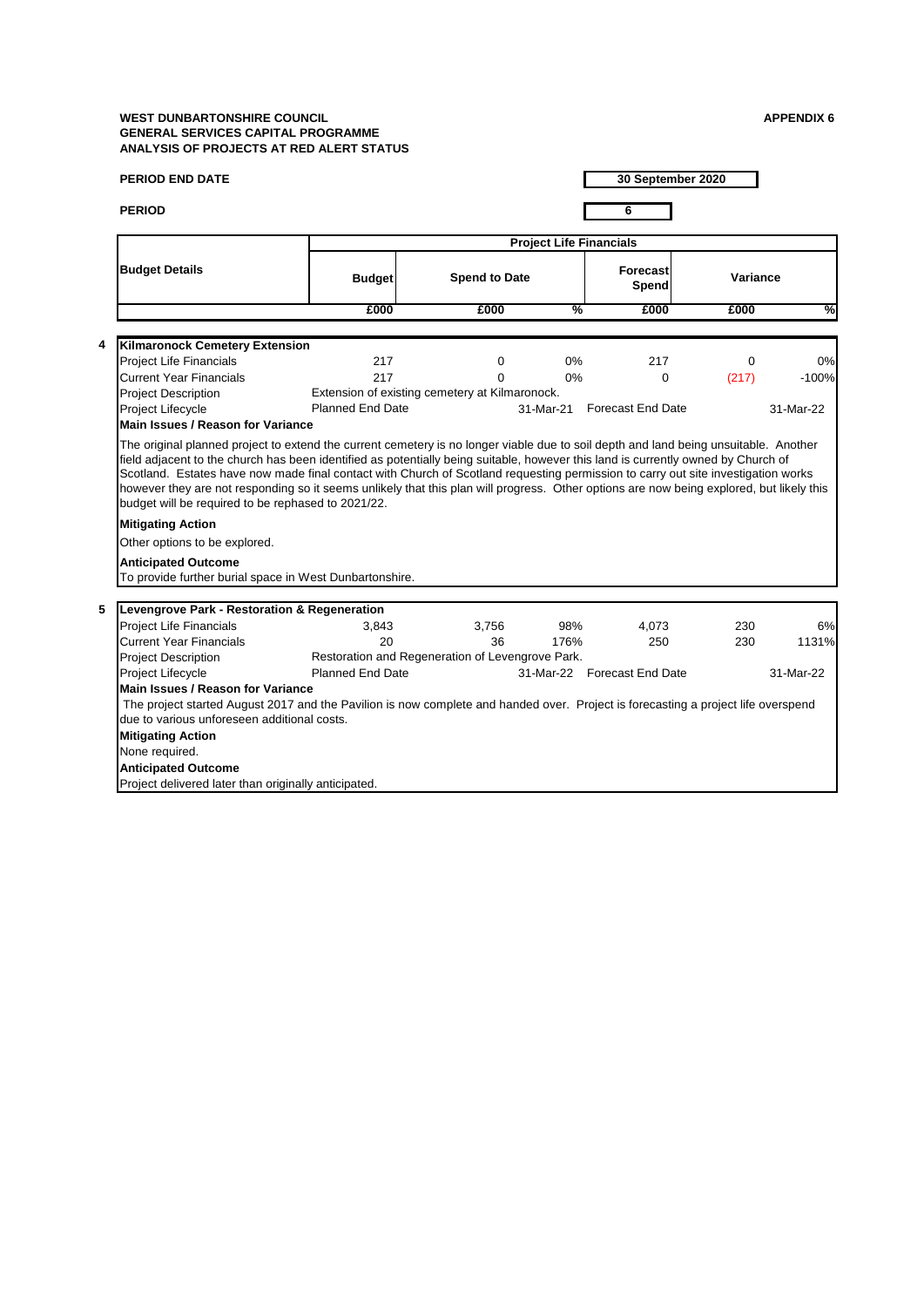| <b>PERIOD END DATE</b>                                                         |                                                                                                                                   |                      |                                | 30 September 2020           |          |           |
|--------------------------------------------------------------------------------|-----------------------------------------------------------------------------------------------------------------------------------|----------------------|--------------------------------|-----------------------------|----------|-----------|
| <b>PERIOD</b>                                                                  |                                                                                                                                   |                      |                                | 6                           |          |           |
|                                                                                |                                                                                                                                   |                      | <b>Project Life Financials</b> |                             |          |           |
| <b>Budget Details</b>                                                          | <b>Budget</b>                                                                                                                     | <b>Spend to Date</b> |                                | <b>Forecast</b><br>Spend    | Variance |           |
|                                                                                | £000                                                                                                                              | £000                 | %                              | £000                        | £000     | %         |
| 4<br>Kilmaronock Cemetery Extension                                            |                                                                                                                                   |                      |                                |                             |          |           |
| <b>Project Life Financials</b>                                                 | 217                                                                                                                               | 0                    | 0%                             | 217                         | $\Omega$ | 0%        |
| <b>Current Year Financials</b>                                                 | 217                                                                                                                               | 0                    | 0%                             | $\Omega$                    | (217)    | $-100%$   |
| <b>Project Description</b>                                                     | Extension of existing cemetery at Kilmaronock.                                                                                    |                      |                                |                             |          |           |
| Project Lifecycle                                                              | <b>Planned End Date</b>                                                                                                           |                      |                                | 31-Mar-21 Forecast End Date |          | 31-Mar-22 |
| <b>Main Issues / Reason for Variance</b>                                       |                                                                                                                                   |                      |                                |                             |          |           |
| budget will be required to be rephased to 2021/22.<br><b>Mitigating Action</b> |                                                                                                                                   |                      |                                |                             |          |           |
| Other options to be explored.                                                  |                                                                                                                                   |                      |                                |                             |          |           |
| <b>Anticipated Outcome</b>                                                     |                                                                                                                                   |                      |                                |                             |          |           |
|                                                                                | To provide further burial space in West Dunbartonshire.                                                                           |                      |                                |                             |          |           |
| 5                                                                              |                                                                                                                                   |                      |                                |                             |          |           |
| Levengrove Park - Restoration & Regeneration                                   |                                                                                                                                   |                      | 98%                            |                             | 230      | 6%        |
| <b>Project Life Financials</b><br><b>Current Year Financials</b>               | 3,843<br>20                                                                                                                       | 3,756<br>36          | 176%                           | 4,073<br>250                | 230      | 1131%     |
| <b>Project Description</b>                                                     | Restoration and Regeneration of Levengrove Park.                                                                                  |                      |                                |                             |          |           |
| <b>Project Lifecycle</b>                                                       | <b>Planned End Date</b>                                                                                                           |                      |                                | 31-Mar-22 Forecast End Date |          | 31-Mar-22 |
| <b>Main Issues / Reason for Variance</b>                                       |                                                                                                                                   |                      |                                |                             |          |           |
|                                                                                | The project started August 2017 and the Pavilion is now complete and handed over. Project is forecasting a project life overspend |                      |                                |                             |          |           |
| due to various unforeseen additional costs.                                    |                                                                                                                                   |                      |                                |                             |          |           |
| <b>Mitigating Action</b>                                                       |                                                                                                                                   |                      |                                |                             |          |           |
| None required.                                                                 |                                                                                                                                   |                      |                                |                             |          |           |
| <b>Anticipated Outcome</b>                                                     |                                                                                                                                   |                      |                                |                             |          |           |
| Project delivered later than originally anticipated.                           |                                                                                                                                   |                      |                                |                             |          |           |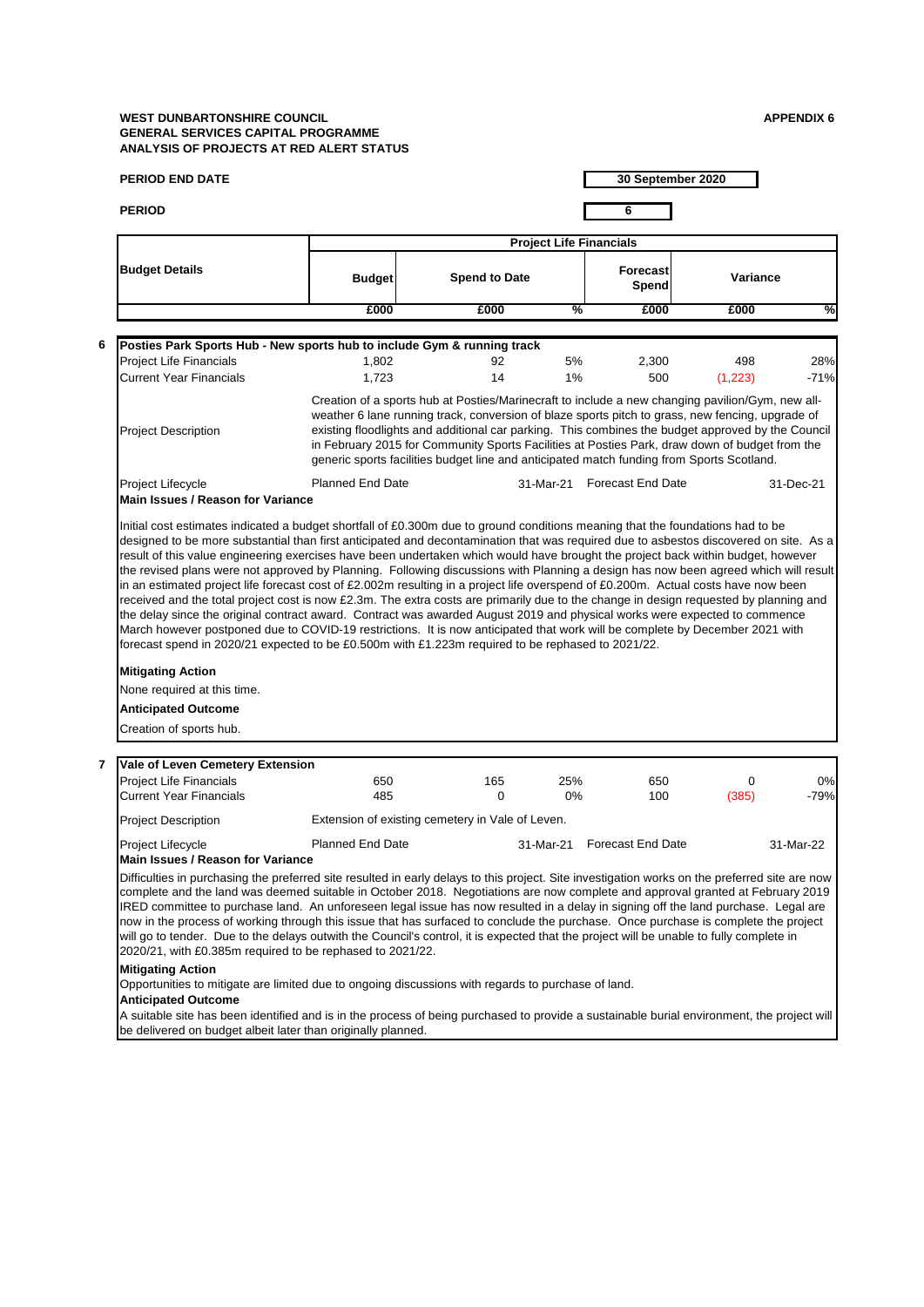**6**

**7**

| <b>PERIOD END DATE</b>                                                                                                                                                                                                                                                                                                                                                                                                                                                                                                                                                                                                                                                                                                                                                                                                                                                                                    |                                                                                                                                                                                                                                                                                                                                                                                                                                                                                                          |                      |                                |                          | 30 September 2020 |              |  |  |
|-----------------------------------------------------------------------------------------------------------------------------------------------------------------------------------------------------------------------------------------------------------------------------------------------------------------------------------------------------------------------------------------------------------------------------------------------------------------------------------------------------------------------------------------------------------------------------------------------------------------------------------------------------------------------------------------------------------------------------------------------------------------------------------------------------------------------------------------------------------------------------------------------------------|----------------------------------------------------------------------------------------------------------------------------------------------------------------------------------------------------------------------------------------------------------------------------------------------------------------------------------------------------------------------------------------------------------------------------------------------------------------------------------------------------------|----------------------|--------------------------------|--------------------------|-------------------|--------------|--|--|
| <b>PERIOD</b>                                                                                                                                                                                                                                                                                                                                                                                                                                                                                                                                                                                                                                                                                                                                                                                                                                                                                             |                                                                                                                                                                                                                                                                                                                                                                                                                                                                                                          |                      | 6                              |                          |                   |              |  |  |
|                                                                                                                                                                                                                                                                                                                                                                                                                                                                                                                                                                                                                                                                                                                                                                                                                                                                                                           |                                                                                                                                                                                                                                                                                                                                                                                                                                                                                                          |                      |                                |                          |                   |              |  |  |
|                                                                                                                                                                                                                                                                                                                                                                                                                                                                                                                                                                                                                                                                                                                                                                                                                                                                                                           |                                                                                                                                                                                                                                                                                                                                                                                                                                                                                                          |                      | <b>Project Life Financials</b> |                          |                   |              |  |  |
| <b>Budget Details</b>                                                                                                                                                                                                                                                                                                                                                                                                                                                                                                                                                                                                                                                                                                                                                                                                                                                                                     | <b>Budget</b>                                                                                                                                                                                                                                                                                                                                                                                                                                                                                            | <b>Spend to Date</b> |                                | <b>Forecast</b><br>Spend | Variance          |              |  |  |
|                                                                                                                                                                                                                                                                                                                                                                                                                                                                                                                                                                                                                                                                                                                                                                                                                                                                                                           | £000                                                                                                                                                                                                                                                                                                                                                                                                                                                                                                     | £000                 | %                              | £000                     | £000              | %            |  |  |
|                                                                                                                                                                                                                                                                                                                                                                                                                                                                                                                                                                                                                                                                                                                                                                                                                                                                                                           |                                                                                                                                                                                                                                                                                                                                                                                                                                                                                                          |                      |                                |                          |                   |              |  |  |
| Posties Park Sports Hub - New sports hub to include Gym & running track                                                                                                                                                                                                                                                                                                                                                                                                                                                                                                                                                                                                                                                                                                                                                                                                                                   |                                                                                                                                                                                                                                                                                                                                                                                                                                                                                                          |                      |                                |                          |                   |              |  |  |
| <b>Project Life Financials</b>                                                                                                                                                                                                                                                                                                                                                                                                                                                                                                                                                                                                                                                                                                                                                                                                                                                                            | 1,802                                                                                                                                                                                                                                                                                                                                                                                                                                                                                                    | 92<br>14             | 5%                             | 2,300                    | 498               | 28%          |  |  |
| <b>Current Year Financials</b>                                                                                                                                                                                                                                                                                                                                                                                                                                                                                                                                                                                                                                                                                                                                                                                                                                                                            | 1,723                                                                                                                                                                                                                                                                                                                                                                                                                                                                                                    |                      | 1%                             | 500                      | (1,223)           | $-71%$       |  |  |
| <b>Project Description</b>                                                                                                                                                                                                                                                                                                                                                                                                                                                                                                                                                                                                                                                                                                                                                                                                                                                                                | Creation of a sports hub at Posties/Marinecraft to include a new changing pavilion/Gym, new all-<br>weather 6 lane running track, conversion of blaze sports pitch to grass, new fencing, upgrade of<br>existing floodlights and additional car parking. This combines the budget approved by the Council<br>in February 2015 for Community Sports Facilities at Posties Park, draw down of budget from the<br>generic sports facilities budget line and anticipated match funding from Sports Scotland. |                      |                                |                          |                   |              |  |  |
| Project Lifecycle<br><b>Main Issues / Reason for Variance</b>                                                                                                                                                                                                                                                                                                                                                                                                                                                                                                                                                                                                                                                                                                                                                                                                                                             | <b>Planned End Date</b>                                                                                                                                                                                                                                                                                                                                                                                                                                                                                  |                      | 31-Mar-21                      | <b>Forecast End Date</b> |                   | 31-Dec-21    |  |  |
| the revised plans were not approved by Planning. Following discussions with Planning a design has now been agreed which will result<br>in an estimated project life forecast cost of £2.002m resulting in a project life overspend of £0.200m. Actual costs have now been<br>received and the total project cost is now £2.3m. The extra costs are primarily due to the change in design requested by planning and<br>the delay since the original contract award. Contract was awarded August 2019 and physical works were expected to commence<br>March however postponed due to COVID-19 restrictions. It is now anticipated that work will be complete by December 2021 with<br>forecast spend in 2020/21 expected to be £0.500m with £1.223m required to be rephased to 2021/22.<br><b>Mitigating Action</b><br>None required at this time.<br><b>Anticipated Outcome</b><br>Creation of sports hub. |                                                                                                                                                                                                                                                                                                                                                                                                                                                                                                          |                      |                                |                          |                   |              |  |  |
|                                                                                                                                                                                                                                                                                                                                                                                                                                                                                                                                                                                                                                                                                                                                                                                                                                                                                                           |                                                                                                                                                                                                                                                                                                                                                                                                                                                                                                          |                      |                                |                          |                   |              |  |  |
| Vale of Leven Cemetery Extension                                                                                                                                                                                                                                                                                                                                                                                                                                                                                                                                                                                                                                                                                                                                                                                                                                                                          |                                                                                                                                                                                                                                                                                                                                                                                                                                                                                                          |                      |                                |                          |                   |              |  |  |
| <b>Project Life Financials</b><br><b>Current Year Financials</b>                                                                                                                                                                                                                                                                                                                                                                                                                                                                                                                                                                                                                                                                                                                                                                                                                                          | 650<br>485                                                                                                                                                                                                                                                                                                                                                                                                                                                                                               | 165<br>0             | 25%<br>0%                      | 650<br>100               | 0<br>(385)        | 0%<br>$-79%$ |  |  |
|                                                                                                                                                                                                                                                                                                                                                                                                                                                                                                                                                                                                                                                                                                                                                                                                                                                                                                           |                                                                                                                                                                                                                                                                                                                                                                                                                                                                                                          |                      |                                |                          |                   |              |  |  |
| Project Description                                                                                                                                                                                                                                                                                                                                                                                                                                                                                                                                                                                                                                                                                                                                                                                                                                                                                       | Extension of existing cemetery in Vale of Leven.                                                                                                                                                                                                                                                                                                                                                                                                                                                         |                      |                                |                          |                   |              |  |  |
| Project Lifecycle<br><b>Main Issues / Reason for Variance</b>                                                                                                                                                                                                                                                                                                                                                                                                                                                                                                                                                                                                                                                                                                                                                                                                                                             | <b>Planned End Date</b>                                                                                                                                                                                                                                                                                                                                                                                                                                                                                  |                      | 31-Mar-21                      | <b>Forecast End Date</b> |                   | 31-Mar-22    |  |  |
| Difficulties in purchasing the preferred site resulted in early delays to this project. Site investigation works on the preferred site are now<br>complete and the land was deemed suitable in October 2018. Negotiations are now complete and approval granted at February 2019<br>IRED committee to purchase land. An unforeseen legal issue has now resulted in a delay in signing off the land purchase. Legal are<br>now in the process of working through this issue that has surfaced to conclude the purchase. Once purchase is complete the project<br>will go to tender. Due to the delays outwith the Council's control, it is expected that the project will be unable to fully complete in<br>2020/21, with £0.385m required to be rephased to 2021/22.<br><b>Mitigating Action</b><br>Opportunities to mitigate are limited due to ongoing discussions with regards to purchase of land.    |                                                                                                                                                                                                                                                                                                                                                                                                                                                                                                          |                      |                                |                          |                   |              |  |  |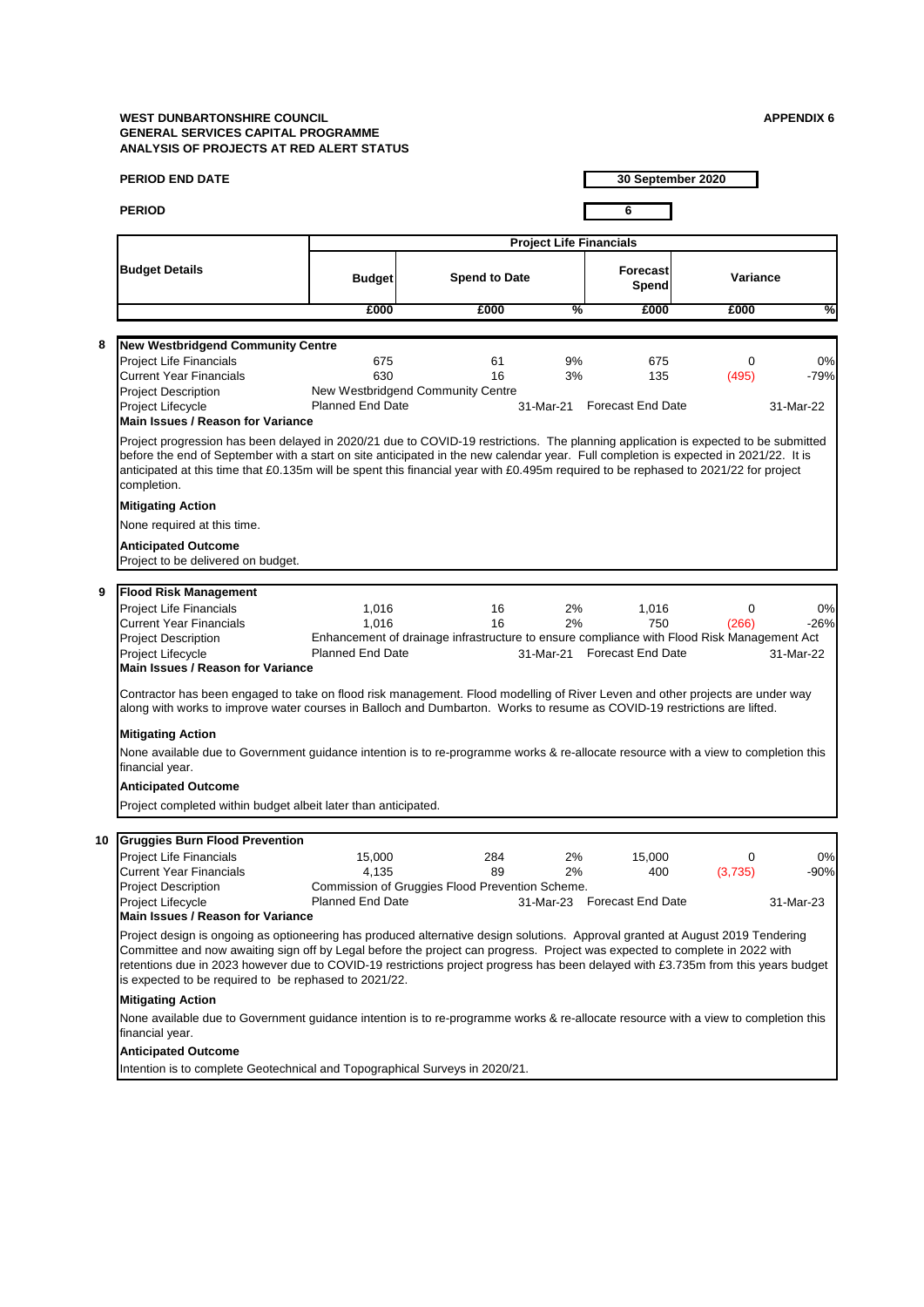| <b>PERIOD</b><br>6<br><b>Project Life Financials</b><br><b>Budget Details</b><br><b>Forecast</b><br><b>Spend to Date</b><br><b>Budget</b><br>Spend<br>£000<br>%<br>£000<br>£000<br>8<br><b>New Westbridgend Community Centre</b><br><b>Project Life Financials</b><br>675<br>61<br>9%<br>675<br><b>Current Year Financials</b><br>630<br>16<br>3%<br>135                                                                                                    | Variance<br>£000<br>0<br>(495) | ℅      |
|-------------------------------------------------------------------------------------------------------------------------------------------------------------------------------------------------------------------------------------------------------------------------------------------------------------------------------------------------------------------------------------------------------------------------------------------------------------|--------------------------------|--------|
|                                                                                                                                                                                                                                                                                                                                                                                                                                                             |                                |        |
|                                                                                                                                                                                                                                                                                                                                                                                                                                                             |                                |        |
|                                                                                                                                                                                                                                                                                                                                                                                                                                                             |                                |        |
|                                                                                                                                                                                                                                                                                                                                                                                                                                                             |                                |        |
|                                                                                                                                                                                                                                                                                                                                                                                                                                                             |                                |        |
|                                                                                                                                                                                                                                                                                                                                                                                                                                                             |                                |        |
|                                                                                                                                                                                                                                                                                                                                                                                                                                                             |                                | 0%     |
|                                                                                                                                                                                                                                                                                                                                                                                                                                                             |                                | $-79%$ |
| New Westbridgend Community Centre<br><b>Project Description</b><br><b>Planned End Date</b><br>Project Lifecycle<br><b>Forecast End Date</b><br>31-Mar-21                                                                                                                                                                                                                                                                                                    | 31-Mar-22                      |        |
| <b>Main Issues / Reason for Variance</b>                                                                                                                                                                                                                                                                                                                                                                                                                    |                                |        |
| Project progression has been delayed in 2020/21 due to COVID-19 restrictions. The planning application is expected to be submitted<br>before the end of September with a start on site anticipated in the new calendar year. Full completion is expected in 2021/22. It is<br>anticipated at this time that £0.135m will be spent this financial year with £0.495m required to be rephased to 2021/22 for project<br>completion.                            |                                |        |
| <b>Mitigating Action</b>                                                                                                                                                                                                                                                                                                                                                                                                                                    |                                |        |
| None required at this time.                                                                                                                                                                                                                                                                                                                                                                                                                                 |                                |        |
| <b>Anticipated Outcome</b>                                                                                                                                                                                                                                                                                                                                                                                                                                  |                                |        |
| Project to be delivered on budget.                                                                                                                                                                                                                                                                                                                                                                                                                          |                                |        |
| 9<br><b>Flood Risk Management</b>                                                                                                                                                                                                                                                                                                                                                                                                                           |                                |        |
| <b>Project Life Financials</b><br>2%<br>1,016<br>16<br>1,016                                                                                                                                                                                                                                                                                                                                                                                                | $\mathbf 0$                    | 0%     |
| 16<br>750<br><b>Current Year Financials</b><br>1,016<br>2%                                                                                                                                                                                                                                                                                                                                                                                                  | (266)                          | $-26%$ |
| Enhancement of drainage infrastructure to ensure compliance with Flood Risk Management Act<br><b>Project Description</b><br><b>Planned End Date</b><br><b>Forecast End Date</b><br>Project Lifecycle<br>31-Mar-21<br>Main Issues / Reason for Variance                                                                                                                                                                                                      | 31-Mar-22                      |        |
| Contractor has been engaged to take on flood risk management. Flood modelling of River Leven and other projects are under way<br>along with works to improve water courses in Balloch and Dumbarton. Works to resume as COVID-19 restrictions are lifted.                                                                                                                                                                                                   |                                |        |
| <b>Mitigating Action</b>                                                                                                                                                                                                                                                                                                                                                                                                                                    |                                |        |
| None available due to Government guidance intention is to re-programme works & re-allocate resource with a view to completion this<br>financial year.                                                                                                                                                                                                                                                                                                       |                                |        |
| <b>Anticipated Outcome</b>                                                                                                                                                                                                                                                                                                                                                                                                                                  |                                |        |
| Project completed within budget albeit later than anticipated.                                                                                                                                                                                                                                                                                                                                                                                              |                                |        |
|                                                                                                                                                                                                                                                                                                                                                                                                                                                             |                                |        |
| <b>Gruggies Burn Flood Prevention</b><br>10<br><b>Project Life Financials</b><br>15,000<br>2%<br>284<br>15,000                                                                                                                                                                                                                                                                                                                                              | 0                              | 0%     |
| Current Year Financials<br>4,135<br>2%<br>400<br>89                                                                                                                                                                                                                                                                                                                                                                                                         | (3,735)                        | $-90%$ |
| Commission of Gruggies Flood Prevention Scheme.<br><b>Project Description</b>                                                                                                                                                                                                                                                                                                                                                                               |                                |        |
| <b>Planned End Date</b><br>31-Mar-23 Forecast End Date<br>Project Lifecycle<br><b>Main Issues / Reason for Variance</b>                                                                                                                                                                                                                                                                                                                                     | 31-Mar-23                      |        |
| Project design is ongoing as optioneering has produced alternative design solutions. Approval granted at August 2019 Tendering<br>Committee and now awaiting sign off by Legal before the project can progress. Project was expected to complete in 2022 with<br>retentions due in 2023 however due to COVID-19 restrictions project progress has been delayed with £3.735m from this years budget<br>is expected to be required to be rephased to 2021/22. |                                |        |
| <b>Mitigating Action</b>                                                                                                                                                                                                                                                                                                                                                                                                                                    |                                |        |
| None available due to Government guidance intention is to re-programme works & re-allocate resource with a view to completion this<br>financial year.                                                                                                                                                                                                                                                                                                       |                                |        |
| <b>Anticipated Outcome</b>                                                                                                                                                                                                                                                                                                                                                                                                                                  |                                |        |
| Intention is to complete Geotechnical and Topographical Surveys in 2020/21.                                                                                                                                                                                                                                                                                                                                                                                 |                                |        |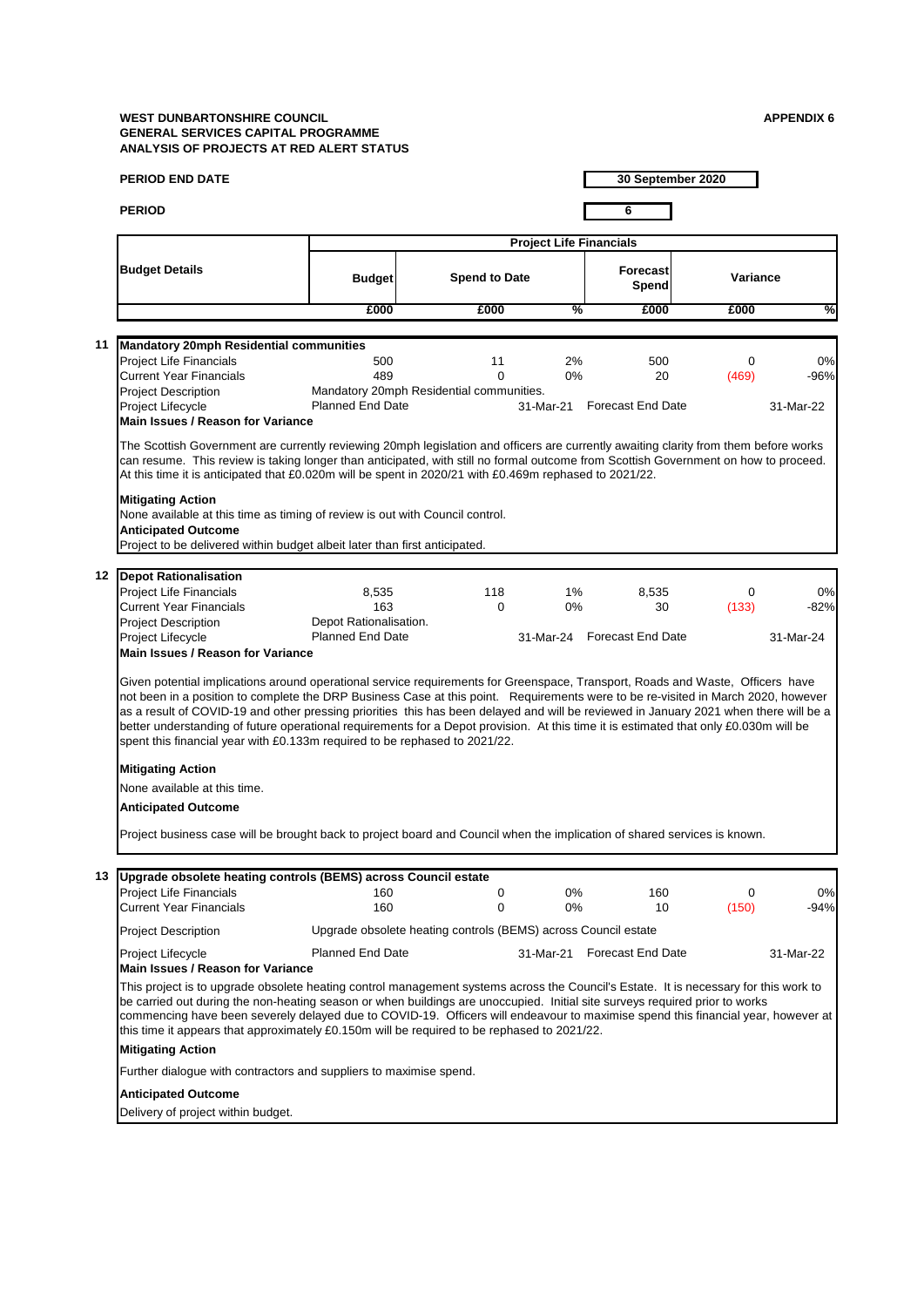|    | <b>PERIOD END DATE</b>                                                                                                                                                                                                                                                                                                                                                                                                                                                                                                                                                                                                                                          |                         |                                                                |                                | 30 September 2020           |             |           |
|----|-----------------------------------------------------------------------------------------------------------------------------------------------------------------------------------------------------------------------------------------------------------------------------------------------------------------------------------------------------------------------------------------------------------------------------------------------------------------------------------------------------------------------------------------------------------------------------------------------------------------------------------------------------------------|-------------------------|----------------------------------------------------------------|--------------------------------|-----------------------------|-------------|-----------|
|    | <b>PERIOD</b>                                                                                                                                                                                                                                                                                                                                                                                                                                                                                                                                                                                                                                                   |                         |                                                                |                                | 6                           |             |           |
|    |                                                                                                                                                                                                                                                                                                                                                                                                                                                                                                                                                                                                                                                                 |                         |                                                                | <b>Project Life Financials</b> |                             |             |           |
|    | <b>Budget Details</b>                                                                                                                                                                                                                                                                                                                                                                                                                                                                                                                                                                                                                                           | <b>Budget</b>           | <b>Spend to Date</b>                                           |                                | <b>Forecast</b><br>Spend    | Variance    |           |
|    |                                                                                                                                                                                                                                                                                                                                                                                                                                                                                                                                                                                                                                                                 | £000                    | £000                                                           | %                              | £000                        | £000        | %         |
|    |                                                                                                                                                                                                                                                                                                                                                                                                                                                                                                                                                                                                                                                                 |                         |                                                                |                                |                             |             |           |
| 11 | <b>Mandatory 20mph Residential communities</b><br><b>Project Life Financials</b>                                                                                                                                                                                                                                                                                                                                                                                                                                                                                                                                                                                | 500                     | 11                                                             | 2%                             | 500                         | $\mathbf 0$ | 0%        |
|    | <b>Current Year Financials</b>                                                                                                                                                                                                                                                                                                                                                                                                                                                                                                                                                                                                                                  | 489                     | $\Omega$                                                       | $0\%$                          | 20                          | (469)       | $-96%$    |
|    | <b>Project Description</b>                                                                                                                                                                                                                                                                                                                                                                                                                                                                                                                                                                                                                                      |                         | Mandatory 20mph Residential communities.                       |                                |                             |             |           |
|    | Project Lifecycle<br><b>Main Issues / Reason for Variance</b>                                                                                                                                                                                                                                                                                                                                                                                                                                                                                                                                                                                                   | <b>Planned End Date</b> |                                                                |                                | 31-Mar-21 Forecast End Date |             | 31-Mar-22 |
|    | The Scottish Government are currently reviewing 20mph legislation and officers are currently awaiting clarity from them before works<br>can resume. This review is taking longer than anticipated, with still no formal outcome from Scottish Government on how to proceed.<br>At this time it is anticipated that £0.020m will be spent in 2020/21 with £0.469m rephased to 2021/22.                                                                                                                                                                                                                                                                           |                         |                                                                |                                |                             |             |           |
|    | <b>Mitigating Action</b><br>None available at this time as timing of review is out with Council control.<br><b>Anticipated Outcome</b><br>Project to be delivered within budget albeit later than first anticipated.                                                                                                                                                                                                                                                                                                                                                                                                                                            |                         |                                                                |                                |                             |             |           |
|    | 12 Depot Rationalisation                                                                                                                                                                                                                                                                                                                                                                                                                                                                                                                                                                                                                                        |                         |                                                                |                                |                             |             |           |
|    | Project Life Financials                                                                                                                                                                                                                                                                                                                                                                                                                                                                                                                                                                                                                                         | 8,535                   | 118                                                            | 1%                             | 8,535                       | 0           | 0%        |
|    | Current Year Financials                                                                                                                                                                                                                                                                                                                                                                                                                                                                                                                                                                                                                                         | 163                     | $\Omega$                                                       | $0\%$                          | 30                          | (133)       | $-82%$    |
|    | <b>Project Description</b>                                                                                                                                                                                                                                                                                                                                                                                                                                                                                                                                                                                                                                      | Depot Rationalisation.  |                                                                |                                |                             |             |           |
|    | Project Lifecycle<br><b>Main Issues / Reason for Variance</b>                                                                                                                                                                                                                                                                                                                                                                                                                                                                                                                                                                                                   | <b>Planned End Date</b> |                                                                |                                | 31-Mar-24 Forecast End Date |             | 31-Mar-24 |
|    | Given potential implications around operational service requirements for Greenspace, Transport, Roads and Waste, Officers have<br>not been in a position to complete the DRP Business Case at this point. Requirements were to be re-visited in March 2020, however<br>as a result of COVID-19 and other pressing priorities this has been delayed and will be reviewed in January 2021 when there will be a<br>better understanding of future operational requirements for a Depot provision. At this time it is estimated that only £0.030m will be<br>spent this financial year with £0.133m required to be rephased to 2021/22.<br><b>Mitigating Action</b> |                         |                                                                |                                |                             |             |           |
|    | None available at this time.                                                                                                                                                                                                                                                                                                                                                                                                                                                                                                                                                                                                                                    |                         |                                                                |                                |                             |             |           |
|    | <b>Anticipated Outcome</b>                                                                                                                                                                                                                                                                                                                                                                                                                                                                                                                                                                                                                                      |                         |                                                                |                                |                             |             |           |
|    | Project business case will be brought back to project board and Council when the implication of shared services is known.                                                                                                                                                                                                                                                                                                                                                                                                                                                                                                                                       |                         |                                                                |                                |                             |             |           |
|    |                                                                                                                                                                                                                                                                                                                                                                                                                                                                                                                                                                                                                                                                 |                         |                                                                |                                |                             |             |           |
| 13 | Upgrade obsolete heating controls (BEMS) across Council estate<br><b>Project Life Financials</b>                                                                                                                                                                                                                                                                                                                                                                                                                                                                                                                                                                | 160                     | 0                                                              | 0%                             | 160                         | 0           | 0%        |
|    | <b>Current Year Financials</b>                                                                                                                                                                                                                                                                                                                                                                                                                                                                                                                                                                                                                                  | 160                     | $\mathbf 0$                                                    | 0%                             | 10                          | (150)       | $-94%$    |
|    | Project Description                                                                                                                                                                                                                                                                                                                                                                                                                                                                                                                                                                                                                                             |                         | Upgrade obsolete heating controls (BEMS) across Council estate |                                |                             |             |           |
|    | Project Lifecycle<br><b>Main Issues / Reason for Variance</b>                                                                                                                                                                                                                                                                                                                                                                                                                                                                                                                                                                                                   | <b>Planned End Date</b> |                                                                |                                | 31-Mar-21 Forecast End Date |             | 31-Mar-22 |
|    | This project is to upgrade obsolete heating control management systems across the Council's Estate. It is necessary for this work to<br>be carried out during the non-heating season or when buildings are unoccupied. Initial site surveys required prior to works<br>commencing have been severely delayed due to COVID-19. Officers will endeavour to maximise spend this financial year, however at<br>this time it appears that approximately £0.150m will be required to be rephased to 2021/22.                                                                                                                                                          |                         |                                                                |                                |                             |             |           |
|    | <b>Mitigating Action</b>                                                                                                                                                                                                                                                                                                                                                                                                                                                                                                                                                                                                                                        |                         |                                                                |                                |                             |             |           |
|    | Further dialogue with contractors and suppliers to maximise spend.                                                                                                                                                                                                                                                                                                                                                                                                                                                                                                                                                                                              |                         |                                                                |                                |                             |             |           |
|    | <b>Anticipated Outcome</b>                                                                                                                                                                                                                                                                                                                                                                                                                                                                                                                                                                                                                                      |                         |                                                                |                                |                             |             |           |
|    | Delivery of project within budget.                                                                                                                                                                                                                                                                                                                                                                                                                                                                                                                                                                                                                              |                         |                                                                |                                |                             |             |           |
|    |                                                                                                                                                                                                                                                                                                                                                                                                                                                                                                                                                                                                                                                                 |                         |                                                                |                                |                             |             |           |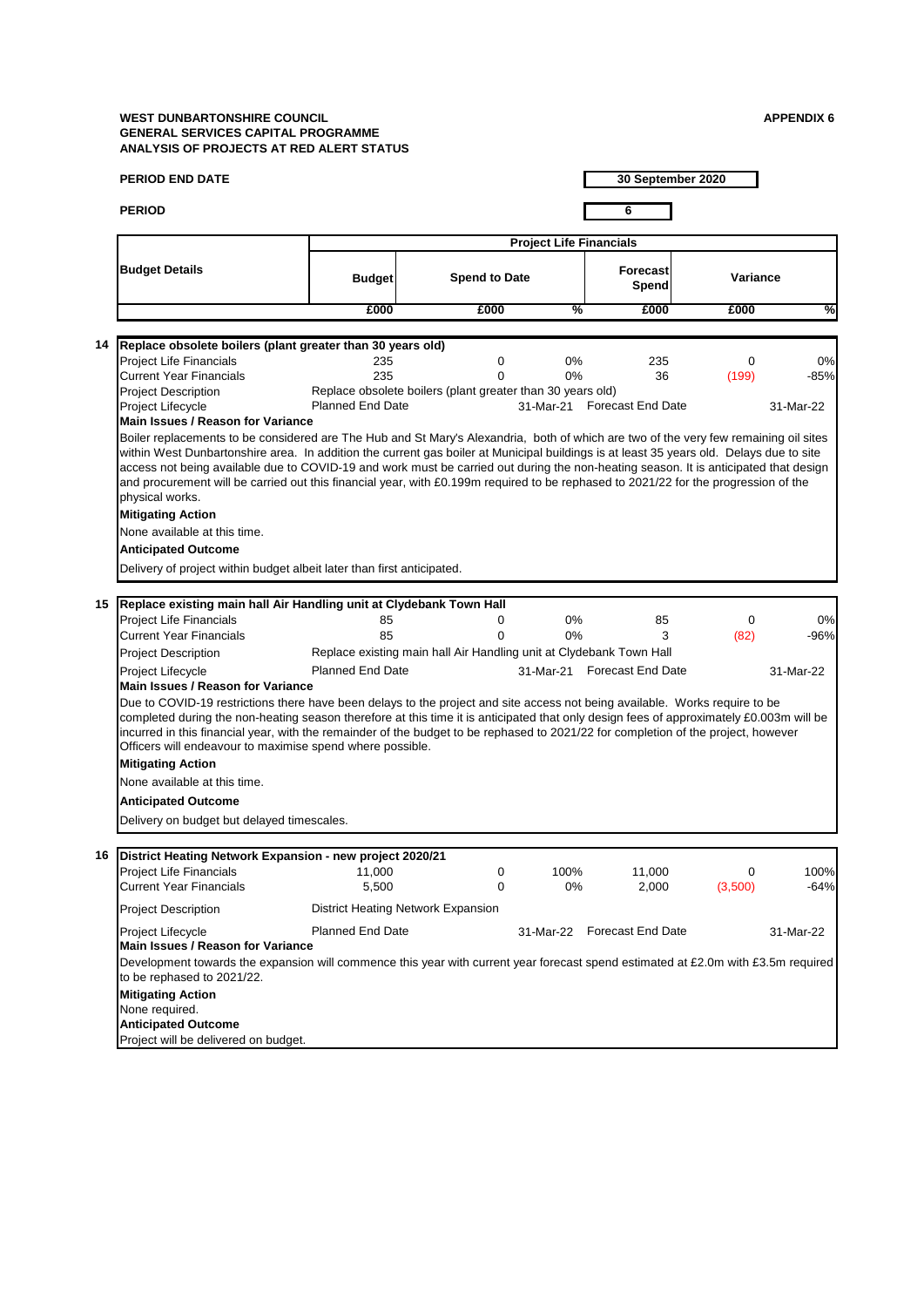|    | <b>PERIOD END DATE</b>                                                                                                                                                                                                                                                 |                         |                                                                     |                                |                             | 30 September 2020 |           |
|----|------------------------------------------------------------------------------------------------------------------------------------------------------------------------------------------------------------------------------------------------------------------------|-------------------------|---------------------------------------------------------------------|--------------------------------|-----------------------------|-------------------|-----------|
|    | <b>PERIOD</b>                                                                                                                                                                                                                                                          |                         |                                                                     |                                | 6                           |                   |           |
|    |                                                                                                                                                                                                                                                                        |                         |                                                                     |                                |                             |                   |           |
|    |                                                                                                                                                                                                                                                                        |                         |                                                                     | <b>Project Life Financials</b> |                             |                   |           |
|    | <b>Budget Details</b>                                                                                                                                                                                                                                                  | <b>Budget</b>           | <b>Spend to Date</b>                                                |                                | <b>Forecast</b><br>Spend    | Variance          |           |
|    |                                                                                                                                                                                                                                                                        | £000                    | £000                                                                | %                              | £000                        | £000              | ℅         |
|    |                                                                                                                                                                                                                                                                        |                         |                                                                     |                                |                             |                   |           |
| 14 | Replace obsolete boilers (plant greater than 30 years old)                                                                                                                                                                                                             |                         |                                                                     |                                |                             |                   |           |
|    | <b>Project Life Financials</b>                                                                                                                                                                                                                                         | 235                     | 0                                                                   | 0%                             | 235                         | 0                 | 0%        |
|    | <b>Current Year Financials</b><br><b>Project Description</b>                                                                                                                                                                                                           | 235                     | 0<br>Replace obsolete boilers (plant greater than 30 years old)     | 0%                             | 36                          | (199)             | $-85%$    |
|    | Project Lifecycle                                                                                                                                                                                                                                                      | <b>Planned End Date</b> |                                                                     |                                | 31-Mar-21 Forecast End Date |                   | 31-Mar-22 |
|    | <b>Main Issues / Reason for Variance</b>                                                                                                                                                                                                                               |                         |                                                                     |                                |                             |                   |           |
|    | Boiler replacements to be considered are The Hub and St Mary's Alexandria, both of which are two of the very few remaining oil sites                                                                                                                                   |                         |                                                                     |                                |                             |                   |           |
|    | within West Dunbartonshire area. In addition the current gas boiler at Municipal buildings is at least 35 years old. Delays due to site                                                                                                                                |                         |                                                                     |                                |                             |                   |           |
|    | access not being available due to COVID-19 and work must be carried out during the non-heating season. It is anticipated that design                                                                                                                                   |                         |                                                                     |                                |                             |                   |           |
|    | and procurement will be carried out this financial year, with £0.199m required to be rephased to 2021/22 for the progression of the<br>physical works.                                                                                                                 |                         |                                                                     |                                |                             |                   |           |
|    | <b>Mitigating Action</b>                                                                                                                                                                                                                                               |                         |                                                                     |                                |                             |                   |           |
|    | None available at this time.                                                                                                                                                                                                                                           |                         |                                                                     |                                |                             |                   |           |
|    | <b>Anticipated Outcome</b>                                                                                                                                                                                                                                             |                         |                                                                     |                                |                             |                   |           |
|    |                                                                                                                                                                                                                                                                        |                         |                                                                     |                                |                             |                   |           |
|    | Delivery of project within budget albeit later than first anticipated.                                                                                                                                                                                                 |                         |                                                                     |                                |                             |                   |           |
| 15 | Replace existing main hall Air Handling unit at Clydebank Town Hall                                                                                                                                                                                                    |                         |                                                                     |                                |                             |                   |           |
|    | <b>Project Life Financials</b>                                                                                                                                                                                                                                         | 85                      | 0                                                                   | 0%                             | 85                          | $\mathbf 0$       | 0%        |
|    | Current Year Financials                                                                                                                                                                                                                                                | 85                      | 0                                                                   | 0%                             | 3                           | (82)              | -96%      |
|    | <b>Project Description</b>                                                                                                                                                                                                                                             |                         | Replace existing main hall Air Handling unit at Clydebank Town Hall |                                |                             |                   |           |
|    | Project Lifecycle                                                                                                                                                                                                                                                      | <b>Planned End Date</b> |                                                                     |                                | 31-Mar-21 Forecast End Date |                   | 31-Mar-22 |
|    | <b>Main Issues / Reason for Variance</b>                                                                                                                                                                                                                               |                         |                                                                     |                                |                             |                   |           |
|    | Due to COVID-19 restrictions there have been delays to the project and site access not being available. Works require to be<br>completed during the non-heating season therefore at this time it is anticipated that only design fees of approximately £0.003m will be |                         |                                                                     |                                |                             |                   |           |
|    | incurred in this financial year, with the remainder of the budget to be rephased to 2021/22 for completion of the project, however                                                                                                                                     |                         |                                                                     |                                |                             |                   |           |
|    | Officers will endeavour to maximise spend where possible.<br><b>Mitigating Action</b>                                                                                                                                                                                  |                         |                                                                     |                                |                             |                   |           |
|    |                                                                                                                                                                                                                                                                        |                         |                                                                     |                                |                             |                   |           |
|    | None available at this time.                                                                                                                                                                                                                                           |                         |                                                                     |                                |                             |                   |           |
|    | <b>Anticipated Outcome</b>                                                                                                                                                                                                                                             |                         |                                                                     |                                |                             |                   |           |
|    | Delivery on budget but delayed timescales.                                                                                                                                                                                                                             |                         |                                                                     |                                |                             |                   |           |
| 16 |                                                                                                                                                                                                                                                                        |                         |                                                                     |                                |                             |                   |           |
|    | District Heating Network Expansion - new project 2020/21<br>Project Life Financials                                                                                                                                                                                    | 11,000                  | 0                                                                   | 100%                           | 11,000                      | 0                 | 100%      |
|    | <b>Current Year Financials</b>                                                                                                                                                                                                                                         | 5,500                   | 0                                                                   | 0%                             | 2,000                       | (3,500)           | $-64%$    |
|    | <b>Project Description</b>                                                                                                                                                                                                                                             |                         | District Heating Network Expansion                                  |                                |                             |                   |           |
|    |                                                                                                                                                                                                                                                                        |                         |                                                                     |                                | <b>Forecast End Date</b>    |                   |           |
|    | Project Lifecycle<br>Main Issues / Reason for Variance                                                                                                                                                                                                                 | <b>Planned End Date</b> |                                                                     | 31-Mar-22                      |                             |                   | 31-Mar-22 |
|    | Development towards the expansion will commence this year with current year forecast spend estimated at £2.0m with £3.5m required<br>to be rephased to 2021/22.                                                                                                        |                         |                                                                     |                                |                             |                   |           |
|    | <b>Mitigating Action</b>                                                                                                                                                                                                                                               |                         |                                                                     |                                |                             |                   |           |
|    | None required.                                                                                                                                                                                                                                                         |                         |                                                                     |                                |                             |                   |           |
|    | <b>Anticipated Outcome</b>                                                                                                                                                                                                                                             |                         |                                                                     |                                |                             |                   |           |
|    | Project will be delivered on budget.                                                                                                                                                                                                                                   |                         |                                                                     |                                |                             |                   |           |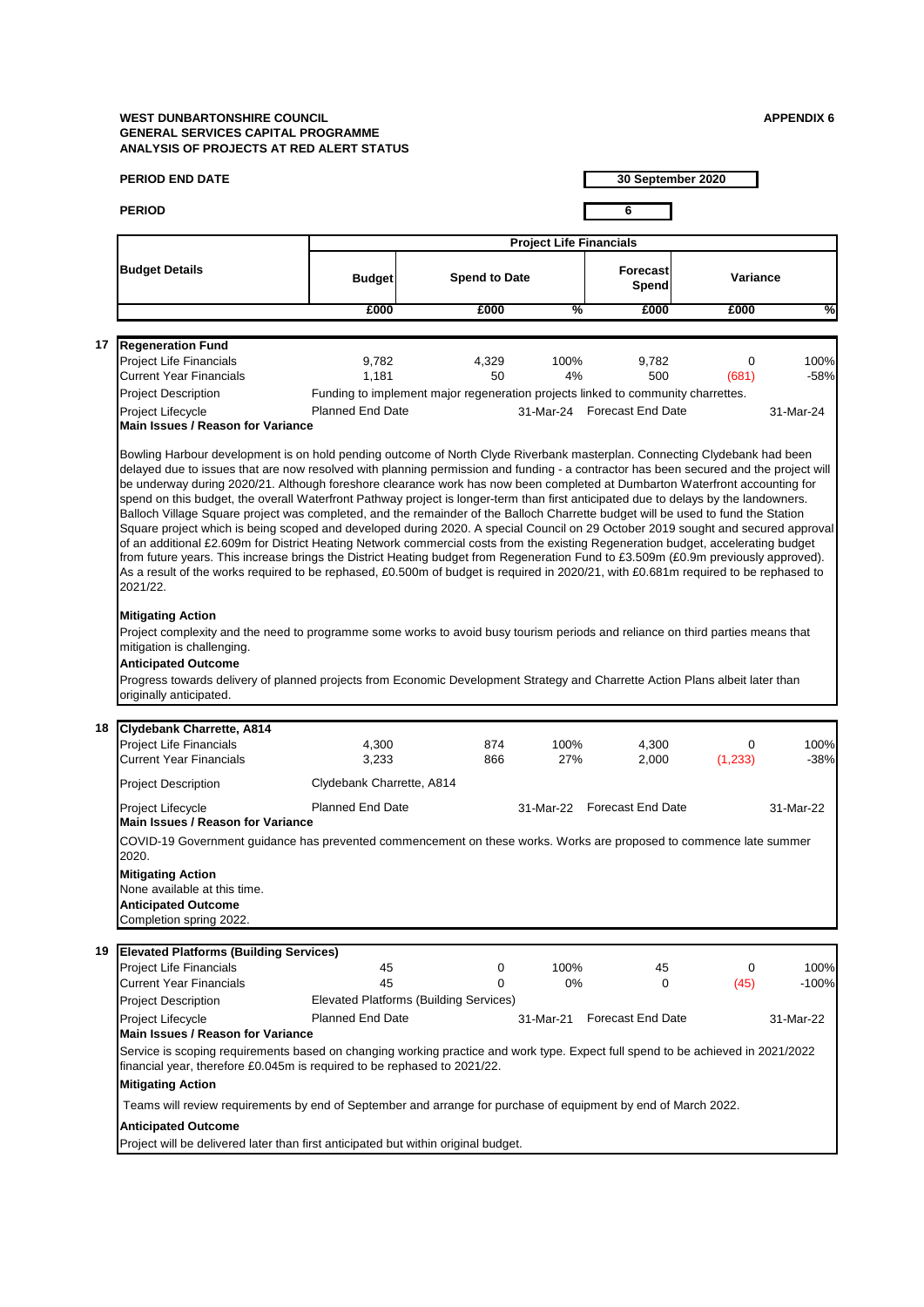|    | <b>PERIOD END DATE</b>                                                                                                                                                                                                                                                                                                                                                                                                                                                                                                                                                                                                                                                                                                                                                                                                                                                                                                                                                                                                                                                                                                                                                                                                                         |                           |                                                                                  |                                | 30 September 2020           |            |                 |
|----|------------------------------------------------------------------------------------------------------------------------------------------------------------------------------------------------------------------------------------------------------------------------------------------------------------------------------------------------------------------------------------------------------------------------------------------------------------------------------------------------------------------------------------------------------------------------------------------------------------------------------------------------------------------------------------------------------------------------------------------------------------------------------------------------------------------------------------------------------------------------------------------------------------------------------------------------------------------------------------------------------------------------------------------------------------------------------------------------------------------------------------------------------------------------------------------------------------------------------------------------|---------------------------|----------------------------------------------------------------------------------|--------------------------------|-----------------------------|------------|-----------------|
|    | <b>PERIOD</b>                                                                                                                                                                                                                                                                                                                                                                                                                                                                                                                                                                                                                                                                                                                                                                                                                                                                                                                                                                                                                                                                                                                                                                                                                                  |                           |                                                                                  |                                | 6                           |            |                 |
|    |                                                                                                                                                                                                                                                                                                                                                                                                                                                                                                                                                                                                                                                                                                                                                                                                                                                                                                                                                                                                                                                                                                                                                                                                                                                |                           |                                                                                  | <b>Project Life Financials</b> |                             |            |                 |
|    | <b>Budget Details</b>                                                                                                                                                                                                                                                                                                                                                                                                                                                                                                                                                                                                                                                                                                                                                                                                                                                                                                                                                                                                                                                                                                                                                                                                                          | <b>Budget</b>             | <b>Spend to Date</b>                                                             |                                | <b>Forecast</b><br>Spend    | Variance   |                 |
|    |                                                                                                                                                                                                                                                                                                                                                                                                                                                                                                                                                                                                                                                                                                                                                                                                                                                                                                                                                                                                                                                                                                                                                                                                                                                | £000                      | £000                                                                             | %                              | £000                        | £000       | %               |
|    |                                                                                                                                                                                                                                                                                                                                                                                                                                                                                                                                                                                                                                                                                                                                                                                                                                                                                                                                                                                                                                                                                                                                                                                                                                                |                           |                                                                                  |                                |                             |            |                 |
| 17 | <b>Regeneration Fund</b>                                                                                                                                                                                                                                                                                                                                                                                                                                                                                                                                                                                                                                                                                                                                                                                                                                                                                                                                                                                                                                                                                                                                                                                                                       |                           |                                                                                  |                                |                             |            |                 |
|    | Project Life Financials<br><b>Current Year Financials</b>                                                                                                                                                                                                                                                                                                                                                                                                                                                                                                                                                                                                                                                                                                                                                                                                                                                                                                                                                                                                                                                                                                                                                                                      | 9,782<br>1,181            | 4,329<br>50                                                                      | 100%<br>4%                     | 9,782<br>500                | 0<br>(681) | 100%<br>$-58%$  |
|    | Project Description                                                                                                                                                                                                                                                                                                                                                                                                                                                                                                                                                                                                                                                                                                                                                                                                                                                                                                                                                                                                                                                                                                                                                                                                                            |                           | Funding to implement major regeneration projects linked to community charrettes. |                                |                             |            |                 |
|    | Project Lifecycle<br><b>Main Issues / Reason for Variance</b>                                                                                                                                                                                                                                                                                                                                                                                                                                                                                                                                                                                                                                                                                                                                                                                                                                                                                                                                                                                                                                                                                                                                                                                  | <b>Planned End Date</b>   |                                                                                  |                                | 31-Mar-24 Forecast End Date |            | 31-Mar-24       |
|    | Bowling Harbour development is on hold pending outcome of North Clyde Riverbank masterplan. Connecting Clydebank had been<br>delayed due to issues that are now resolved with planning permission and funding - a contractor has been secured and the project will<br>be underway during 2020/21. Although foreshore clearance work has now been completed at Dumbarton Waterfront accounting for<br>spend on this budget, the overall Waterfront Pathway project is longer-term than first anticipated due to delays by the landowners.<br>Balloch Village Square project was completed, and the remainder of the Balloch Charrette budget will be used to fund the Station<br>Square project which is being scoped and developed during 2020. A special Council on 29 October 2019 sought and secured approval<br>of an additional £2.609m for District Heating Network commercial costs from the existing Regeneration budget, accelerating budget<br>from future years. This increase brings the District Heating budget from Regeneration Fund to £3.509m (£0.9m previously approved).<br>As a result of the works required to be rephased, £0.500m of budget is required in 2020/21, with £0.681m required to be rephased to<br>2021/22. |                           |                                                                                  |                                |                             |            |                 |
| 18 | <b>Mitigating Action</b><br>Project complexity and the need to programme some works to avoid busy tourism periods and reliance on third parties means that<br>mitigation is challenging.<br><b>Anticipated Outcome</b><br>Progress towards delivery of planned projects from Economic Development Strategy and Charrette Action Plans albeit later than<br>originally anticipated.<br>Clydebank Charrette, A814<br>Project Life Financials                                                                                                                                                                                                                                                                                                                                                                                                                                                                                                                                                                                                                                                                                                                                                                                                     | 4,300                     | 874                                                                              | 100%                           | 4,300                       | $\Omega$   | 100%            |
|    | <b>Current Year Financials</b>                                                                                                                                                                                                                                                                                                                                                                                                                                                                                                                                                                                                                                                                                                                                                                                                                                                                                                                                                                                                                                                                                                                                                                                                                 | 3,233                     | 866                                                                              | 27%                            | 2,000                       | (1, 233)   | $-38%$          |
|    | <b>Project Description</b>                                                                                                                                                                                                                                                                                                                                                                                                                                                                                                                                                                                                                                                                                                                                                                                                                                                                                                                                                                                                                                                                                                                                                                                                                     | Clydebank Charrette, A814 |                                                                                  |                                |                             |            |                 |
|    | Project Lifecycle<br><b>Main Issues / Reason for Variance</b>                                                                                                                                                                                                                                                                                                                                                                                                                                                                                                                                                                                                                                                                                                                                                                                                                                                                                                                                                                                                                                                                                                                                                                                  | <b>Planned End Date</b>   |                                                                                  |                                | 31-Mar-22 Forecast End Date |            | 31-Mar-22       |
|    | COVID-19 Government guidance has prevented commencement on these works. Works are proposed to commence late summer<br>2020.<br><b>Mitigating Action</b><br>None available at this time.<br><b>Anticipated Outcome</b><br>Completion spring 2022.                                                                                                                                                                                                                                                                                                                                                                                                                                                                                                                                                                                                                                                                                                                                                                                                                                                                                                                                                                                               |                           |                                                                                  |                                |                             |            |                 |
| 19 | <b>Elevated Platforms (Building Services)</b>                                                                                                                                                                                                                                                                                                                                                                                                                                                                                                                                                                                                                                                                                                                                                                                                                                                                                                                                                                                                                                                                                                                                                                                                  |                           |                                                                                  |                                |                             |            |                 |
|    | Project Life Financials<br><b>Current Year Financials</b>                                                                                                                                                                                                                                                                                                                                                                                                                                                                                                                                                                                                                                                                                                                                                                                                                                                                                                                                                                                                                                                                                                                                                                                      | 45<br>45                  | 0<br>$\Omega$<br>Elevated Platforms (Building Services)                          | 100%<br>$0\%$                  | 45<br>$\mathbf 0$           | 0<br>(45)  | 100%<br>$-100%$ |
|    | <b>Project Description</b><br>Project Lifecycle<br><b>Main Issues / Reason for Variance</b>                                                                                                                                                                                                                                                                                                                                                                                                                                                                                                                                                                                                                                                                                                                                                                                                                                                                                                                                                                                                                                                                                                                                                    | <b>Planned End Date</b>   |                                                                                  | 31-Mar-21                      | <b>Forecast End Date</b>    |            | 31-Mar-22       |
|    | Service is scoping requirements based on changing working practice and work type. Expect full spend to be achieved in 2021/2022<br>financial year, therefore £0.045m is required to be rephased to 2021/22.<br><b>Mitigating Action</b>                                                                                                                                                                                                                                                                                                                                                                                                                                                                                                                                                                                                                                                                                                                                                                                                                                                                                                                                                                                                        |                           |                                                                                  |                                |                             |            |                 |
|    | Teams will review requirements by end of September and arrange for purchase of equipment by end of March 2022.                                                                                                                                                                                                                                                                                                                                                                                                                                                                                                                                                                                                                                                                                                                                                                                                                                                                                                                                                                                                                                                                                                                                 |                           |                                                                                  |                                |                             |            |                 |
|    | <b>Anticipated Outcome</b><br>Project will be delivered later than first anticipated but within original budget.                                                                                                                                                                                                                                                                                                                                                                                                                                                                                                                                                                                                                                                                                                                                                                                                                                                                                                                                                                                                                                                                                                                               |                           |                                                                                  |                                |                             |            |                 |
|    |                                                                                                                                                                                                                                                                                                                                                                                                                                                                                                                                                                                                                                                                                                                                                                                                                                                                                                                                                                                                                                                                                                                                                                                                                                                |                           |                                                                                  |                                |                             |            |                 |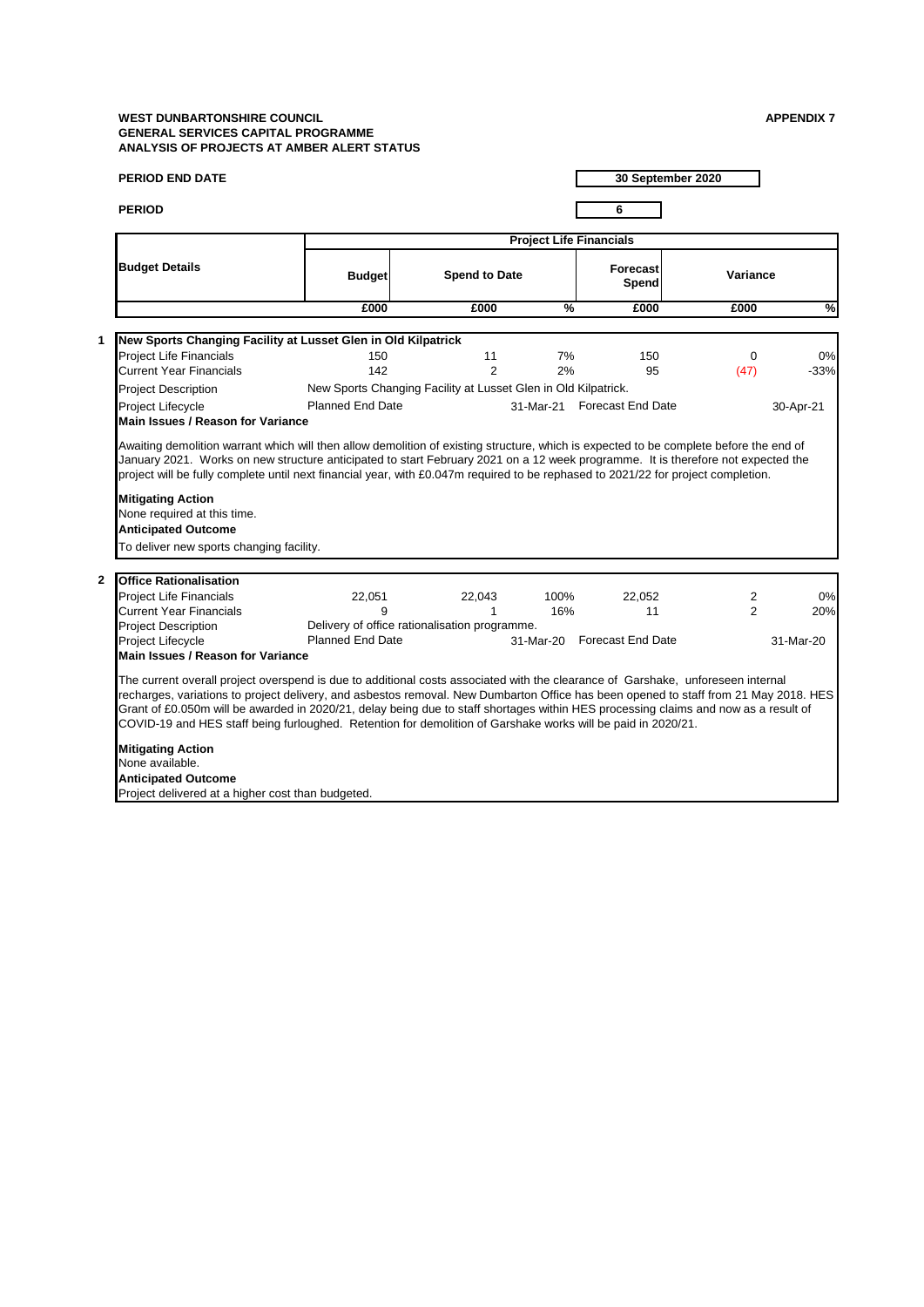| <b>PERIOD END DATE</b>                                                                                                                                                                                                                                                                                                                                                                                                                                                                                                         |                         |                                                                |                                | 30 September 2020           |                |           |
|--------------------------------------------------------------------------------------------------------------------------------------------------------------------------------------------------------------------------------------------------------------------------------------------------------------------------------------------------------------------------------------------------------------------------------------------------------------------------------------------------------------------------------|-------------------------|----------------------------------------------------------------|--------------------------------|-----------------------------|----------------|-----------|
| <b>PERIOD</b>                                                                                                                                                                                                                                                                                                                                                                                                                                                                                                                  |                         |                                                                |                                | 6                           |                |           |
|                                                                                                                                                                                                                                                                                                                                                                                                                                                                                                                                |                         |                                                                | <b>Project Life Financials</b> |                             |                |           |
| <b>Budget Details</b>                                                                                                                                                                                                                                                                                                                                                                                                                                                                                                          | <b>Budget</b>           | <b>Spend to Date</b>                                           |                                | <b>Forecast</b><br>Spend    | Variance       |           |
|                                                                                                                                                                                                                                                                                                                                                                                                                                                                                                                                | £000                    | £000                                                           | %                              | £000                        | £000           | %         |
| 1<br>New Sports Changing Facility at Lusset Glen in Old Kilpatrick                                                                                                                                                                                                                                                                                                                                                                                                                                                             |                         |                                                                |                                |                             |                |           |
| <b>Project Life Financials</b>                                                                                                                                                                                                                                                                                                                                                                                                                                                                                                 | 150                     | 11                                                             | 7%                             | 150                         | $\Omega$       | 0%        |
| Current Year Financials                                                                                                                                                                                                                                                                                                                                                                                                                                                                                                        | 142                     | $\overline{2}$                                                 | 2%                             | 95                          | (47)           | $-33%$    |
| <b>Project Description</b>                                                                                                                                                                                                                                                                                                                                                                                                                                                                                                     |                         | New Sports Changing Facility at Lusset Glen in Old Kilpatrick. |                                |                             |                |           |
| <b>Project Lifecycle</b><br>Main Issues / Reason for Variance                                                                                                                                                                                                                                                                                                                                                                                                                                                                  | <b>Planned End Date</b> |                                                                |                                | 31-Mar-21 Forecast End Date |                | 30-Apr-21 |
| <b>Mitigating Action</b><br>None required at this time.<br><b>Anticipated Outcome</b>                                                                                                                                                                                                                                                                                                                                                                                                                                          |                         |                                                                |                                |                             |                |           |
| To deliver new sports changing facility.                                                                                                                                                                                                                                                                                                                                                                                                                                                                                       |                         |                                                                |                                |                             |                |           |
| <b>Office Rationalisation</b><br>$\mathbf{2}$                                                                                                                                                                                                                                                                                                                                                                                                                                                                                  |                         |                                                                |                                |                             |                |           |
| <b>Project Life Financials</b>                                                                                                                                                                                                                                                                                                                                                                                                                                                                                                 | 22,051                  | 22.043                                                         | 100%                           | 22,052                      | 2              | 0%        |
| <b>Current Year Financials</b>                                                                                                                                                                                                                                                                                                                                                                                                                                                                                                 | 9                       | $\mathbf{1}$                                                   | 16%                            | 11                          | $\overline{2}$ | 20%       |
| <b>Project Description</b>                                                                                                                                                                                                                                                                                                                                                                                                                                                                                                     |                         | Delivery of office rationalisation programme.                  |                                |                             |                |           |
| <b>Project Lifecycle</b><br>Main Issues / Reason for Variance                                                                                                                                                                                                                                                                                                                                                                                                                                                                  | <b>Planned End Date</b> |                                                                |                                | 31-Mar-20 Forecast End Date |                | 31-Mar-20 |
| The current overall project overspend is due to additional costs associated with the clearance of Garshake, unforeseen internal<br>recharges, variations to project delivery, and asbestos removal. New Dumbarton Office has been opened to staff from 21 May 2018. HES<br>Grant of £0.050m will be awarded in 2020/21, delay being due to staff shortages within HES processing claims and now as a result of<br>COVID-19 and HES staff being furloughed. Retention for demolition of Garshake works will be paid in 2020/21. |                         |                                                                |                                |                             |                |           |
| <b>Mitigating Action</b><br>None available.                                                                                                                                                                                                                                                                                                                                                                                                                                                                                    |                         |                                                                |                                |                             |                |           |
| <b>Anticipated Outcome</b>                                                                                                                                                                                                                                                                                                                                                                                                                                                                                                     |                         |                                                                |                                |                             |                |           |
| Project delivered at a higher cost than budgeted.                                                                                                                                                                                                                                                                                                                                                                                                                                                                              |                         |                                                                |                                |                             |                |           |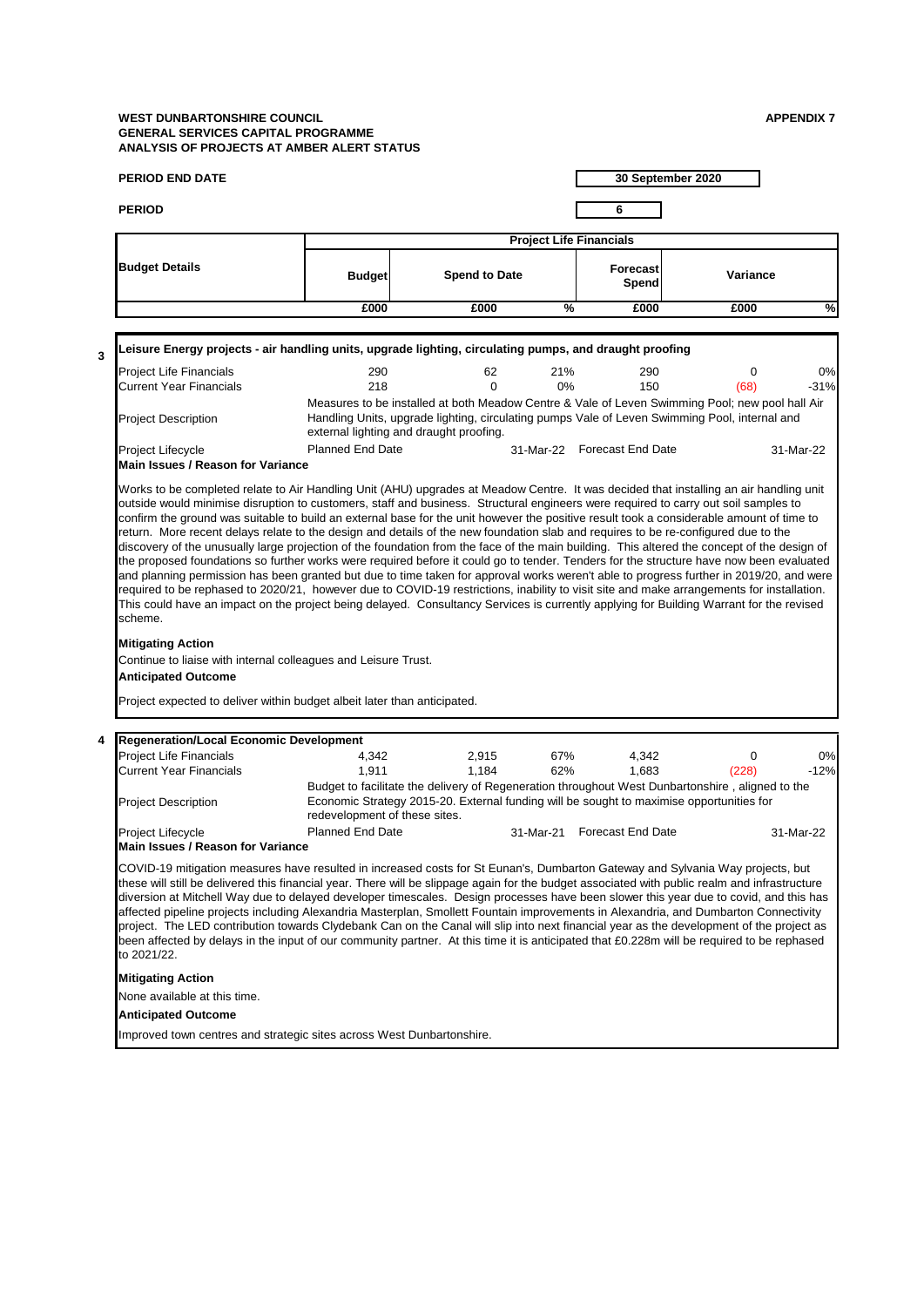|                                                                                                                                         |                                                                                                                                                                                                                                                                                                                                                                                                                                                                                                                                                                                                                                                                                                                                                                                                                                                             |                                                                                                                                                                                                       |                                |                             | 30 September 2020 |              |
|-----------------------------------------------------------------------------------------------------------------------------------------|-------------------------------------------------------------------------------------------------------------------------------------------------------------------------------------------------------------------------------------------------------------------------------------------------------------------------------------------------------------------------------------------------------------------------------------------------------------------------------------------------------------------------------------------------------------------------------------------------------------------------------------------------------------------------------------------------------------------------------------------------------------------------------------------------------------------------------------------------------------|-------------------------------------------------------------------------------------------------------------------------------------------------------------------------------------------------------|--------------------------------|-----------------------------|-------------------|--------------|
| <b>PERIOD</b>                                                                                                                           |                                                                                                                                                                                                                                                                                                                                                                                                                                                                                                                                                                                                                                                                                                                                                                                                                                                             |                                                                                                                                                                                                       |                                | 6                           |                   |              |
|                                                                                                                                         |                                                                                                                                                                                                                                                                                                                                                                                                                                                                                                                                                                                                                                                                                                                                                                                                                                                             |                                                                                                                                                                                                       | <b>Project Life Financials</b> |                             |                   |              |
| <b>Budget Details</b>                                                                                                                   | <b>Budget</b>                                                                                                                                                                                                                                                                                                                                                                                                                                                                                                                                                                                                                                                                                                                                                                                                                                               | <b>Spend to Date</b>                                                                                                                                                                                  |                                | <b>Forecast</b><br>Spend    | Variance          |              |
|                                                                                                                                         | £000                                                                                                                                                                                                                                                                                                                                                                                                                                                                                                                                                                                                                                                                                                                                                                                                                                                        | £000                                                                                                                                                                                                  | %                              | £000                        | £000              | %            |
|                                                                                                                                         | Leisure Energy projects - air handling units, upgrade lighting, circulating pumps, and draught proofing                                                                                                                                                                                                                                                                                                                                                                                                                                                                                                                                                                                                                                                                                                                                                     |                                                                                                                                                                                                       |                                |                             |                   |              |
| <b>Project Life Financials</b><br><b>Current Year Financials</b>                                                                        | 290<br>218                                                                                                                                                                                                                                                                                                                                                                                                                                                                                                                                                                                                                                                                                                                                                                                                                                                  | 62<br>$\Omega$                                                                                                                                                                                        | 21%<br>0%                      | 290<br>150                  | 0<br>(68)         | 0%<br>$-31%$ |
| <b>Project Description</b>                                                                                                              | external lighting and draught proofing.                                                                                                                                                                                                                                                                                                                                                                                                                                                                                                                                                                                                                                                                                                                                                                                                                     | Measures to be installed at both Meadow Centre & Vale of Leven Swimming Pool; new pool hall Air<br>Handling Units, upgrade lighting, circulating pumps Vale of Leven Swimming Pool, internal and      |                                |                             |                   |              |
| Project Lifecycle<br>Main Issues / Reason for Variance                                                                                  | <b>Planned End Date</b>                                                                                                                                                                                                                                                                                                                                                                                                                                                                                                                                                                                                                                                                                                                                                                                                                                     |                                                                                                                                                                                                       |                                | 31-Mar-22 Forecast End Date |                   | 31-Mar-22    |
| the proposed foundations so further works were required before it could go to tender. Tenders for the structure have now been evaluated | confirm the ground was suitable to build an external base for the unit however the positive result took a considerable amount of time to<br>return. More recent delays relate to the design and details of the new foundation slab and requires to be re-configured due to the<br>discovery of the unusually large projection of the foundation from the face of the main building. This altered the concept of the design of                                                                                                                                                                                                                                                                                                                                                                                                                               |                                                                                                                                                                                                       |                                |                             |                   |              |
| scheme.<br><b>Mitigating Action</b><br><b>Anticipated Outcome</b>                                                                       | and planning permission has been granted but due to time taken for approval works weren't able to progress further in 2019/20, and were<br>required to be rephased to 2020/21, however due to COVID-19 restrictions, inability to visit site and make arrangements for installation.<br>This could have an impact on the project being delayed. Consultancy Services is currently applying for Building Warrant for the revised<br>Continue to liaise with internal colleagues and Leisure Trust.<br>Project expected to deliver within budget albeit later than anticipated.                                                                                                                                                                                                                                                                               |                                                                                                                                                                                                       |                                |                             |                   |              |
|                                                                                                                                         |                                                                                                                                                                                                                                                                                                                                                                                                                                                                                                                                                                                                                                                                                                                                                                                                                                                             |                                                                                                                                                                                                       |                                |                             |                   |              |
| Regeneration/Local Economic Development<br><b>Project Life Financials</b>                                                               | 4,342                                                                                                                                                                                                                                                                                                                                                                                                                                                                                                                                                                                                                                                                                                                                                                                                                                                       | 2,915                                                                                                                                                                                                 | 67%                            | 4,342                       | 0                 |              |
| <b>Current Year Financials</b><br><b>Project Description</b>                                                                            | 1,911                                                                                                                                                                                                                                                                                                                                                                                                                                                                                                                                                                                                                                                                                                                                                                                                                                                       | 1,184<br>Budget to facilitate the delivery of Regeneration throughout West Dunbartonshire, aligned to the<br>Economic Strategy 2015-20. External funding will be sought to maximise opportunities for | 62%                            | 1,683                       | (228)             |              |
| Project Lifecycle<br>Main Issues / Reason for Variance                                                                                  | redevelopment of these sites.<br><b>Planned End Date</b>                                                                                                                                                                                                                                                                                                                                                                                                                                                                                                                                                                                                                                                                                                                                                                                                    |                                                                                                                                                                                                       | 31-Mar-21                      | <b>Forecast End Date</b>    |                   | 31-Mar-22    |
| to 2021/22.                                                                                                                             | COVID-19 mitigation measures have resulted in increased costs for St Eunan's, Dumbarton Gateway and Sylvania Way projects, but<br>these will still be delivered this financial year. There will be slippage again for the budget associated with public realm and infrastructure<br>diversion at Mitchell Way due to delayed developer timescales. Design processes have been slower this year due to covid, and this has<br>affected pipeline projects including Alexandria Masterplan, Smollett Fountain improvements in Alexandria, and Dumbarton Connectivity<br>project. The LED contribution towards Clydebank Can on the Canal will slip into next financial year as the development of the project as<br>been affected by delays in the input of our community partner. At this time it is anticipated that £0.228m will be required to be rephased |                                                                                                                                                                                                       |                                |                             |                   |              |
| <b>Mitigating Action</b>                                                                                                                |                                                                                                                                                                                                                                                                                                                                                                                                                                                                                                                                                                                                                                                                                                                                                                                                                                                             |                                                                                                                                                                                                       |                                |                             |                   |              |
| None available at this time.<br><b>Anticipated Outcome</b>                                                                              |                                                                                                                                                                                                                                                                                                                                                                                                                                                                                                                                                                                                                                                                                                                                                                                                                                                             |                                                                                                                                                                                                       |                                |                             |                   | 0%<br>$-12%$ |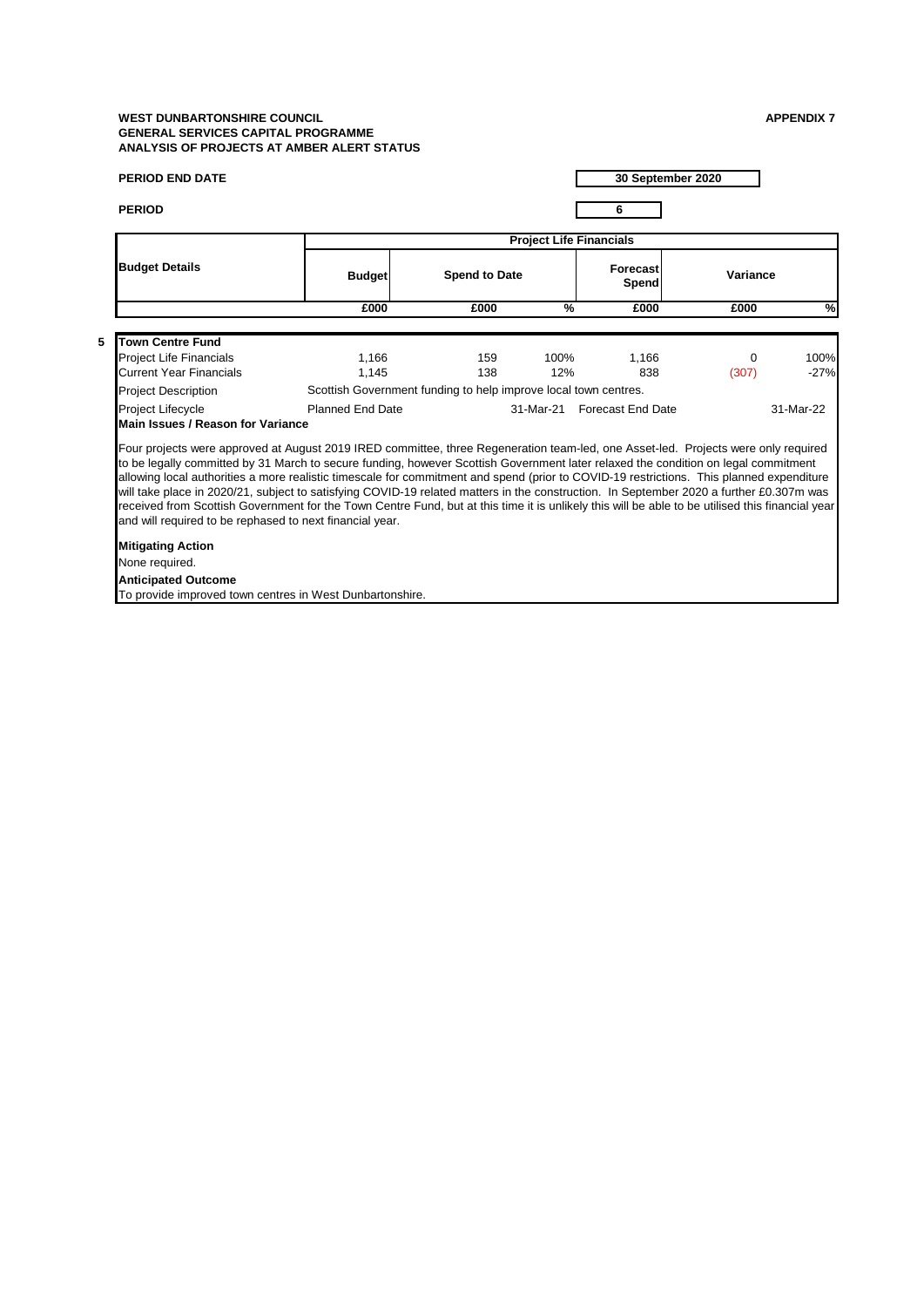**5**

| <b>PERIOD END DATE</b>                                                                 |                                                                                                                                                                                                                                                                                                                                                                                                                                                                                                                                                                                                                                                                                                                                                                                                                      |                      |                                |                          | 30 September 2020 |                |  |  |
|----------------------------------------------------------------------------------------|----------------------------------------------------------------------------------------------------------------------------------------------------------------------------------------------------------------------------------------------------------------------------------------------------------------------------------------------------------------------------------------------------------------------------------------------------------------------------------------------------------------------------------------------------------------------------------------------------------------------------------------------------------------------------------------------------------------------------------------------------------------------------------------------------------------------|----------------------|--------------------------------|--------------------------|-------------------|----------------|--|--|
| <b>PERIOD</b>                                                                          |                                                                                                                                                                                                                                                                                                                                                                                                                                                                                                                                                                                                                                                                                                                                                                                                                      |                      |                                | 6                        |                   |                |  |  |
|                                                                                        |                                                                                                                                                                                                                                                                                                                                                                                                                                                                                                                                                                                                                                                                                                                                                                                                                      |                      | <b>Project Life Financials</b> |                          |                   |                |  |  |
| <b>Budget Details</b>                                                                  | <b>Budget</b>                                                                                                                                                                                                                                                                                                                                                                                                                                                                                                                                                                                                                                                                                                                                                                                                        | <b>Spend to Date</b> |                                | <b>Forecast</b><br>Spend | Variance          |                |  |  |
|                                                                                        | £000                                                                                                                                                                                                                                                                                                                                                                                                                                                                                                                                                                                                                                                                                                                                                                                                                 | £000                 | $\frac{9}{6}$                  | £000                     | £000              | %              |  |  |
| <b>Town Centre Fund</b>                                                                |                                                                                                                                                                                                                                                                                                                                                                                                                                                                                                                                                                                                                                                                                                                                                                                                                      |                      |                                |                          |                   |                |  |  |
| Project Life Financials<br><b>Current Year Financials</b>                              | 1,166<br>1,145                                                                                                                                                                                                                                                                                                                                                                                                                                                                                                                                                                                                                                                                                                                                                                                                       | 159<br>138           | 100%<br>12%                    | 1.166<br>838             | $\Omega$<br>(307) | 100%<br>$-27%$ |  |  |
| <b>Project Description</b>                                                             | Scottish Government funding to help improve local town centres.                                                                                                                                                                                                                                                                                                                                                                                                                                                                                                                                                                                                                                                                                                                                                      |                      |                                |                          |                   |                |  |  |
| <b>Project Lifecycle</b>                                                               | <b>Planned End Date</b>                                                                                                                                                                                                                                                                                                                                                                                                                                                                                                                                                                                                                                                                                                                                                                                              |                      | 31-Mar-21                      | <b>Forecast End Date</b> |                   | 31-Mar-22      |  |  |
|                                                                                        | Main Issues / Reason for Variance<br>Four projects were approved at August 2019 IRED committee, three Regeneration team-led, one Asset-led. Projects were only required<br>to be legally committed by 31 March to secure funding, however Scottish Government later relaxed the condition on legal commitment<br>allowing local authorities a more realistic timescale for commitment and spend (prior to COVID-19 restrictions. This planned expenditure<br>will take place in 2020/21, subject to satisfying COVID-19 related matters in the construction. In September 2020 a further £0.307m was<br>received from Scottish Government for the Town Centre Fund, but at this time it is unlikely this will be able to be utilised this financial year<br>and will required to be rephased to next financial year. |                      |                                |                          |                   |                |  |  |
| <b>Mitigating Action</b>                                                               |                                                                                                                                                                                                                                                                                                                                                                                                                                                                                                                                                                                                                                                                                                                                                                                                                      |                      |                                |                          |                   |                |  |  |
| None required.                                                                         |                                                                                                                                                                                                                                                                                                                                                                                                                                                                                                                                                                                                                                                                                                                                                                                                                      |                      |                                |                          |                   |                |  |  |
| <b>Anticipated Outcome</b><br>To provide improved town centres in West Dunbartonshire. |                                                                                                                                                                                                                                                                                                                                                                                                                                                                                                                                                                                                                                                                                                                                                                                                                      |                      |                                |                          |                   |                |  |  |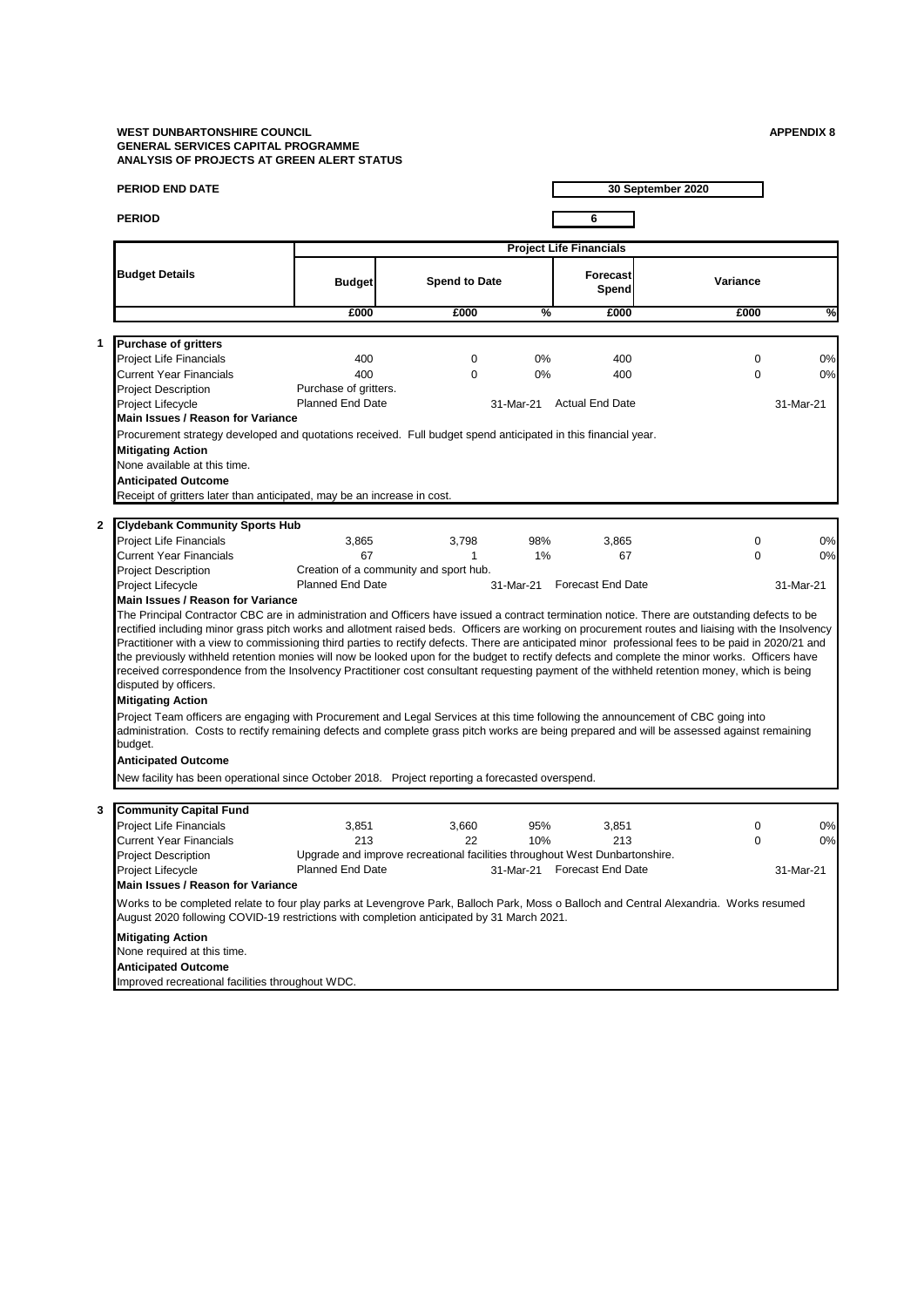| <b>PERIOD END DATE</b> | 30 September 2020 |
|------------------------|-------------------|
| <b>PERIOD</b>          |                   |

|                                                                                                                                                                                                                                                                                                                                                                                                                                                                                                                                                                                                                                               |                                                  |                      |               | <b>Project Life Financials</b>                                              |                      |    |
|-----------------------------------------------------------------------------------------------------------------------------------------------------------------------------------------------------------------------------------------------------------------------------------------------------------------------------------------------------------------------------------------------------------------------------------------------------------------------------------------------------------------------------------------------------------------------------------------------------------------------------------------------|--------------------------------------------------|----------------------|---------------|-----------------------------------------------------------------------------|----------------------|----|
| <b>Budget Details</b>                                                                                                                                                                                                                                                                                                                                                                                                                                                                                                                                                                                                                         | <b>Budget</b>                                    | <b>Spend to Date</b> |               | Forecast<br>Spend                                                           | Variance             |    |
|                                                                                                                                                                                                                                                                                                                                                                                                                                                                                                                                                                                                                                               | £000                                             | £000                 | $\frac{9}{6}$ | £000                                                                        | £000                 |    |
|                                                                                                                                                                                                                                                                                                                                                                                                                                                                                                                                                                                                                                               |                                                  |                      |               |                                                                             |                      |    |
| <b>Purchase of gritters</b>                                                                                                                                                                                                                                                                                                                                                                                                                                                                                                                                                                                                                   |                                                  |                      |               |                                                                             |                      |    |
| Project Life Financials                                                                                                                                                                                                                                                                                                                                                                                                                                                                                                                                                                                                                       | 400                                              | 0<br>$\Omega$        | 0%            | 400                                                                         | $\Omega$<br>$\Omega$ | 0% |
| <b>Current Year Financials</b>                                                                                                                                                                                                                                                                                                                                                                                                                                                                                                                                                                                                                | 400                                              |                      | 0%            | 400                                                                         |                      | 0% |
| <b>Project Description</b>                                                                                                                                                                                                                                                                                                                                                                                                                                                                                                                                                                                                                    | Purchase of gritters.<br><b>Planned End Date</b> |                      |               |                                                                             |                      |    |
| Project Lifecycle                                                                                                                                                                                                                                                                                                                                                                                                                                                                                                                                                                                                                             |                                                  |                      | 31-Mar-21     | <b>Actual End Date</b>                                                      | 31-Mar-21            |    |
| Main Issues / Reason for Variance                                                                                                                                                                                                                                                                                                                                                                                                                                                                                                                                                                                                             |                                                  |                      |               |                                                                             |                      |    |
| Procurement strategy developed and quotations received. Full budget spend anticipated in this financial year.                                                                                                                                                                                                                                                                                                                                                                                                                                                                                                                                 |                                                  |                      |               |                                                                             |                      |    |
| <b>Mitigating Action</b>                                                                                                                                                                                                                                                                                                                                                                                                                                                                                                                                                                                                                      |                                                  |                      |               |                                                                             |                      |    |
| None available at this time.                                                                                                                                                                                                                                                                                                                                                                                                                                                                                                                                                                                                                  |                                                  |                      |               |                                                                             |                      |    |
| <b>Anticipated Outcome</b>                                                                                                                                                                                                                                                                                                                                                                                                                                                                                                                                                                                                                    |                                                  |                      |               |                                                                             |                      |    |
| Receipt of gritters later than anticipated, may be an increase in cost.                                                                                                                                                                                                                                                                                                                                                                                                                                                                                                                                                                       |                                                  |                      |               |                                                                             |                      |    |
| <b>Clydebank Community Sports Hub</b>                                                                                                                                                                                                                                                                                                                                                                                                                                                                                                                                                                                                         |                                                  |                      |               |                                                                             |                      |    |
| <b>Project Life Financials</b>                                                                                                                                                                                                                                                                                                                                                                                                                                                                                                                                                                                                                | 3,865                                            | 3.798                | 98%           | 3,865                                                                       | $\mathbf 0$          | 0% |
| <b>Current Year Financials</b>                                                                                                                                                                                                                                                                                                                                                                                                                                                                                                                                                                                                                | 67                                               | $\mathbf{1}$         | 1%            | 67                                                                          | $\Omega$             | 0% |
| <b>Project Description</b>                                                                                                                                                                                                                                                                                                                                                                                                                                                                                                                                                                                                                    | Creation of a community and sport hub.           |                      |               |                                                                             |                      |    |
| <b>Project Lifecycle</b>                                                                                                                                                                                                                                                                                                                                                                                                                                                                                                                                                                                                                      | Planned End Date                                 |                      | 31-Mar-21     | <b>Forecast End Date</b>                                                    | 31-Mar-21            |    |
| Main Issues / Reason for Variance                                                                                                                                                                                                                                                                                                                                                                                                                                                                                                                                                                                                             |                                                  |                      |               |                                                                             |                      |    |
| Practitioner with a view to commissioning third parties to rectify defects. There are anticipated minor professional fees to be paid in 2020/21 and<br>the previously withheld retention monies will now be looked upon for the budget to rectify defects and complete the minor works. Officers have<br>received correspondence from the Insolvency Practitioner cost consultant requesting payment of the withheld retention money, which is being<br>disputed by officers.<br><b>Mitigating Action</b><br>Project Team officers are engaging with Procurement and Legal Services at this time following the announcement of CBC going into |                                                  |                      |               |                                                                             |                      |    |
| administration. Costs to rectify remaining defects and complete grass pitch works are being prepared and will be assessed against remaining<br>budget.                                                                                                                                                                                                                                                                                                                                                                                                                                                                                        |                                                  |                      |               |                                                                             |                      |    |
| <b>Anticipated Outcome</b>                                                                                                                                                                                                                                                                                                                                                                                                                                                                                                                                                                                                                    |                                                  |                      |               |                                                                             |                      |    |
| New facility has been operational since October 2018. Project reporting a forecasted overspend.                                                                                                                                                                                                                                                                                                                                                                                                                                                                                                                                               |                                                  |                      |               |                                                                             |                      |    |
| <b>Community Capital Fund</b>                                                                                                                                                                                                                                                                                                                                                                                                                                                                                                                                                                                                                 |                                                  |                      |               |                                                                             |                      |    |
| <b>Project Life Financials</b>                                                                                                                                                                                                                                                                                                                                                                                                                                                                                                                                                                                                                | 3,851                                            | 3.660                | 95%           | 3,851                                                                       | $\mathbf 0$          | 0% |
| <b>Current Year Financials</b>                                                                                                                                                                                                                                                                                                                                                                                                                                                                                                                                                                                                                | 213                                              | 22                   | 10%           | 213                                                                         | $\Omega$             | 0% |
| <b>Project Description</b>                                                                                                                                                                                                                                                                                                                                                                                                                                                                                                                                                                                                                    |                                                  |                      |               | Upgrade and improve recreational facilities throughout West Dunbartonshire. |                      |    |
| Project Lifecycle                                                                                                                                                                                                                                                                                                                                                                                                                                                                                                                                                                                                                             | <b>Planned End Date</b>                          |                      |               | 31-Mar-21 Forecast End Date                                                 | 31-Mar-21            |    |
| Main Issues / Reason for Variance                                                                                                                                                                                                                                                                                                                                                                                                                                                                                                                                                                                                             |                                                  |                      |               |                                                                             |                      |    |
| Works to be completed relate to four play parks at Levengrove Park, Balloch Park, Moss o Balloch and Central Alexandria. Works resumed<br>August 2020 following COVID-19 restrictions with completion anticipated by 31 March 2021.                                                                                                                                                                                                                                                                                                                                                                                                           |                                                  |                      |               |                                                                             |                      |    |
| <b>Mitigating Action</b>                                                                                                                                                                                                                                                                                                                                                                                                                                                                                                                                                                                                                      |                                                  |                      |               |                                                                             |                      |    |
| None required at this time.                                                                                                                                                                                                                                                                                                                                                                                                                                                                                                                                                                                                                   |                                                  |                      |               |                                                                             |                      |    |
| <b>Anticipated Outcome</b>                                                                                                                                                                                                                                                                                                                                                                                                                                                                                                                                                                                                                    |                                                  |                      |               |                                                                             |                      |    |
| Improved recreational facilities throughout WDC.                                                                                                                                                                                                                                                                                                                                                                                                                                                                                                                                                                                              |                                                  |                      |               |                                                                             |                      |    |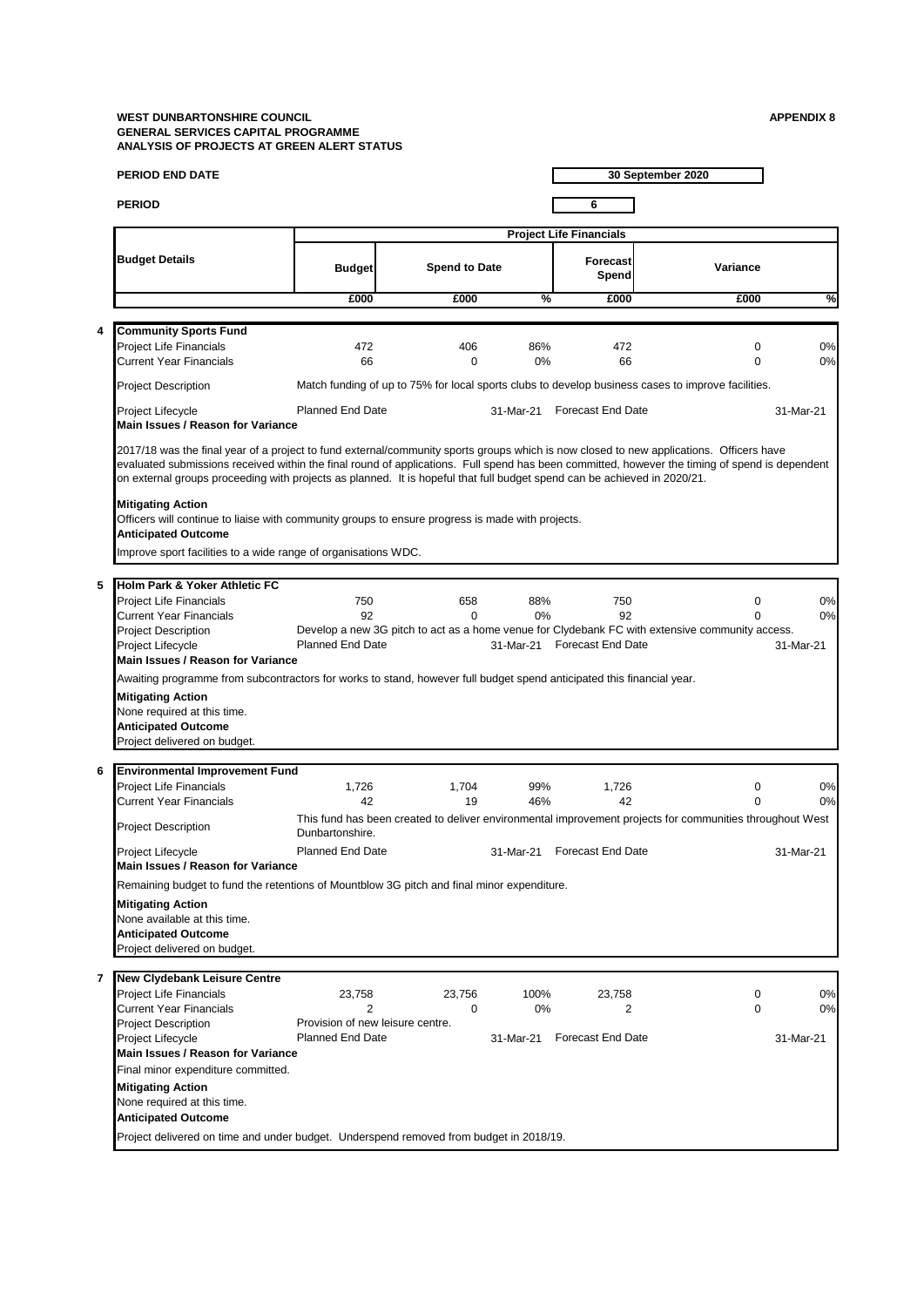|   | PERIOD END DATE                                                                                                                                                                                                                                                                                                                                                                                                                                   |                                                      |                      |            |                                          | 30 September 2020                                                                                                |                       |
|---|---------------------------------------------------------------------------------------------------------------------------------------------------------------------------------------------------------------------------------------------------------------------------------------------------------------------------------------------------------------------------------------------------------------------------------------------------|------------------------------------------------------|----------------------|------------|------------------------------------------|------------------------------------------------------------------------------------------------------------------|-----------------------|
|   | <b>PERIOD</b>                                                                                                                                                                                                                                                                                                                                                                                                                                     |                                                      |                      |            | 6                                        |                                                                                                                  |                       |
|   |                                                                                                                                                                                                                                                                                                                                                                                                                                                   |                                                      |                      |            | <b>Project Life Financials</b>           |                                                                                                                  |                       |
|   | <b>Budget Details</b>                                                                                                                                                                                                                                                                                                                                                                                                                             | <b>Budget</b>                                        | <b>Spend to Date</b> |            | Forecast<br>Spend                        | Variance                                                                                                         |                       |
|   |                                                                                                                                                                                                                                                                                                                                                                                                                                                   | £000                                                 | £000                 | %          | £000                                     | £000                                                                                                             | %                     |
|   |                                                                                                                                                                                                                                                                                                                                                                                                                                                   |                                                      |                      |            |                                          |                                                                                                                  |                       |
| 4 | <b>Community Sports Fund</b>                                                                                                                                                                                                                                                                                                                                                                                                                      |                                                      |                      |            |                                          |                                                                                                                  |                       |
|   | <b>Project Life Financials</b><br><b>Current Year Financials</b>                                                                                                                                                                                                                                                                                                                                                                                  | 472<br>66                                            | 406<br>$\Omega$      | 86%<br>0%  | 472<br>66                                | $\mathbf 0$<br>$\Omega$                                                                                          | 0%<br>0%              |
|   | <b>Project Description</b>                                                                                                                                                                                                                                                                                                                                                                                                                        |                                                      |                      |            |                                          | Match funding of up to 75% for local sports clubs to develop business cases to improve facilities.               |                       |
|   | Project Lifecycle<br>Main Issues / Reason for Variance                                                                                                                                                                                                                                                                                                                                                                                            | <b>Planned End Date</b>                              |                      |            | 31-Mar-21 Forecast End Date              |                                                                                                                  | 31-Mar-21             |
|   | 2017/18 was the final year of a project to fund external/community sports groups which is now closed to new applications. Officers have<br>evaluated submissions received within the final round of applications. Full spend has been committed, however the timing of spend is dependent<br>on external groups proceeding with projects as planned. It is hopeful that full budget spend can be achieved in 2020/21.<br><b>Mitigating Action</b> |                                                      |                      |            |                                          |                                                                                                                  |                       |
|   | Officers will continue to liaise with community groups to ensure progress is made with projects.<br><b>Anticipated Outcome</b><br>Improve sport facilities to a wide range of organisations WDC.                                                                                                                                                                                                                                                  |                                                      |                      |            |                                          |                                                                                                                  |                       |
|   |                                                                                                                                                                                                                                                                                                                                                                                                                                                   |                                                      |                      |            |                                          |                                                                                                                  |                       |
| 5 | Holm Park & Yoker Athletic FC<br><b>Project Life Financials</b><br><b>Current Year Financials</b><br><b>Project Description</b><br>Project Lifecycle                                                                                                                                                                                                                                                                                              | 750<br>92<br><b>Planned End Date</b>                 | 658<br>$\Omega$      | 88%<br>0%  | 750<br>92<br>31-Mar-21 Forecast End Date | 0<br>$\Omega$<br>Develop a new 3G pitch to act as a home venue for Clydebank FC with extensive community access. | 0%<br>0%<br>31-Mar-21 |
|   | Main Issues / Reason for Variance                                                                                                                                                                                                                                                                                                                                                                                                                 |                                                      |                      |            |                                          |                                                                                                                  |                       |
|   | Awaiting programme from subcontractors for works to stand, however full budget spend anticipated this financial year.<br><b>Mitigating Action</b><br>None required at this time.<br><b>Anticipated Outcome</b><br>Project delivered on budget.                                                                                                                                                                                                    |                                                      |                      |            |                                          |                                                                                                                  |                       |
| 6 | <b>Environmental Improvement Fund</b>                                                                                                                                                                                                                                                                                                                                                                                                             |                                                      |                      |            |                                          |                                                                                                                  |                       |
|   | <b>Project Life Financials</b><br><b>Current Year Financials</b>                                                                                                                                                                                                                                                                                                                                                                                  | 1,726<br>42                                          | 1,704<br>19          | 99%<br>46% | 1,726<br>42                              | 0<br>$\Omega$                                                                                                    | 0%<br>0%              |
|   | <b>Project Description</b>                                                                                                                                                                                                                                                                                                                                                                                                                        | Dunbartonshire.                                      |                      |            |                                          | This fund has been created to deliver environmental improvement projects for communities throughout West         |                       |
|   | Project Lifecycle<br>Main Issues / Reason for Variance                                                                                                                                                                                                                                                                                                                                                                                            | Planned End Date                                     |                      |            | 31-Mar-21 Forecast End Date              |                                                                                                                  | 31-Mar-21             |
|   | Remaining budget to fund the retentions of Mountblow 3G pitch and final minor expenditure.<br><b>Mitigating Action</b><br>None available at this time.<br><b>Anticipated Outcome</b><br>Project delivered on budget.                                                                                                                                                                                                                              |                                                      |                      |            |                                          |                                                                                                                  |                       |
| 7 |                                                                                                                                                                                                                                                                                                                                                                                                                                                   |                                                      |                      |            |                                          |                                                                                                                  |                       |
|   | <b>New Clydebank Leisure Centre</b><br>Project Life Financials<br><b>Current Year Financials</b>                                                                                                                                                                                                                                                                                                                                                  | 23,758<br>2                                          | 23,756<br>0          | 100%<br>0% | 23,758<br>2                              | 0<br>$\mathbf 0$                                                                                                 | 0%<br>0%              |
|   | <b>Project Description</b><br>Project Lifecycle                                                                                                                                                                                                                                                                                                                                                                                                   | Provision of new leisure centre.<br>Planned End Date |                      |            | 31-Mar-21 Forecast End Date              |                                                                                                                  | 31-Mar-21             |
|   | Main Issues / Reason for Variance<br>Final minor expenditure committed.                                                                                                                                                                                                                                                                                                                                                                           |                                                      |                      |            |                                          |                                                                                                                  |                       |
|   | <b>Mitigating Action</b><br>None required at this time.<br><b>Anticipated Outcome</b>                                                                                                                                                                                                                                                                                                                                                             |                                                      |                      |            |                                          |                                                                                                                  |                       |
|   | Project delivered on time and under budget. Underspend removed from budget in 2018/19.                                                                                                                                                                                                                                                                                                                                                            |                                                      |                      |            |                                          |                                                                                                                  |                       |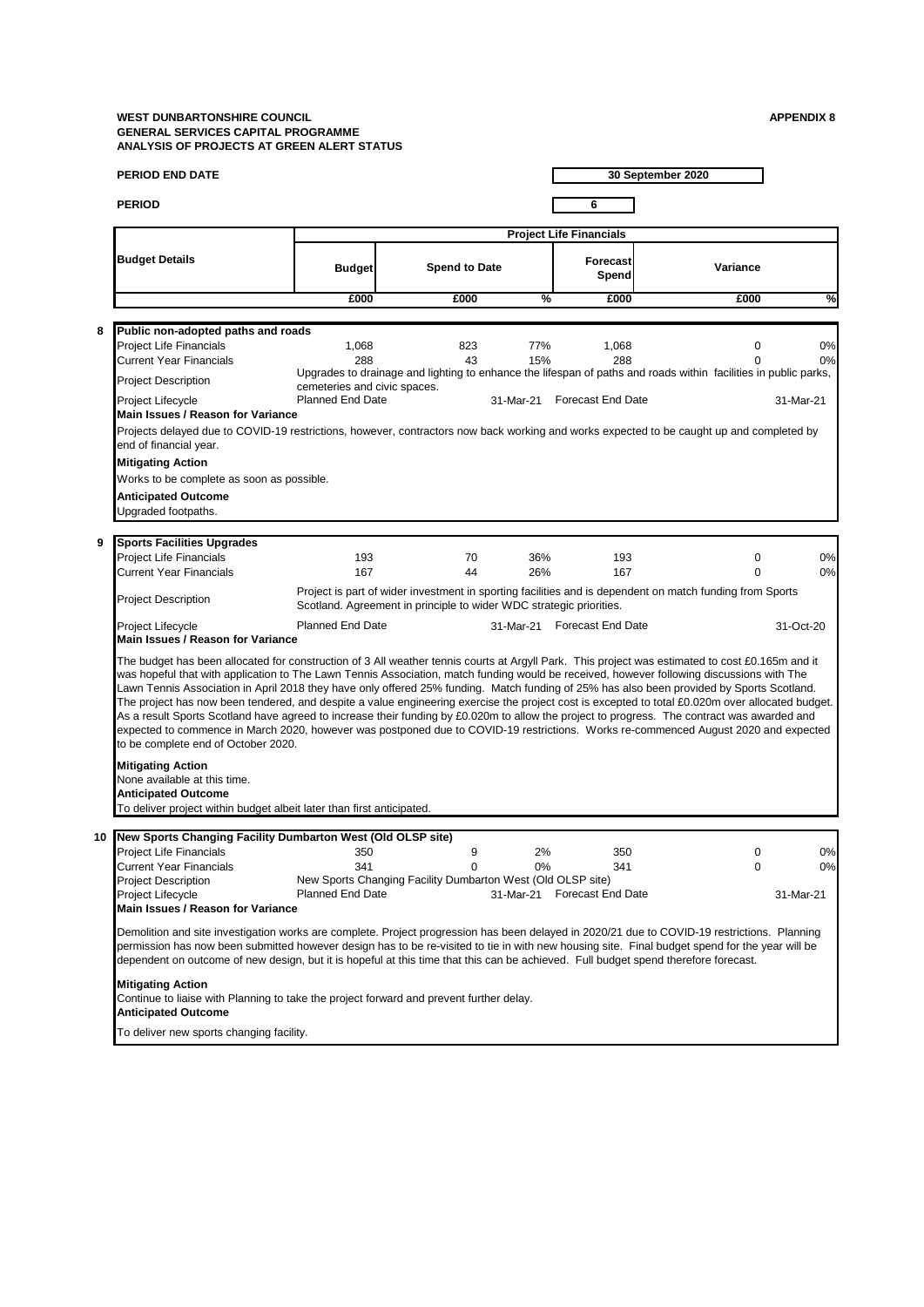|    | PERIOD END DATE                                                                                                                                                                                                                                                                                                                                                                                                                                                                                                                                                                                                                                                                                                                                                                                                                                                                                                            |                                |                                                                       |            |                                           | 30 September 2020                                                                                               |                       |
|----|----------------------------------------------------------------------------------------------------------------------------------------------------------------------------------------------------------------------------------------------------------------------------------------------------------------------------------------------------------------------------------------------------------------------------------------------------------------------------------------------------------------------------------------------------------------------------------------------------------------------------------------------------------------------------------------------------------------------------------------------------------------------------------------------------------------------------------------------------------------------------------------------------------------------------|--------------------------------|-----------------------------------------------------------------------|------------|-------------------------------------------|-----------------------------------------------------------------------------------------------------------------|-----------------------|
|    | <b>PERIOD</b>                                                                                                                                                                                                                                                                                                                                                                                                                                                                                                                                                                                                                                                                                                                                                                                                                                                                                                              |                                |                                                                       |            | 6                                         |                                                                                                                 |                       |
|    |                                                                                                                                                                                                                                                                                                                                                                                                                                                                                                                                                                                                                                                                                                                                                                                                                                                                                                                            |                                |                                                                       |            | <b>Project Life Financials</b>            |                                                                                                                 |                       |
|    | <b>Budget Details</b>                                                                                                                                                                                                                                                                                                                                                                                                                                                                                                                                                                                                                                                                                                                                                                                                                                                                                                      | <b>Budget</b>                  | <b>Spend to Date</b>                                                  |            | Forecast<br>Spend                         | Variance                                                                                                        |                       |
|    |                                                                                                                                                                                                                                                                                                                                                                                                                                                                                                                                                                                                                                                                                                                                                                                                                                                                                                                            | £000                           | £000                                                                  | %          | £000                                      | £000                                                                                                            | %                     |
|    |                                                                                                                                                                                                                                                                                                                                                                                                                                                                                                                                                                                                                                                                                                                                                                                                                                                                                                                            |                                |                                                                       |            |                                           |                                                                                                                 |                       |
| 8  | Public non-adopted paths and roads<br><b>Project Life Financials</b><br><b>Current Year Financials</b>                                                                                                                                                                                                                                                                                                                                                                                                                                                                                                                                                                                                                                                                                                                                                                                                                     | 1,068<br>288                   | 823<br>43                                                             | 77%<br>15% | 1,068<br>288                              | $\mathbf 0$                                                                                                     | 0%<br>0%              |
|    | <b>Project Description</b>                                                                                                                                                                                                                                                                                                                                                                                                                                                                                                                                                                                                                                                                                                                                                                                                                                                                                                 | cemeteries and civic spaces.   |                                                                       |            |                                           | Upgrades to drainage and lighting to enhance the lifespan of paths and roads within facilities in public parks, |                       |
|    | Project Lifecycle<br>Main Issues / Reason for Variance                                                                                                                                                                                                                                                                                                                                                                                                                                                                                                                                                                                                                                                                                                                                                                                                                                                                     | <b>Planned End Date</b>        |                                                                       | 31-Mar-21  | <b>Forecast End Date</b>                  |                                                                                                                 | 31-Mar-21             |
|    | Projects delayed due to COVID-19 restrictions, however, contractors now back working and works expected to be caught up and completed by<br>end of financial year.                                                                                                                                                                                                                                                                                                                                                                                                                                                                                                                                                                                                                                                                                                                                                         |                                |                                                                       |            |                                           |                                                                                                                 |                       |
|    | <b>Mitigating Action</b>                                                                                                                                                                                                                                                                                                                                                                                                                                                                                                                                                                                                                                                                                                                                                                                                                                                                                                   |                                |                                                                       |            |                                           |                                                                                                                 |                       |
|    | Works to be complete as soon as possible.<br><b>Anticipated Outcome</b>                                                                                                                                                                                                                                                                                                                                                                                                                                                                                                                                                                                                                                                                                                                                                                                                                                                    |                                |                                                                       |            |                                           |                                                                                                                 |                       |
|    | Upgraded footpaths.                                                                                                                                                                                                                                                                                                                                                                                                                                                                                                                                                                                                                                                                                                                                                                                                                                                                                                        |                                |                                                                       |            |                                           |                                                                                                                 |                       |
| 9  |                                                                                                                                                                                                                                                                                                                                                                                                                                                                                                                                                                                                                                                                                                                                                                                                                                                                                                                            |                                |                                                                       |            |                                           |                                                                                                                 |                       |
|    | <b>Sports Facilities Upgrades</b><br><b>Project Life Financials</b>                                                                                                                                                                                                                                                                                                                                                                                                                                                                                                                                                                                                                                                                                                                                                                                                                                                        | 193                            | 70                                                                    | 36%        | 193                                       | 0                                                                                                               | 0%                    |
|    | <b>Current Year Financials</b>                                                                                                                                                                                                                                                                                                                                                                                                                                                                                                                                                                                                                                                                                                                                                                                                                                                                                             | 167                            | 44                                                                    | 26%        | 167                                       | $\Omega$                                                                                                        | 0%                    |
|    | <b>Project Description</b>                                                                                                                                                                                                                                                                                                                                                                                                                                                                                                                                                                                                                                                                                                                                                                                                                                                                                                 |                                | Scotland. Agreement in principle to wider WDC strategic priorities.   |            |                                           | Project is part of wider investment in sporting facilities and is dependent on match funding from Sports        |                       |
|    | Project Lifecycle<br>Main Issues / Reason for Variance                                                                                                                                                                                                                                                                                                                                                                                                                                                                                                                                                                                                                                                                                                                                                                                                                                                                     | <b>Planned End Date</b>        |                                                                       |            | 31-Mar-21 Forecast End Date               |                                                                                                                 | 31-Oct-20             |
|    | The budget has been allocated for construction of 3 All weather tennis courts at Argyll Park. This project was estimated to cost £0.165m and it<br>was hopeful that with application to The Lawn Tennis Association, match funding would be received, however following discussions with The<br>Lawn Tennis Association in April 2018 they have only offered 25% funding. Match funding of 25% has also been provided by Sports Scotland.<br>The project has now been tendered, and despite a value engineering exercise the project cost is excepted to total £0.020m over allocated budget.<br>As a result Sports Scotland have agreed to increase their funding by £0.020m to allow the project to progress. The contract was awarded and<br>expected to commence in March 2020, however was postponed due to COVID-19 restrictions. Works re-commenced August 2020 and expected<br>to be complete end of October 2020. |                                |                                                                       |            |                                           |                                                                                                                 |                       |
|    | <b>Mitigating Action</b><br>None available at this time.<br><b>Anticipated Outcome</b><br>To deliver project within budget albeit later than first anticipated.                                                                                                                                                                                                                                                                                                                                                                                                                                                                                                                                                                                                                                                                                                                                                            |                                |                                                                       |            |                                           |                                                                                                                 |                       |
| 10 | New Sports Changing Facility Dumbarton West (Old OLSP site)                                                                                                                                                                                                                                                                                                                                                                                                                                                                                                                                                                                                                                                                                                                                                                                                                                                                |                                |                                                                       |            |                                           |                                                                                                                 |                       |
|    | Project Life Financials<br><b>Current Year Financials</b><br><b>Project Description</b><br>Project Lifecycle<br>Main Issues / Reason for Variance                                                                                                                                                                                                                                                                                                                                                                                                                                                                                                                                                                                                                                                                                                                                                                          | 350<br>341<br>Planned End Date | 9<br>0<br>New Sports Changing Facility Dumbarton West (Old OLSP site) | 2%<br>0%   | 350<br>341<br>31-Mar-21 Forecast End Date | 0<br>$\mathbf 0$                                                                                                | 0%<br>0%<br>31-Mar-21 |
|    | Demolition and site investigation works are complete. Project progression has been delayed in 2020/21 due to COVID-19 restrictions. Planning<br>permission has now been submitted however design has to be re-visited to tie in with new housing site. Final budget spend for the year will be<br>dependent on outcome of new design, but it is hopeful at this time that this can be achieved. Full budget spend therefore forecast.                                                                                                                                                                                                                                                                                                                                                                                                                                                                                      |                                |                                                                       |            |                                           |                                                                                                                 |                       |
|    | <b>Mitigating Action</b><br>Continue to liaise with Planning to take the project forward and prevent further delay.<br><b>Anticipated Outcome</b>                                                                                                                                                                                                                                                                                                                                                                                                                                                                                                                                                                                                                                                                                                                                                                          |                                |                                                                       |            |                                           |                                                                                                                 |                       |
|    | To deliver new sports changing facility.                                                                                                                                                                                                                                                                                                                                                                                                                                                                                                                                                                                                                                                                                                                                                                                                                                                                                   |                                |                                                                       |            |                                           |                                                                                                                 |                       |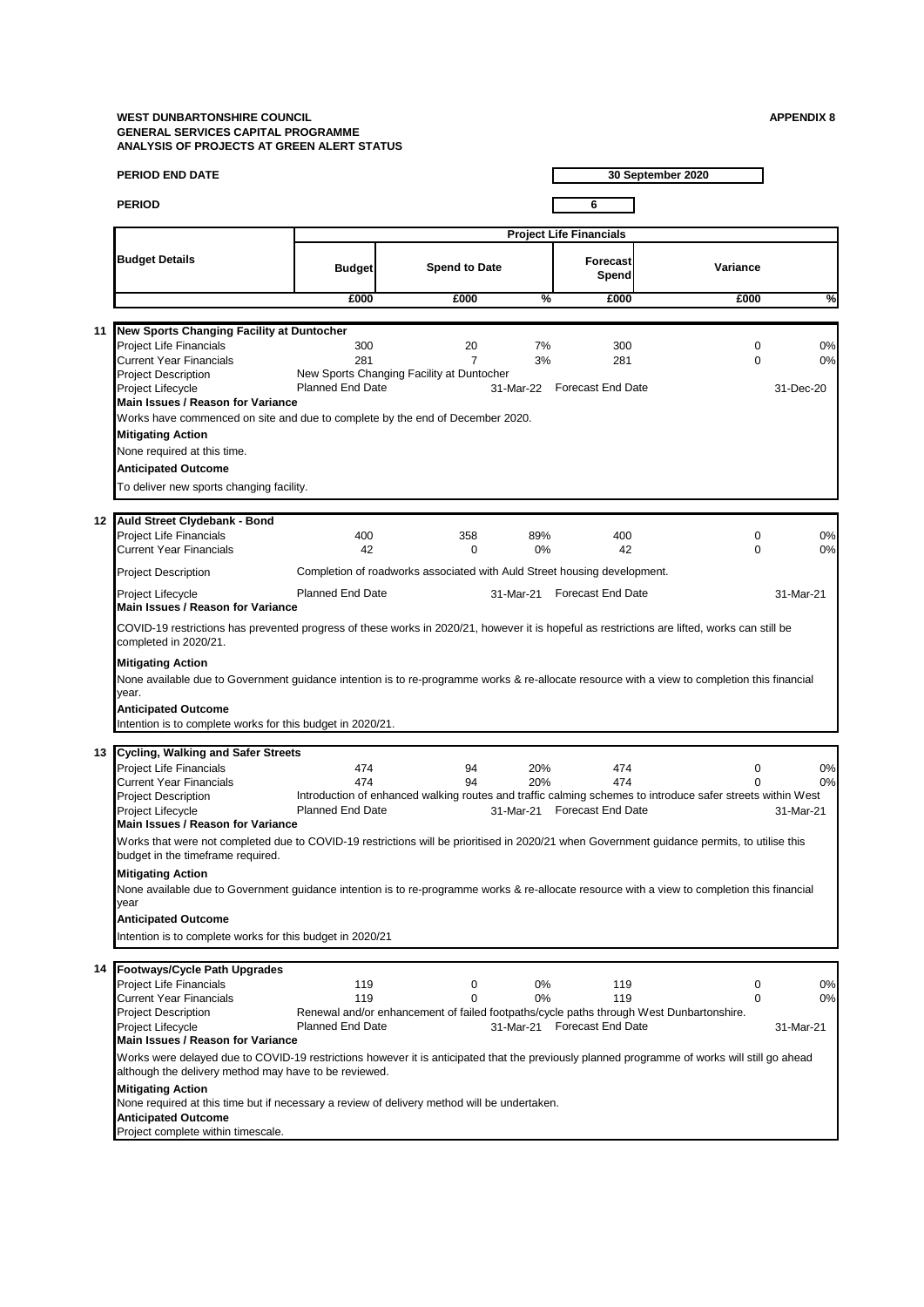|    | PERIOD END DATE                                                                                                                                                                                                                                                               |                                |                                                                          |           |                                    | 30 September 2020                                                                                                      |                 |
|----|-------------------------------------------------------------------------------------------------------------------------------------------------------------------------------------------------------------------------------------------------------------------------------|--------------------------------|--------------------------------------------------------------------------|-----------|------------------------------------|------------------------------------------------------------------------------------------------------------------------|-----------------|
|    | <b>PERIOD</b>                                                                                                                                                                                                                                                                 |                                |                                                                          |           | 6                                  |                                                                                                                        |                 |
|    |                                                                                                                                                                                                                                                                               |                                |                                                                          |           | <b>Project Life Financials</b>     |                                                                                                                        |                 |
|    | <b>Budget Details</b>                                                                                                                                                                                                                                                         | <b>Budget</b>                  | <b>Spend to Date</b>                                                     |           | Forecast<br>Spend                  | Variance                                                                                                               |                 |
|    |                                                                                                                                                                                                                                                                               | £000                           | £000                                                                     | %         | £000                               | £000                                                                                                                   | %               |
|    |                                                                                                                                                                                                                                                                               |                                |                                                                          |           |                                    |                                                                                                                        |                 |
| 11 | New Sports Changing Facility at Duntocher<br><b>Project Life Financials</b><br><b>Current Year Financials</b><br><b>Project Description</b>                                                                                                                                   | 300<br>281                     | 20<br>$\overline{7}$<br>New Sports Changing Facility at Duntocher        | 7%<br>3%  | 300<br>281                         | $\mathbf 0$<br>$\mathbf 0$                                                                                             | 0%<br>0%        |
|    | Project Lifecycle<br>Main Issues / Reason for Variance                                                                                                                                                                                                                        | <b>Planned End Date</b>        |                                                                          | 31-Mar-22 | <b>Forecast End Date</b>           |                                                                                                                        | 31-Dec-20       |
|    | Works have commenced on site and due to complete by the end of December 2020.<br><b>Mitigating Action</b><br>None required at this time.<br><b>Anticipated Outcome</b>                                                                                                        |                                |                                                                          |           |                                    |                                                                                                                        |                 |
|    | To deliver new sports changing facility.                                                                                                                                                                                                                                      |                                |                                                                          |           |                                    |                                                                                                                        |                 |
|    | 12 Auld Street Clydebank - Bond<br>Project Life Financials<br><b>Current Year Financials</b>                                                                                                                                                                                  | 400<br>42                      | 358<br>0                                                                 | 89%<br>0% | 400<br>42                          | $\mathbf 0$<br>$\Omega$                                                                                                | 0%<br>0%        |
|    | <b>Project Description</b>                                                                                                                                                                                                                                                    |                                | Completion of roadworks associated with Auld Street housing development. |           |                                    |                                                                                                                        |                 |
|    | Project Lifecycle<br>Main Issues / Reason for Variance                                                                                                                                                                                                                        | <b>Planned End Date</b>        |                                                                          | 31-Mar-21 | <b>Forecast End Date</b>           |                                                                                                                        | 31-Mar-21       |
|    | COVID-19 restrictions has prevented progress of these works in 2020/21, however it is hopeful as restrictions are lifted, works can still be<br>completed in 2020/21.                                                                                                         |                                |                                                                          |           |                                    |                                                                                                                        |                 |
|    | <b>Mitigating Action</b><br>None available due to Government guidance intention is to re-programme works & re-allocate resource with a view to completion this financial<br>year.<br><b>Anticipated Outcome</b><br>Intention is to complete works for this budget in 2020/21. |                                |                                                                          |           |                                    |                                                                                                                        |                 |
|    | 13 Cycling, Walking and Safer Streets<br>Project Life Financials                                                                                                                                                                                                              | 474                            | 94                                                                       | 20%       | 474                                | 0                                                                                                                      | 0%              |
|    | <b>Current Year Financials</b><br><b>Project Description</b><br>Project Lifecycle<br>Main Issues / Reason for Variance                                                                                                                                                        | 474<br><b>Planned End Date</b> | 94                                                                       | 20%       | 474<br>31-Mar-21 Forecast End Date | $\Omega$<br>Introduction of enhanced walking routes and traffic calming schemes to introduce safer streets within West | 0%<br>31-Mar-21 |
|    | Works that were not completed due to COVID-19 restrictions will be prioritised in 2020/21 when Government guidance permits, to utilise this<br>budget in the timeframe required.                                                                                              |                                |                                                                          |           |                                    |                                                                                                                        |                 |
|    | <b>Mitigating Action</b><br>None available due to Government quidance intention is to re-programme works & re-allocate resource with a view to completion this financial<br>year                                                                                              |                                |                                                                          |           |                                    |                                                                                                                        |                 |
|    | <b>Anticipated Outcome</b><br>Intention is to complete works for this budget in 2020/21                                                                                                                                                                                       |                                |                                                                          |           |                                    |                                                                                                                        |                 |
|    | 14 Footways/Cycle Path Upgrades                                                                                                                                                                                                                                               |                                |                                                                          |           |                                    |                                                                                                                        |                 |
|    | Project Life Financials<br><b>Current Year Financials</b>                                                                                                                                                                                                                     | 119<br>119                     | 0<br>$\mathbf 0$                                                         | 0%<br>0%  | 119<br>119                         | 0<br>$\mathbf 0$                                                                                                       | 0%<br>0%        |
|    | <b>Project Description</b><br>Project Lifecycle<br>Main Issues / Reason for Variance                                                                                                                                                                                          | <b>Planned End Date</b>        |                                                                          |           | 31-Mar-21 Forecast End Date        | Renewal and/or enhancement of failed footpaths/cycle paths through West Dunbartonshire.                                | 31-Mar-21       |
|    | Works were delayed due to COVID-19 restrictions however it is anticipated that the previously planned programme of works will still go ahead<br>although the delivery method may have to be reviewed.                                                                         |                                |                                                                          |           |                                    |                                                                                                                        |                 |
|    | <b>Mitigating Action</b><br>None required at this time but if necessary a review of delivery method will be undertaken.<br><b>Anticipated Outcome</b>                                                                                                                         |                                |                                                                          |           |                                    |                                                                                                                        |                 |
|    | Project complete within timescale.                                                                                                                                                                                                                                            |                                |                                                                          |           |                                    |                                                                                                                        |                 |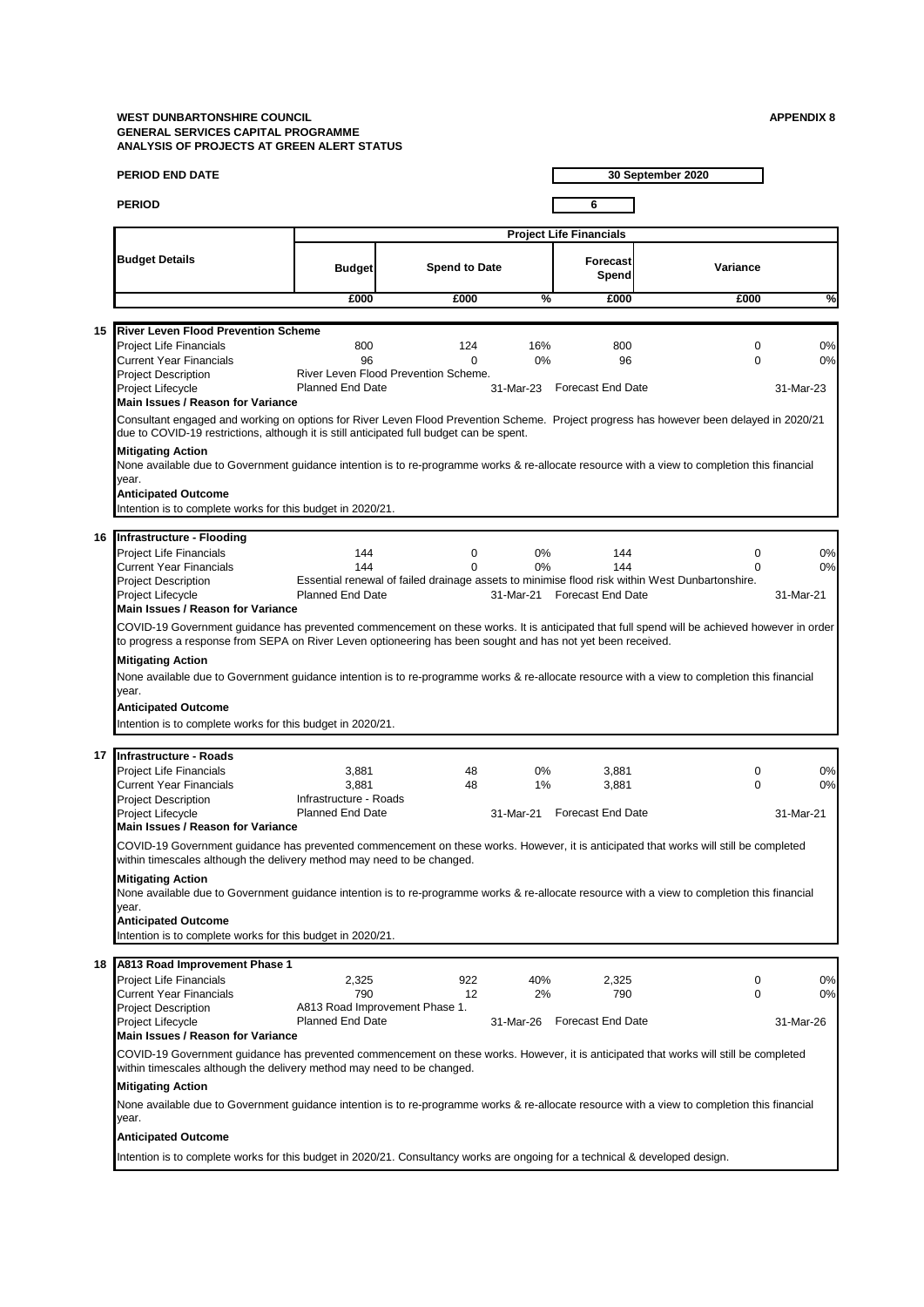|    | <b>PERIOD END DATE</b>                                                                                                                                                                                                                                     |                                                                 |                      |             |                                | 30 September 2020                                                                                   |           |
|----|------------------------------------------------------------------------------------------------------------------------------------------------------------------------------------------------------------------------------------------------------------|-----------------------------------------------------------------|----------------------|-------------|--------------------------------|-----------------------------------------------------------------------------------------------------|-----------|
|    | <b>PERIOD</b>                                                                                                                                                                                                                                              |                                                                 |                      |             | 6                              |                                                                                                     |           |
|    |                                                                                                                                                                                                                                                            |                                                                 |                      |             | <b>Project Life Financials</b> |                                                                                                     |           |
|    | <b>Budget Details</b>                                                                                                                                                                                                                                      | <b>Budget</b>                                                   | <b>Spend to Date</b> |             | <b>Forecast</b><br>Spend       | Variance                                                                                            |           |
|    |                                                                                                                                                                                                                                                            | £000                                                            | £000                 | %           | £000                           | £000                                                                                                | %         |
|    |                                                                                                                                                                                                                                                            |                                                                 |                      |             |                                |                                                                                                     |           |
| 15 | <b>River Leven Flood Prevention Scheme</b><br><b>Project Life Financials</b>                                                                                                                                                                               | 800                                                             | 124                  | 16%         | 800                            | $\mathbf 0$                                                                                         | 0%        |
|    | <b>Current Year Financials</b>                                                                                                                                                                                                                             | 96                                                              | $\Omega$             | 0%          | 96                             | $\Omega$                                                                                            | 0%        |
|    | <b>Project Description</b><br>Project Lifecycle                                                                                                                                                                                                            | River Leven Flood Prevention Scheme.<br><b>Planned End Date</b> |                      | 31-Mar-23   | <b>Forecast End Date</b>       |                                                                                                     | 31-Mar-23 |
|    | Main Issues / Reason for Variance                                                                                                                                                                                                                          |                                                                 |                      |             |                                |                                                                                                     |           |
|    | Consultant engaged and working on options for River Leven Flood Prevention Scheme. Project progress has however been delayed in 2020/21<br>due to COVID-19 restrictions, although it is still anticipated full budget can be spent.                        |                                                                 |                      |             |                                |                                                                                                     |           |
|    | <b>Mitigating Action</b>                                                                                                                                                                                                                                   |                                                                 |                      |             |                                |                                                                                                     |           |
|    | None available due to Government guidance intention is to re-programme works & re-allocate resource with a view to completion this financial<br>year.                                                                                                      |                                                                 |                      |             |                                |                                                                                                     |           |
|    | <b>Anticipated Outcome</b>                                                                                                                                                                                                                                 |                                                                 |                      |             |                                |                                                                                                     |           |
|    | Intention is to complete works for this budget in 2020/21.                                                                                                                                                                                                 |                                                                 |                      |             |                                |                                                                                                     |           |
| 16 | <b>Infrastructure - Flooding</b>                                                                                                                                                                                                                           |                                                                 |                      |             |                                |                                                                                                     |           |
|    | <b>Project Life Financials</b>                                                                                                                                                                                                                             | 144                                                             | 0                    | 0%          | 144                            | $\mathbf 0$                                                                                         | 0%        |
|    | <b>Current Year Financials</b>                                                                                                                                                                                                                             | 144                                                             | $\Omega$             | 0%          | 144                            | 0<br>Essential renewal of failed drainage assets to minimise flood risk within West Dunbartonshire. | 0%        |
|    | <b>Project Description</b><br>Project Lifecycle                                                                                                                                                                                                            | <b>Planned End Date</b>                                         |                      |             | 31-Mar-21 Forecast End Date    |                                                                                                     | 31-Mar-21 |
|    | Main Issues / Reason for Variance                                                                                                                                                                                                                          |                                                                 |                      |             |                                |                                                                                                     |           |
|    | COVID-19 Government guidance has prevented commencement on these works. It is anticipated that full spend will be achieved however in order<br>to progress a response from SEPA on River Leven optioneering has been sought and has not yet been received. |                                                                 |                      |             |                                |                                                                                                     |           |
|    | <b>Mitigating Action</b>                                                                                                                                                                                                                                   |                                                                 |                      |             |                                |                                                                                                     |           |
|    | None available due to Government guidance intention is to re-programme works & re-allocate resource with a view to completion this financial                                                                                                               |                                                                 |                      |             |                                |                                                                                                     |           |
|    | year.<br><b>Anticipated Outcome</b>                                                                                                                                                                                                                        |                                                                 |                      |             |                                |                                                                                                     |           |
|    | Intention is to complete works for this budget in 2020/21.                                                                                                                                                                                                 |                                                                 |                      |             |                                |                                                                                                     |           |
|    |                                                                                                                                                                                                                                                            |                                                                 |                      |             |                                |                                                                                                     |           |
|    | 17 Infrastructure - Roads                                                                                                                                                                                                                                  |                                                                 |                      |             |                                |                                                                                                     |           |
|    | <b>Project Life Financials</b><br><b>Current Year Financials</b>                                                                                                                                                                                           | 3,881<br>3,881                                                  | 48<br>48             | $0\%$<br>1% | 3,881<br>3,881                 | $\mathbf 0$<br>$\Omega$                                                                             | 0%<br>0%  |
|    | <b>Project Description</b>                                                                                                                                                                                                                                 | Infrastructure - Roads                                          |                      |             |                                |                                                                                                     |           |
|    | Project Lifecycle                                                                                                                                                                                                                                          | <b>Planned End Date</b>                                         |                      | 31-Mar-21   | <b>Forecast End Date</b>       |                                                                                                     | 31-Mar-21 |
|    | Main Issues / Reason for Variance                                                                                                                                                                                                                          |                                                                 |                      |             |                                |                                                                                                     |           |
|    | COVID-19 Government guidance has prevented commencement on these works. However, it is anticipated that works will still be completed<br>within timescales although the delivery method may need to be changed.                                            |                                                                 |                      |             |                                |                                                                                                     |           |
|    | <b>Mitigating Action</b>                                                                                                                                                                                                                                   |                                                                 |                      |             |                                |                                                                                                     |           |
|    | None available due to Government guidance intention is to re-programme works & re-allocate resource with a view to completion this financial                                                                                                               |                                                                 |                      |             |                                |                                                                                                     |           |
|    | year.<br><b>Anticipated Outcome</b>                                                                                                                                                                                                                        |                                                                 |                      |             |                                |                                                                                                     |           |
|    | Intention is to complete works for this budget in 2020/21.                                                                                                                                                                                                 |                                                                 |                      |             |                                |                                                                                                     |           |
|    |                                                                                                                                                                                                                                                            |                                                                 |                      |             |                                |                                                                                                     |           |
| 18 | A813 Road Improvement Phase 1<br>Project Life Financials                                                                                                                                                                                                   | 2,325                                                           | 922                  | 40%         | 2,325                          | 0                                                                                                   | 0%        |
|    | <b>Current Year Financials</b>                                                                                                                                                                                                                             | 790                                                             | 12                   | 2%          | 790                            | $\Omega$                                                                                            | 0%        |
|    | <b>Project Description</b>                                                                                                                                                                                                                                 | A813 Road Improvement Phase 1.                                  |                      |             |                                |                                                                                                     |           |
|    | Project Lifecycle<br>Main Issues / Reason for Variance                                                                                                                                                                                                     | <b>Planned End Date</b>                                         |                      | 31-Mar-26   | <b>Forecast End Date</b>       |                                                                                                     | 31-Mar-26 |
|    | COVID-19 Government guidance has prevented commencement on these works. However, it is anticipated that works will still be completed<br>within timescales although the delivery method may need to be changed.                                            |                                                                 |                      |             |                                |                                                                                                     |           |
|    | <b>Mitigating Action</b>                                                                                                                                                                                                                                   |                                                                 |                      |             |                                |                                                                                                     |           |
|    | None available due to Government guidance intention is to re-programme works & re-allocate resource with a view to completion this financial<br>year.                                                                                                      |                                                                 |                      |             |                                |                                                                                                     |           |
|    | <b>Anticipated Outcome</b>                                                                                                                                                                                                                                 |                                                                 |                      |             |                                |                                                                                                     |           |
|    | Intention is to complete works for this budget in 2020/21. Consultancy works are ongoing for a technical & developed design.                                                                                                                               |                                                                 |                      |             |                                |                                                                                                     |           |
|    |                                                                                                                                                                                                                                                            |                                                                 |                      |             |                                |                                                                                                     |           |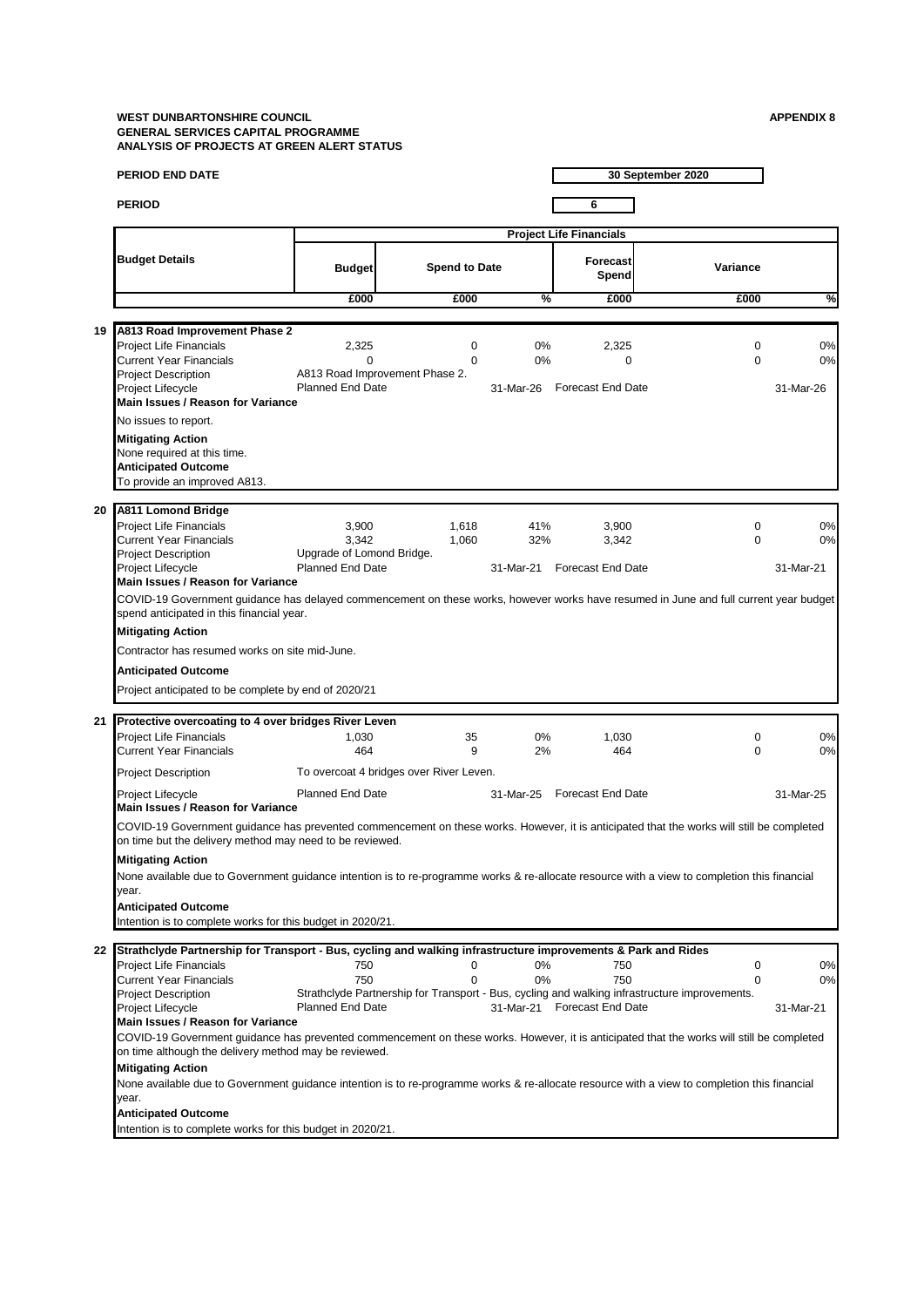|    | <b>PERIOD END DATE</b>                                                                                                                                                                                                                                                                                                                                                                                                                                                                                                                                                                                                                                        |                                                                        |                                                           |                         |                                            | 30 September 2020                                                                                       |                       |
|----|---------------------------------------------------------------------------------------------------------------------------------------------------------------------------------------------------------------------------------------------------------------------------------------------------------------------------------------------------------------------------------------------------------------------------------------------------------------------------------------------------------------------------------------------------------------------------------------------------------------------------------------------------------------|------------------------------------------------------------------------|-----------------------------------------------------------|-------------------------|--------------------------------------------|---------------------------------------------------------------------------------------------------------|-----------------------|
|    | <b>PERIOD</b>                                                                                                                                                                                                                                                                                                                                                                                                                                                                                                                                                                                                                                                 |                                                                        |                                                           |                         | 6                                          |                                                                                                         |                       |
|    |                                                                                                                                                                                                                                                                                                                                                                                                                                                                                                                                                                                                                                                               |                                                                        |                                                           |                         | <b>Project Life Financials</b>             |                                                                                                         |                       |
|    | <b>Budget Details</b>                                                                                                                                                                                                                                                                                                                                                                                                                                                                                                                                                                                                                                         | <b>Budget</b>                                                          | <b>Spend to Date</b>                                      |                         | Forecast<br>Spend                          | Variance                                                                                                |                       |
|    |                                                                                                                                                                                                                                                                                                                                                                                                                                                                                                                                                                                                                                                               | £000                                                                   | £000                                                      | %                       | £000                                       | £000                                                                                                    | $\frac{9}{6}$         |
|    |                                                                                                                                                                                                                                                                                                                                                                                                                                                                                                                                                                                                                                                               |                                                                        |                                                           |                         |                                            |                                                                                                         |                       |
| 19 | A813 Road Improvement Phase 2<br><b>Project Life Financials</b><br><b>Current Year Financials</b><br><b>Project Description</b><br>Project Lifecycle<br>Main Issues / Reason for Variance                                                                                                                                                                                                                                                                                                                                                                                                                                                                     | 2,325<br>$\Omega$<br><b>Planned End Date</b>                           | $\mathbf 0$<br>$\Omega$<br>A813 Road Improvement Phase 2. | 0%<br>0%<br>31-Mar-26   | 2,325<br>0<br><b>Forecast End Date</b>     | 0<br>$\Omega$                                                                                           | 0%<br>0%<br>31-Mar-26 |
|    | No issues to report.<br><b>Mitigating Action</b><br>None required at this time.<br><b>Anticipated Outcome</b><br>To provide an improved A813.                                                                                                                                                                                                                                                                                                                                                                                                                                                                                                                 |                                                                        |                                                           |                         |                                            |                                                                                                         |                       |
| 20 | A811 Lomond Bridge<br>Project Life Financials<br><b>Current Year Financials</b><br><b>Project Description</b><br>Project Lifecycle<br>Main Issues / Reason for Variance                                                                                                                                                                                                                                                                                                                                                                                                                                                                                       | 3,900<br>3,342<br>Upgrade of Lomond Bridge.<br><b>Planned End Date</b> | 1,618<br>1.060                                            | 41%<br>32%<br>31-Mar-21 | 3,900<br>3,342<br><b>Forecast End Date</b> | 0<br>$\Omega$                                                                                           | 0%<br>0%<br>31-Mar-21 |
|    | COVID-19 Government guidance has delayed commencement on these works, however works have resumed in June and full current year budget<br>spend anticipated in this financial year.<br><b>Mitigating Action</b><br>Contractor has resumed works on site mid-June.<br><b>Anticipated Outcome</b><br>Project anticipated to be complete by end of 2020/21                                                                                                                                                                                                                                                                                                        |                                                                        |                                                           |                         |                                            |                                                                                                         |                       |
| 21 | Protective overcoating to 4 over bridges River Leven<br><b>Project Life Financials</b><br><b>Current Year Financials</b>                                                                                                                                                                                                                                                                                                                                                                                                                                                                                                                                      | 1,030<br>464                                                           | 35<br>9                                                   | 0%<br>2%                | 1,030<br>464                               | $\mathbf 0$<br>$\Omega$                                                                                 | 0%<br>0%              |
|    | <b>Project Description</b>                                                                                                                                                                                                                                                                                                                                                                                                                                                                                                                                                                                                                                    |                                                                        | To overcoat 4 bridges over River Leven.                   |                         |                                            |                                                                                                         |                       |
|    | Project Lifecycle<br>Main Issues / Reason for Variance                                                                                                                                                                                                                                                                                                                                                                                                                                                                                                                                                                                                        | <b>Planned End Date</b>                                                |                                                           | 31-Mar-25               | <b>Forecast End Date</b>                   |                                                                                                         | 31-Mar-25             |
|    | COVID-19 Government guidance has prevented commencement on these works. However, it is anticipated that the works will still be completed<br>on time but the delivery method may need to be reviewed.                                                                                                                                                                                                                                                                                                                                                                                                                                                         |                                                                        |                                                           |                         |                                            |                                                                                                         |                       |
|    | <b>Mitigating Action</b><br>None available due to Government guidance intention is to re-programme works & re-allocate resource with a view to completion this financial<br>year.                                                                                                                                                                                                                                                                                                                                                                                                                                                                             |                                                                        |                                                           |                         |                                            |                                                                                                         |                       |
|    | <b>Anticipated Outcome</b><br>Intention is to complete works for this budget in 2020/21.                                                                                                                                                                                                                                                                                                                                                                                                                                                                                                                                                                      |                                                                        |                                                           |                         |                                            |                                                                                                         |                       |
| 22 | Strathclyde Partnership for Transport - Bus, cycling and walking infrastructure improvements & Park and Rides<br><b>Project Life Financials</b><br>Current Year Financials<br><b>Project Description</b><br>Project Lifecycle<br>Main Issues / Reason for Variance<br>COVID-19 Government guidance has prevented commencement on these works. However, it is anticipated that the works will still be completed<br>on time although the delivery method may be reviewed.<br><b>Mitigating Action</b><br>None available due to Government guidance intention is to re-programme works & re-allocate resource with a view to completion this financial<br>year. | 750<br>750<br><b>Planned End Date</b>                                  | 0<br>0                                                    | 0%<br>0%                | 750<br>750<br>31-Mar-21 Forecast End Date  | 0<br>0<br>Strathclyde Partnership for Transport - Bus, cycling and walking infrastructure improvements. | 0%<br>0%<br>31-Mar-21 |
|    | <b>Anticipated Outcome</b><br>Intention is to complete works for this budget in 2020/21.                                                                                                                                                                                                                                                                                                                                                                                                                                                                                                                                                                      |                                                                        |                                                           |                         |                                            |                                                                                                         |                       |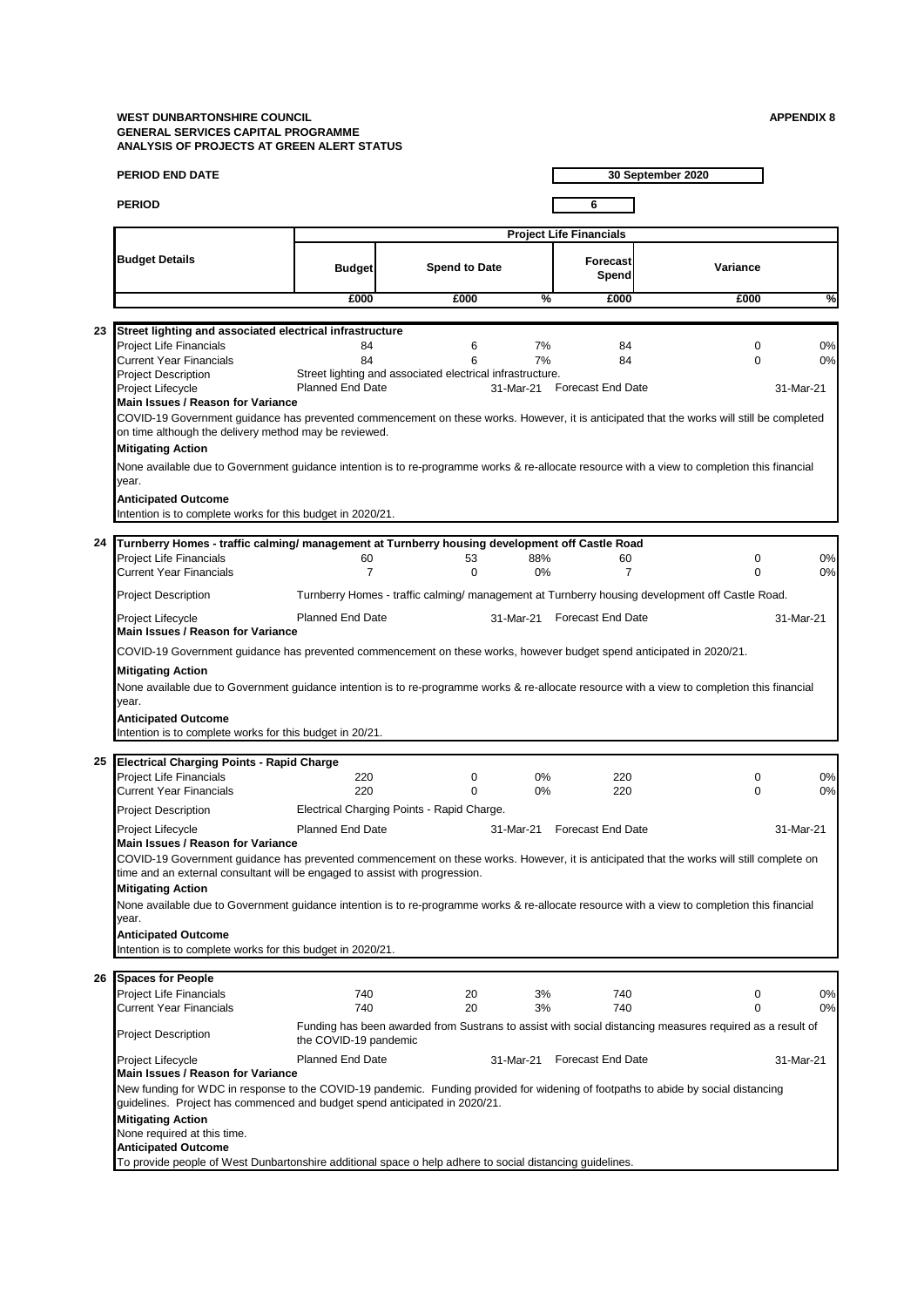| <b>PERIOD END DATE</b>                                                                                                                                                                                                                                                      |                         |                                                           |           |                                | 30 September 2020                                                                                        |           |
|-----------------------------------------------------------------------------------------------------------------------------------------------------------------------------------------------------------------------------------------------------------------------------|-------------------------|-----------------------------------------------------------|-----------|--------------------------------|----------------------------------------------------------------------------------------------------------|-----------|
| <b>PERIOD</b>                                                                                                                                                                                                                                                               |                         |                                                           |           | 6                              |                                                                                                          |           |
|                                                                                                                                                                                                                                                                             |                         |                                                           |           | <b>Project Life Financials</b> |                                                                                                          |           |
| <b>Budget Details</b>                                                                                                                                                                                                                                                       | <b>Budget</b>           | <b>Spend to Date</b>                                      |           | Forecast<br>Spend              | Variance                                                                                                 |           |
|                                                                                                                                                                                                                                                                             | £000                    | £000                                                      | %         | £000                           | £000                                                                                                     | %         |
|                                                                                                                                                                                                                                                                             |                         |                                                           |           |                                |                                                                                                          |           |
| Street lighting and associated electrical infrastructure<br>23<br><b>Project Life Financials</b>                                                                                                                                                                            | 84                      | 6                                                         | 7%        | 84                             | $\mathbf 0$                                                                                              | 0%        |
| <b>Current Year Financials</b>                                                                                                                                                                                                                                              | 84                      | 6                                                         | 7%        | 84                             | $\Omega$                                                                                                 | 0%        |
| <b>Project Description</b><br>Project Lifecycle<br>Main Issues / Reason for Variance                                                                                                                                                                                        | <b>Planned End Date</b> | Street lighting and associated electrical infrastructure. |           | 31-Mar-21 Forecast End Date    |                                                                                                          | 31-Mar-21 |
| COVID-19 Government guidance has prevented commencement on these works. However, it is anticipated that the works will still be completed<br>on time although the delivery method may be reviewed.<br><b>Mitigating Action</b>                                              |                         |                                                           |           |                                |                                                                                                          |           |
| None available due to Government guidance intention is to re-programme works & re-allocate resource with a view to completion this financial<br>year.                                                                                                                       |                         |                                                           |           |                                |                                                                                                          |           |
| <b>Anticipated Outcome</b><br>Intention is to complete works for this budget in 2020/21.                                                                                                                                                                                    |                         |                                                           |           |                                |                                                                                                          |           |
| Turnberry Homes - traffic calming/ management at Turnberry housing development off Castle Road<br>24                                                                                                                                                                        |                         |                                                           |           |                                |                                                                                                          |           |
| <b>Project Life Financials</b>                                                                                                                                                                                                                                              | 60                      | 53                                                        | 88%       | 60                             | $\mathbf 0$                                                                                              | 0%        |
| <b>Current Year Financials</b>                                                                                                                                                                                                                                              | $\overline{7}$          | $\Omega$                                                  | 0%        | $\overline{7}$                 | $\Omega$                                                                                                 | 0%        |
| Project Description                                                                                                                                                                                                                                                         |                         |                                                           |           |                                | Turnberry Homes - traffic calming/ management at Turnberry housing development off Castle Road.          |           |
| Project Lifecycle<br>Main Issues / Reason for Variance                                                                                                                                                                                                                      | <b>Planned End Date</b> |                                                           |           | 31-Mar-21 Forecast End Date    |                                                                                                          | 31-Mar-21 |
| COVID-19 Government guidance has prevented commencement on these works, however budget spend anticipated in 2020/21.                                                                                                                                                        |                         |                                                           |           |                                |                                                                                                          |           |
| <b>Mitigating Action</b><br>None available due to Government guidance intention is to re-programme works & re-allocate resource with a view to completion this financial<br>year.<br><b>Anticipated Outcome</b><br>Intention is to complete works for this budget in 20/21. |                         |                                                           |           |                                |                                                                                                          |           |
|                                                                                                                                                                                                                                                                             |                         |                                                           |           |                                |                                                                                                          |           |
| <b>Electrical Charging Points - Rapid Charge</b>                                                                                                                                                                                                                            |                         |                                                           |           |                                |                                                                                                          |           |
| <b>Project Life Financials</b><br><b>Current Year Financials</b>                                                                                                                                                                                                            | 220<br>220              | 0<br>$\Omega$                                             | 0%<br>0%  | 220<br>220                     | $\mathbf 0$<br>$\Omega$                                                                                  | 0%<br>0%  |
| <b>Project Description</b>                                                                                                                                                                                                                                                  |                         | Electrical Charging Points - Rapid Charge.                |           |                                |                                                                                                          |           |
| Project Lifecycle                                                                                                                                                                                                                                                           | <b>Planned End Date</b> |                                                           | 31-Mar-21 | Forecast End Date              |                                                                                                          | 31-Mar-21 |
| Main Issues / Reason for Variance<br>COVID-19 Government quidance has prevented commencement on these works. However, it is anticipated that the works will still complete on<br>time and an external consultant will be engaged to assist with progression.                |                         |                                                           |           |                                |                                                                                                          |           |
| <b>Mitigating Action</b><br>None available due to Government quidance intention is to re-programme works & re-allocate resource with a view to completion this financial                                                                                                    |                         |                                                           |           |                                |                                                                                                          |           |
| year.<br><b>Anticipated Outcome</b><br>Intention is to complete works for this budget in 2020/21.                                                                                                                                                                           |                         |                                                           |           |                                |                                                                                                          |           |
| <b>Spaces for People</b>                                                                                                                                                                                                                                                    |                         |                                                           |           |                                |                                                                                                          |           |
| Project Life Financials                                                                                                                                                                                                                                                     | 740                     | 20                                                        | 3%        | 740                            | $\mathbf 0$                                                                                              | 0%        |
| Current Year Financials                                                                                                                                                                                                                                                     | 740                     | 20                                                        | 3%        | 740                            | $\mathbf 0$                                                                                              | 0%        |
| <b>Project Description</b>                                                                                                                                                                                                                                                  | the COVID-19 pandemic   |                                                           |           |                                | Funding has been awarded from Sustrans to assist with social distancing measures required as a result of |           |
| Project Lifecycle<br>Main Issues / Reason for Variance                                                                                                                                                                                                                      | <b>Planned End Date</b> |                                                           | 31-Mar-21 | <b>Forecast End Date</b>       |                                                                                                          | 31-Mar-21 |
| New funding for WDC in response to the COVID-19 pandemic. Funding provided for widening of footpaths to abide by social distancing<br>guidelines. Project has commenced and budget spend anticipated in 2020/21.<br><b>Mitigating Action</b>                                |                         |                                                           |           |                                |                                                                                                          |           |
| None required at this time.<br><b>Anticipated Outcome</b>                                                                                                                                                                                                                   |                         |                                                           |           |                                |                                                                                                          |           |
| To provide people of West Dunbartonshire additional space o help adhere to social distancing guidelines.                                                                                                                                                                    |                         |                                                           |           |                                |                                                                                                          |           |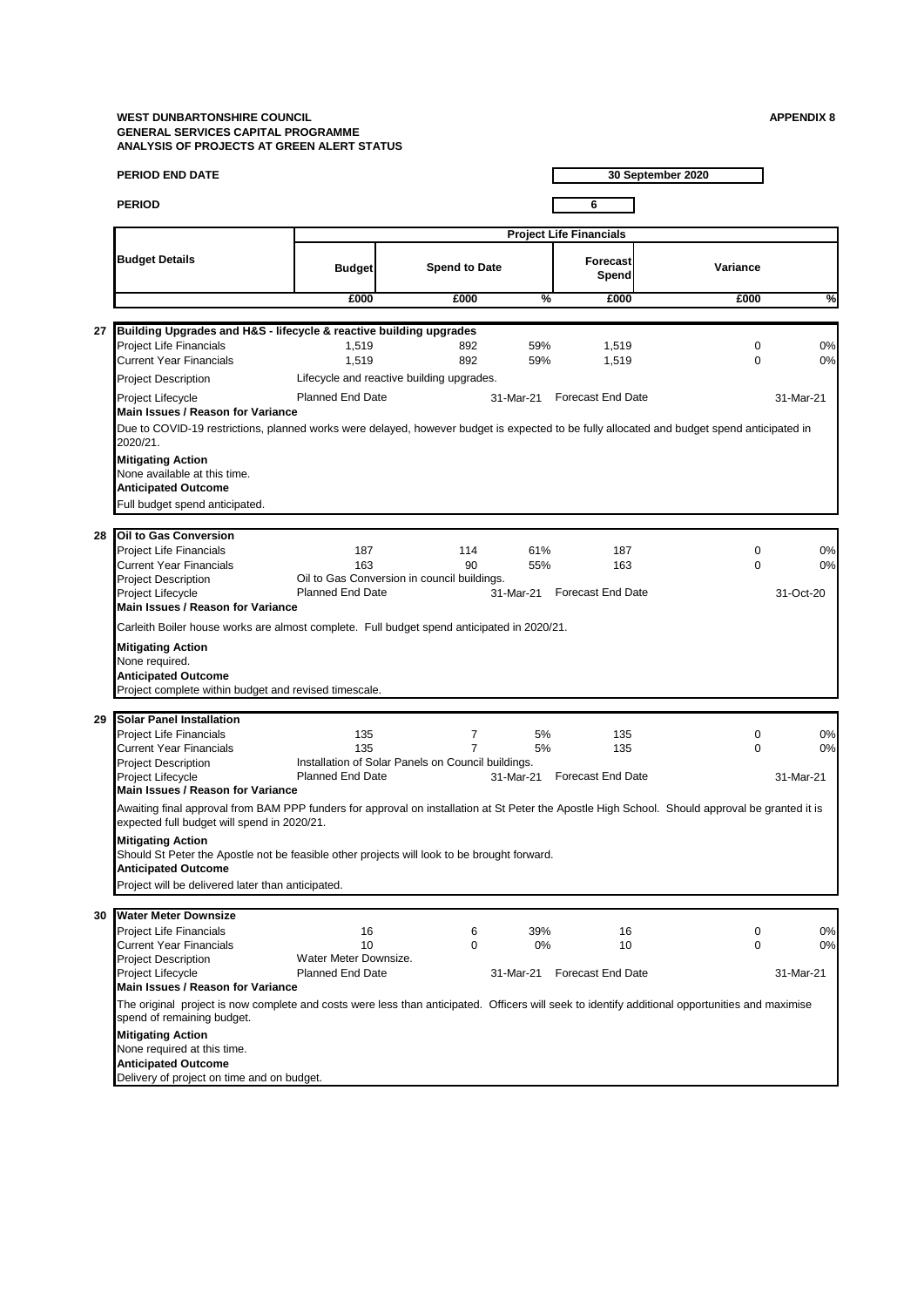|    | <b>PERIOD END DATE</b>                                                                                                                                                                         |                                                  |                                                                      |            |                                | 30 September 2020       |           |
|----|------------------------------------------------------------------------------------------------------------------------------------------------------------------------------------------------|--------------------------------------------------|----------------------------------------------------------------------|------------|--------------------------------|-------------------------|-----------|
|    | <b>PERIOD</b>                                                                                                                                                                                  |                                                  |                                                                      |            | 6                              |                         |           |
|    |                                                                                                                                                                                                |                                                  |                                                                      |            | <b>Project Life Financials</b> |                         |           |
|    | <b>Budget Details</b>                                                                                                                                                                          | <b>Budget</b>                                    | <b>Spend to Date</b>                                                 |            | Forecast<br>Spend              | Variance                |           |
|    |                                                                                                                                                                                                | £000                                             | £000                                                                 | %          | £000                           | £000                    | %         |
| 27 | Building Upgrades and H&S - lifecycle & reactive building upgrades                                                                                                                             |                                                  |                                                                      |            |                                |                         |           |
|    | <b>Project Life Financials</b><br>Current Year Financials                                                                                                                                      | 1,519<br>1,519                                   | 892<br>892                                                           | 59%<br>59% | 1,519<br>1,519                 | $\mathbf 0$<br>$\Omega$ | 0%<br>0%  |
|    | <b>Project Description</b>                                                                                                                                                                     |                                                  | Lifecycle and reactive building upgrades.                            |            |                                |                         |           |
|    | Project Lifecycle                                                                                                                                                                              | <b>Planned End Date</b>                          |                                                                      | 31-Mar-21  | Forecast End Date              |                         | 31-Mar-21 |
|    | Main Issues / Reason for Variance                                                                                                                                                              |                                                  |                                                                      |            |                                |                         |           |
|    | Due to COVID-19 restrictions, planned works were delayed, however budget is expected to be fully allocated and budget spend anticipated in<br>2020/21.                                         |                                                  |                                                                      |            |                                |                         |           |
|    | <b>Mitigating Action</b>                                                                                                                                                                       |                                                  |                                                                      |            |                                |                         |           |
|    | None available at this time.<br><b>Anticipated Outcome</b>                                                                                                                                     |                                                  |                                                                      |            |                                |                         |           |
|    | Full budget spend anticipated.                                                                                                                                                                 |                                                  |                                                                      |            |                                |                         |           |
| 28 | Oil to Gas Conversion                                                                                                                                                                          |                                                  |                                                                      |            |                                |                         |           |
|    | <b>Project Life Financials</b>                                                                                                                                                                 | 187                                              | 114                                                                  | 61%        | 187                            | $\mathbf 0$             | 0%        |
|    | Current Year Financials<br><b>Project Description</b>                                                                                                                                          | 163                                              | 90<br>Oil to Gas Conversion in council buildings.                    | 55%        | 163                            | $\Omega$                | 0%        |
|    | Project Lifecycle                                                                                                                                                                              | <b>Planned End Date</b>                          |                                                                      | 31-Mar-21  | <b>Forecast End Date</b>       |                         | 31-Oct-20 |
|    | Main Issues / Reason for Variance                                                                                                                                                              |                                                  |                                                                      |            |                                |                         |           |
|    | Carleith Boiler house works are almost complete. Full budget spend anticipated in 2020/21.                                                                                                     |                                                  |                                                                      |            |                                |                         |           |
|    | <b>Mitigating Action</b><br>None required.                                                                                                                                                     |                                                  |                                                                      |            |                                |                         |           |
|    | <b>Anticipated Outcome</b>                                                                                                                                                                     |                                                  |                                                                      |            |                                |                         |           |
|    | Project complete within budget and revised timescale.                                                                                                                                          |                                                  |                                                                      |            |                                |                         |           |
| 29 | <b>Solar Panel Installation</b>                                                                                                                                                                |                                                  |                                                                      |            |                                |                         |           |
|    | <b>Project Life Financials</b>                                                                                                                                                                 | 135                                              | 7                                                                    | 5%         | 135                            | $\mathbf 0$             | 0%        |
|    | <b>Current Year Financials</b><br><b>Project Description</b>                                                                                                                                   | 135                                              | $\overline{7}$<br>Installation of Solar Panels on Council buildings. | 5%         | 135                            | $\Omega$                | 0%        |
|    | Project Lifecycle                                                                                                                                                                              | <b>Planned End Date</b>                          |                                                                      |            | 31-Mar-21 Forecast End Date    |                         | 31-Mar-21 |
|    | Main Issues / Reason for Variance                                                                                                                                                              |                                                  |                                                                      |            |                                |                         |           |
|    | Awaiting final approval from BAM PPP funders for approval on installation at St Peter the Apostle High School. Should approval be granted it is<br>expected full budget will spend in 2020/21. |                                                  |                                                                      |            |                                |                         |           |
|    | <b>Mitigating Action</b>                                                                                                                                                                       |                                                  |                                                                      |            |                                |                         |           |
|    | Should St Peter the Apostle not be feasible other projects will look to be brought forward.<br><b>Anticipated Outcome</b>                                                                      |                                                  |                                                                      |            |                                |                         |           |
|    | Project will be delivered later than anticipated.                                                                                                                                              |                                                  |                                                                      |            |                                |                         |           |
| 30 | <b>Water Meter Downsize</b>                                                                                                                                                                    |                                                  |                                                                      |            |                                |                         |           |
|    | <b>Project Life Financials</b>                                                                                                                                                                 | 16                                               | 6                                                                    | 39%        | 16                             | 0                       | 0%        |
|    | <b>Current Year Financials</b>                                                                                                                                                                 | 10                                               | 0                                                                    | 0%         | 10                             | $\Omega$                | 0%        |
|    | <b>Project Description</b><br>Project Lifecycle                                                                                                                                                | Water Meter Downsize.<br><b>Planned End Date</b> |                                                                      | 31-Mar-21  | <b>Forecast End Date</b>       |                         | 31-Mar-21 |
|    | Main Issues / Reason for Variance                                                                                                                                                              |                                                  |                                                                      |            |                                |                         |           |
|    | The original project is now complete and costs were less than anticipated. Officers will seek to identify additional opportunities and maximise<br>spend of remaining budget.                  |                                                  |                                                                      |            |                                |                         |           |
|    | <b>Mitigating Action</b>                                                                                                                                                                       |                                                  |                                                                      |            |                                |                         |           |
|    | None required at this time.                                                                                                                                                                    |                                                  |                                                                      |            |                                |                         |           |
|    | <b>Anticipated Outcome</b><br>Delivery of project on time and on budget.                                                                                                                       |                                                  |                                                                      |            |                                |                         |           |
|    |                                                                                                                                                                                                |                                                  |                                                                      |            |                                |                         |           |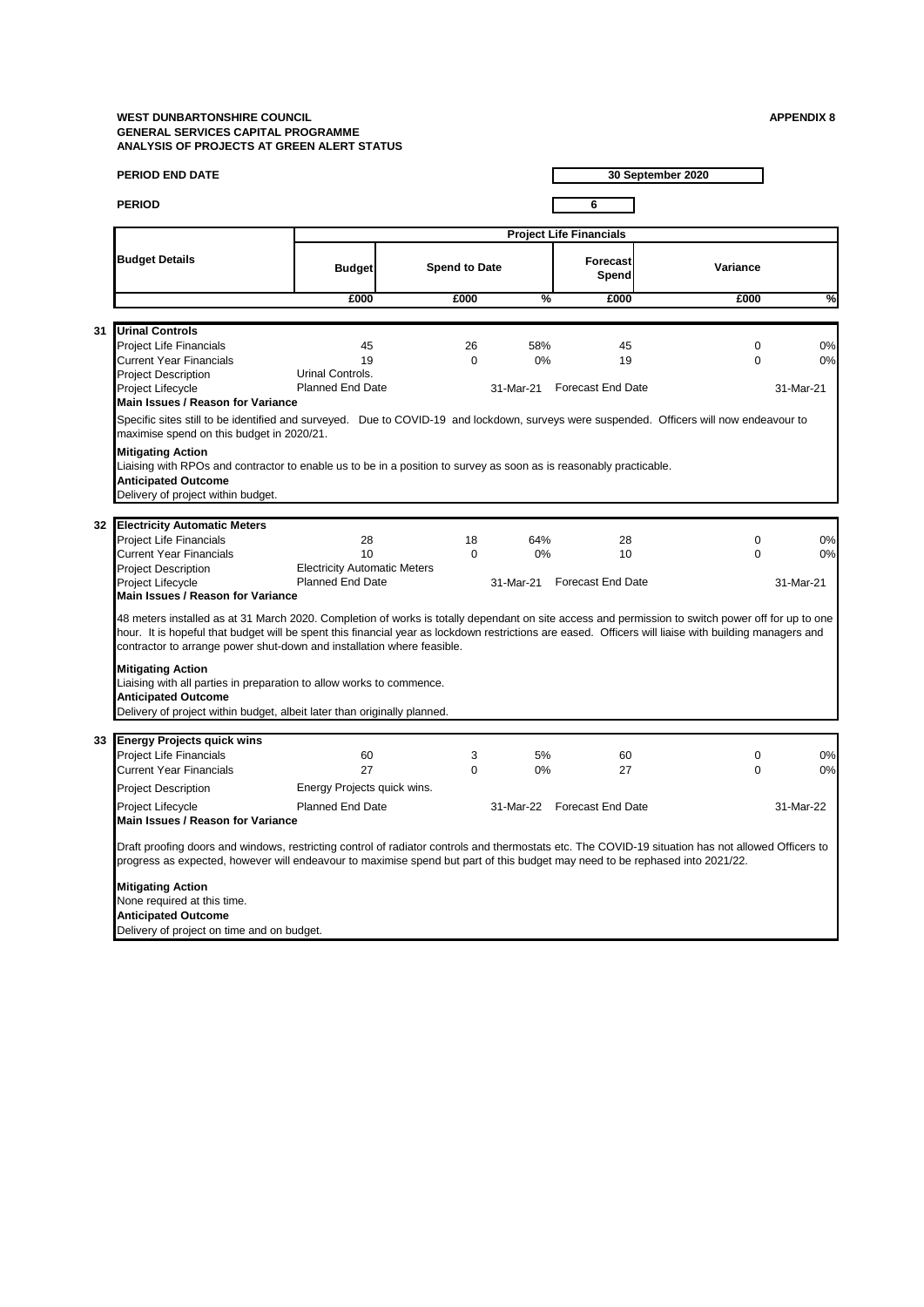| <b>PERIOD</b><br>6<br><b>Project Life Financials</b><br><b>Budget Details</b><br><b>Forecast</b><br><b>Spend to Date</b><br>Variance<br><b>Budget</b><br>Spend<br>%<br>£000<br>£000<br>£000<br>£000<br><b>Urinal Controls</b><br>31<br><b>Project Life Financials</b><br>45<br>26<br>58%<br>45<br>0<br><b>Current Year Financials</b><br>19<br>$\Omega$<br>0%<br>19<br>$\Omega$<br>Urinal Controls.<br><b>Project Description</b><br>Project Lifecycle<br>Planned End Date<br>31-Mar-21<br>Forecast End Date<br>31-Mar-21<br>Main Issues / Reason for Variance<br>Specific sites still to be identified and surveyed. Due to COVID-19 and lockdown, surveys were suspended. Officers will now endeavour to<br>maximise spend on this budget in 2020/21.<br><b>Mitigating Action</b><br>Liaising with RPOs and contractor to enable us to be in a position to survey as soon as is reasonably practicable.<br><b>Anticipated Outcome</b><br>Delivery of project within budget.<br>32 Electricity Automatic Meters<br>Project Life Financials<br>28<br>18<br>64%<br>28<br>0<br><b>Current Year Financials</b><br>10<br>$\Omega$<br>0%<br>10<br>$\Omega$<br><b>Project Description</b><br><b>Electricity Automatic Meters</b><br><b>Planned End Date</b><br>Project Lifecycle<br>31-Mar-21<br><b>Forecast End Date</b><br>Main Issues / Reason for Variance<br>48 meters installed as at 31 March 2020. Completion of works is totally dependant on site access and permission to switch power off for up to one<br>hour. It is hopeful that budget will be spent this financial year as lockdown restrictions are eased. Officers will liaise with building managers and<br>contractor to arrange power shut-down and installation where feasible.<br><b>Mitigating Action</b><br>Liaising with all parties in preparation to allow works to commence.<br><b>Anticipated Outcome</b><br>Delivery of project within budget, albeit later than originally planned.<br>33 Energy Projects quick wins<br><b>Project Life Financials</b><br>60<br>3<br>5%<br>60<br>0<br><b>Current Year Financials</b><br>27<br>$\Omega$<br>0%<br>27<br>$\Omega$<br>Energy Projects quick wins.<br><b>Project Description</b><br><b>Planned End Date</b><br>31-Mar-22 Forecast End Date<br>Project Lifecycle<br>Main Issues / Reason for Variance<br>Draft proofing doors and windows, restricting control of radiator controls and thermostats etc. The COVID-19 situation has not allowed Officers to<br>progress as expected, however will endeavour to maximise spend but part of this budget may need to be rephased into 2021/22.<br><b>Mitigating Action</b><br>None required at this time.<br><b>Anticipated Outcome</b> | <b>PERIOD END DATE</b>                     |  |  | 30 September 2020 |           |
|-----------------------------------------------------------------------------------------------------------------------------------------------------------------------------------------------------------------------------------------------------------------------------------------------------------------------------------------------------------------------------------------------------------------------------------------------------------------------------------------------------------------------------------------------------------------------------------------------------------------------------------------------------------------------------------------------------------------------------------------------------------------------------------------------------------------------------------------------------------------------------------------------------------------------------------------------------------------------------------------------------------------------------------------------------------------------------------------------------------------------------------------------------------------------------------------------------------------------------------------------------------------------------------------------------------------------------------------------------------------------------------------------------------------------------------------------------------------------------------------------------------------------------------------------------------------------------------------------------------------------------------------------------------------------------------------------------------------------------------------------------------------------------------------------------------------------------------------------------------------------------------------------------------------------------------------------------------------------------------------------------------------------------------------------------------------------------------------------------------------------------------------------------------------------------------------------------------------------------------------------------------------------------------------------------------------------------------------------------------------------------------------------------------------------------------------------------------------------------------------------------------------------------------------------------------------------------------------------------------------------------------------------------------------------------------------------------------|--------------------------------------------|--|--|-------------------|-----------|
|                                                                                                                                                                                                                                                                                                                                                                                                                                                                                                                                                                                                                                                                                                                                                                                                                                                                                                                                                                                                                                                                                                                                                                                                                                                                                                                                                                                                                                                                                                                                                                                                                                                                                                                                                                                                                                                                                                                                                                                                                                                                                                                                                                                                                                                                                                                                                                                                                                                                                                                                                                                                                                                                                                           |                                            |  |  |                   |           |
|                                                                                                                                                                                                                                                                                                                                                                                                                                                                                                                                                                                                                                                                                                                                                                                                                                                                                                                                                                                                                                                                                                                                                                                                                                                                                                                                                                                                                                                                                                                                                                                                                                                                                                                                                                                                                                                                                                                                                                                                                                                                                                                                                                                                                                                                                                                                                                                                                                                                                                                                                                                                                                                                                                           |                                            |  |  |                   |           |
|                                                                                                                                                                                                                                                                                                                                                                                                                                                                                                                                                                                                                                                                                                                                                                                                                                                                                                                                                                                                                                                                                                                                                                                                                                                                                                                                                                                                                                                                                                                                                                                                                                                                                                                                                                                                                                                                                                                                                                                                                                                                                                                                                                                                                                                                                                                                                                                                                                                                                                                                                                                                                                                                                                           |                                            |  |  |                   |           |
|                                                                                                                                                                                                                                                                                                                                                                                                                                                                                                                                                                                                                                                                                                                                                                                                                                                                                                                                                                                                                                                                                                                                                                                                                                                                                                                                                                                                                                                                                                                                                                                                                                                                                                                                                                                                                                                                                                                                                                                                                                                                                                                                                                                                                                                                                                                                                                                                                                                                                                                                                                                                                                                                                                           |                                            |  |  |                   | %         |
|                                                                                                                                                                                                                                                                                                                                                                                                                                                                                                                                                                                                                                                                                                                                                                                                                                                                                                                                                                                                                                                                                                                                                                                                                                                                                                                                                                                                                                                                                                                                                                                                                                                                                                                                                                                                                                                                                                                                                                                                                                                                                                                                                                                                                                                                                                                                                                                                                                                                                                                                                                                                                                                                                                           |                                            |  |  |                   |           |
|                                                                                                                                                                                                                                                                                                                                                                                                                                                                                                                                                                                                                                                                                                                                                                                                                                                                                                                                                                                                                                                                                                                                                                                                                                                                                                                                                                                                                                                                                                                                                                                                                                                                                                                                                                                                                                                                                                                                                                                                                                                                                                                                                                                                                                                                                                                                                                                                                                                                                                                                                                                                                                                                                                           |                                            |  |  |                   |           |
|                                                                                                                                                                                                                                                                                                                                                                                                                                                                                                                                                                                                                                                                                                                                                                                                                                                                                                                                                                                                                                                                                                                                                                                                                                                                                                                                                                                                                                                                                                                                                                                                                                                                                                                                                                                                                                                                                                                                                                                                                                                                                                                                                                                                                                                                                                                                                                                                                                                                                                                                                                                                                                                                                                           |                                            |  |  |                   | 0%        |
|                                                                                                                                                                                                                                                                                                                                                                                                                                                                                                                                                                                                                                                                                                                                                                                                                                                                                                                                                                                                                                                                                                                                                                                                                                                                                                                                                                                                                                                                                                                                                                                                                                                                                                                                                                                                                                                                                                                                                                                                                                                                                                                                                                                                                                                                                                                                                                                                                                                                                                                                                                                                                                                                                                           |                                            |  |  |                   | 0%        |
|                                                                                                                                                                                                                                                                                                                                                                                                                                                                                                                                                                                                                                                                                                                                                                                                                                                                                                                                                                                                                                                                                                                                                                                                                                                                                                                                                                                                                                                                                                                                                                                                                                                                                                                                                                                                                                                                                                                                                                                                                                                                                                                                                                                                                                                                                                                                                                                                                                                                                                                                                                                                                                                                                                           |                                            |  |  |                   |           |
|                                                                                                                                                                                                                                                                                                                                                                                                                                                                                                                                                                                                                                                                                                                                                                                                                                                                                                                                                                                                                                                                                                                                                                                                                                                                                                                                                                                                                                                                                                                                                                                                                                                                                                                                                                                                                                                                                                                                                                                                                                                                                                                                                                                                                                                                                                                                                                                                                                                                                                                                                                                                                                                                                                           |                                            |  |  |                   |           |
|                                                                                                                                                                                                                                                                                                                                                                                                                                                                                                                                                                                                                                                                                                                                                                                                                                                                                                                                                                                                                                                                                                                                                                                                                                                                                                                                                                                                                                                                                                                                                                                                                                                                                                                                                                                                                                                                                                                                                                                                                                                                                                                                                                                                                                                                                                                                                                                                                                                                                                                                                                                                                                                                                                           |                                            |  |  |                   |           |
|                                                                                                                                                                                                                                                                                                                                                                                                                                                                                                                                                                                                                                                                                                                                                                                                                                                                                                                                                                                                                                                                                                                                                                                                                                                                                                                                                                                                                                                                                                                                                                                                                                                                                                                                                                                                                                                                                                                                                                                                                                                                                                                                                                                                                                                                                                                                                                                                                                                                                                                                                                                                                                                                                                           |                                            |  |  |                   |           |
|                                                                                                                                                                                                                                                                                                                                                                                                                                                                                                                                                                                                                                                                                                                                                                                                                                                                                                                                                                                                                                                                                                                                                                                                                                                                                                                                                                                                                                                                                                                                                                                                                                                                                                                                                                                                                                                                                                                                                                                                                                                                                                                                                                                                                                                                                                                                                                                                                                                                                                                                                                                                                                                                                                           |                                            |  |  |                   |           |
|                                                                                                                                                                                                                                                                                                                                                                                                                                                                                                                                                                                                                                                                                                                                                                                                                                                                                                                                                                                                                                                                                                                                                                                                                                                                                                                                                                                                                                                                                                                                                                                                                                                                                                                                                                                                                                                                                                                                                                                                                                                                                                                                                                                                                                                                                                                                                                                                                                                                                                                                                                                                                                                                                                           |                                            |  |  |                   |           |
|                                                                                                                                                                                                                                                                                                                                                                                                                                                                                                                                                                                                                                                                                                                                                                                                                                                                                                                                                                                                                                                                                                                                                                                                                                                                                                                                                                                                                                                                                                                                                                                                                                                                                                                                                                                                                                                                                                                                                                                                                                                                                                                                                                                                                                                                                                                                                                                                                                                                                                                                                                                                                                                                                                           |                                            |  |  |                   |           |
|                                                                                                                                                                                                                                                                                                                                                                                                                                                                                                                                                                                                                                                                                                                                                                                                                                                                                                                                                                                                                                                                                                                                                                                                                                                                                                                                                                                                                                                                                                                                                                                                                                                                                                                                                                                                                                                                                                                                                                                                                                                                                                                                                                                                                                                                                                                                                                                                                                                                                                                                                                                                                                                                                                           |                                            |  |  |                   |           |
|                                                                                                                                                                                                                                                                                                                                                                                                                                                                                                                                                                                                                                                                                                                                                                                                                                                                                                                                                                                                                                                                                                                                                                                                                                                                                                                                                                                                                                                                                                                                                                                                                                                                                                                                                                                                                                                                                                                                                                                                                                                                                                                                                                                                                                                                                                                                                                                                                                                                                                                                                                                                                                                                                                           |                                            |  |  |                   |           |
|                                                                                                                                                                                                                                                                                                                                                                                                                                                                                                                                                                                                                                                                                                                                                                                                                                                                                                                                                                                                                                                                                                                                                                                                                                                                                                                                                                                                                                                                                                                                                                                                                                                                                                                                                                                                                                                                                                                                                                                                                                                                                                                                                                                                                                                                                                                                                                                                                                                                                                                                                                                                                                                                                                           |                                            |  |  |                   | 0%        |
|                                                                                                                                                                                                                                                                                                                                                                                                                                                                                                                                                                                                                                                                                                                                                                                                                                                                                                                                                                                                                                                                                                                                                                                                                                                                                                                                                                                                                                                                                                                                                                                                                                                                                                                                                                                                                                                                                                                                                                                                                                                                                                                                                                                                                                                                                                                                                                                                                                                                                                                                                                                                                                                                                                           |                                            |  |  |                   | 0%        |
|                                                                                                                                                                                                                                                                                                                                                                                                                                                                                                                                                                                                                                                                                                                                                                                                                                                                                                                                                                                                                                                                                                                                                                                                                                                                                                                                                                                                                                                                                                                                                                                                                                                                                                                                                                                                                                                                                                                                                                                                                                                                                                                                                                                                                                                                                                                                                                                                                                                                                                                                                                                                                                                                                                           |                                            |  |  |                   |           |
|                                                                                                                                                                                                                                                                                                                                                                                                                                                                                                                                                                                                                                                                                                                                                                                                                                                                                                                                                                                                                                                                                                                                                                                                                                                                                                                                                                                                                                                                                                                                                                                                                                                                                                                                                                                                                                                                                                                                                                                                                                                                                                                                                                                                                                                                                                                                                                                                                                                                                                                                                                                                                                                                                                           |                                            |  |  |                   | 31-Mar-21 |
|                                                                                                                                                                                                                                                                                                                                                                                                                                                                                                                                                                                                                                                                                                                                                                                                                                                                                                                                                                                                                                                                                                                                                                                                                                                                                                                                                                                                                                                                                                                                                                                                                                                                                                                                                                                                                                                                                                                                                                                                                                                                                                                                                                                                                                                                                                                                                                                                                                                                                                                                                                                                                                                                                                           |                                            |  |  |                   |           |
|                                                                                                                                                                                                                                                                                                                                                                                                                                                                                                                                                                                                                                                                                                                                                                                                                                                                                                                                                                                                                                                                                                                                                                                                                                                                                                                                                                                                                                                                                                                                                                                                                                                                                                                                                                                                                                                                                                                                                                                                                                                                                                                                                                                                                                                                                                                                                                                                                                                                                                                                                                                                                                                                                                           |                                            |  |  |                   |           |
|                                                                                                                                                                                                                                                                                                                                                                                                                                                                                                                                                                                                                                                                                                                                                                                                                                                                                                                                                                                                                                                                                                                                                                                                                                                                                                                                                                                                                                                                                                                                                                                                                                                                                                                                                                                                                                                                                                                                                                                                                                                                                                                                                                                                                                                                                                                                                                                                                                                                                                                                                                                                                                                                                                           |                                            |  |  |                   |           |
|                                                                                                                                                                                                                                                                                                                                                                                                                                                                                                                                                                                                                                                                                                                                                                                                                                                                                                                                                                                                                                                                                                                                                                                                                                                                                                                                                                                                                                                                                                                                                                                                                                                                                                                                                                                                                                                                                                                                                                                                                                                                                                                                                                                                                                                                                                                                                                                                                                                                                                                                                                                                                                                                                                           |                                            |  |  |                   |           |
|                                                                                                                                                                                                                                                                                                                                                                                                                                                                                                                                                                                                                                                                                                                                                                                                                                                                                                                                                                                                                                                                                                                                                                                                                                                                                                                                                                                                                                                                                                                                                                                                                                                                                                                                                                                                                                                                                                                                                                                                                                                                                                                                                                                                                                                                                                                                                                                                                                                                                                                                                                                                                                                                                                           |                                            |  |  |                   |           |
|                                                                                                                                                                                                                                                                                                                                                                                                                                                                                                                                                                                                                                                                                                                                                                                                                                                                                                                                                                                                                                                                                                                                                                                                                                                                                                                                                                                                                                                                                                                                                                                                                                                                                                                                                                                                                                                                                                                                                                                                                                                                                                                                                                                                                                                                                                                                                                                                                                                                                                                                                                                                                                                                                                           |                                            |  |  |                   |           |
|                                                                                                                                                                                                                                                                                                                                                                                                                                                                                                                                                                                                                                                                                                                                                                                                                                                                                                                                                                                                                                                                                                                                                                                                                                                                                                                                                                                                                                                                                                                                                                                                                                                                                                                                                                                                                                                                                                                                                                                                                                                                                                                                                                                                                                                                                                                                                                                                                                                                                                                                                                                                                                                                                                           |                                            |  |  |                   |           |
|                                                                                                                                                                                                                                                                                                                                                                                                                                                                                                                                                                                                                                                                                                                                                                                                                                                                                                                                                                                                                                                                                                                                                                                                                                                                                                                                                                                                                                                                                                                                                                                                                                                                                                                                                                                                                                                                                                                                                                                                                                                                                                                                                                                                                                                                                                                                                                                                                                                                                                                                                                                                                                                                                                           |                                            |  |  |                   |           |
|                                                                                                                                                                                                                                                                                                                                                                                                                                                                                                                                                                                                                                                                                                                                                                                                                                                                                                                                                                                                                                                                                                                                                                                                                                                                                                                                                                                                                                                                                                                                                                                                                                                                                                                                                                                                                                                                                                                                                                                                                                                                                                                                                                                                                                                                                                                                                                                                                                                                                                                                                                                                                                                                                                           |                                            |  |  |                   | 0%        |
|                                                                                                                                                                                                                                                                                                                                                                                                                                                                                                                                                                                                                                                                                                                                                                                                                                                                                                                                                                                                                                                                                                                                                                                                                                                                                                                                                                                                                                                                                                                                                                                                                                                                                                                                                                                                                                                                                                                                                                                                                                                                                                                                                                                                                                                                                                                                                                                                                                                                                                                                                                                                                                                                                                           |                                            |  |  |                   | 0%        |
|                                                                                                                                                                                                                                                                                                                                                                                                                                                                                                                                                                                                                                                                                                                                                                                                                                                                                                                                                                                                                                                                                                                                                                                                                                                                                                                                                                                                                                                                                                                                                                                                                                                                                                                                                                                                                                                                                                                                                                                                                                                                                                                                                                                                                                                                                                                                                                                                                                                                                                                                                                                                                                                                                                           |                                            |  |  |                   |           |
|                                                                                                                                                                                                                                                                                                                                                                                                                                                                                                                                                                                                                                                                                                                                                                                                                                                                                                                                                                                                                                                                                                                                                                                                                                                                                                                                                                                                                                                                                                                                                                                                                                                                                                                                                                                                                                                                                                                                                                                                                                                                                                                                                                                                                                                                                                                                                                                                                                                                                                                                                                                                                                                                                                           |                                            |  |  |                   | 31-Mar-22 |
|                                                                                                                                                                                                                                                                                                                                                                                                                                                                                                                                                                                                                                                                                                                                                                                                                                                                                                                                                                                                                                                                                                                                                                                                                                                                                                                                                                                                                                                                                                                                                                                                                                                                                                                                                                                                                                                                                                                                                                                                                                                                                                                                                                                                                                                                                                                                                                                                                                                                                                                                                                                                                                                                                                           |                                            |  |  |                   |           |
|                                                                                                                                                                                                                                                                                                                                                                                                                                                                                                                                                                                                                                                                                                                                                                                                                                                                                                                                                                                                                                                                                                                                                                                                                                                                                                                                                                                                                                                                                                                                                                                                                                                                                                                                                                                                                                                                                                                                                                                                                                                                                                                                                                                                                                                                                                                                                                                                                                                                                                                                                                                                                                                                                                           |                                            |  |  |                   |           |
|                                                                                                                                                                                                                                                                                                                                                                                                                                                                                                                                                                                                                                                                                                                                                                                                                                                                                                                                                                                                                                                                                                                                                                                                                                                                                                                                                                                                                                                                                                                                                                                                                                                                                                                                                                                                                                                                                                                                                                                                                                                                                                                                                                                                                                                                                                                                                                                                                                                                                                                                                                                                                                                                                                           |                                            |  |  |                   |           |
|                                                                                                                                                                                                                                                                                                                                                                                                                                                                                                                                                                                                                                                                                                                                                                                                                                                                                                                                                                                                                                                                                                                                                                                                                                                                                                                                                                                                                                                                                                                                                                                                                                                                                                                                                                                                                                                                                                                                                                                                                                                                                                                                                                                                                                                                                                                                                                                                                                                                                                                                                                                                                                                                                                           |                                            |  |  |                   |           |
|                                                                                                                                                                                                                                                                                                                                                                                                                                                                                                                                                                                                                                                                                                                                                                                                                                                                                                                                                                                                                                                                                                                                                                                                                                                                                                                                                                                                                                                                                                                                                                                                                                                                                                                                                                                                                                                                                                                                                                                                                                                                                                                                                                                                                                                                                                                                                                                                                                                                                                                                                                                                                                                                                                           |                                            |  |  |                   |           |
|                                                                                                                                                                                                                                                                                                                                                                                                                                                                                                                                                                                                                                                                                                                                                                                                                                                                                                                                                                                                                                                                                                                                                                                                                                                                                                                                                                                                                                                                                                                                                                                                                                                                                                                                                                                                                                                                                                                                                                                                                                                                                                                                                                                                                                                                                                                                                                                                                                                                                                                                                                                                                                                                                                           | Delivery of project on time and on budget. |  |  |                   |           |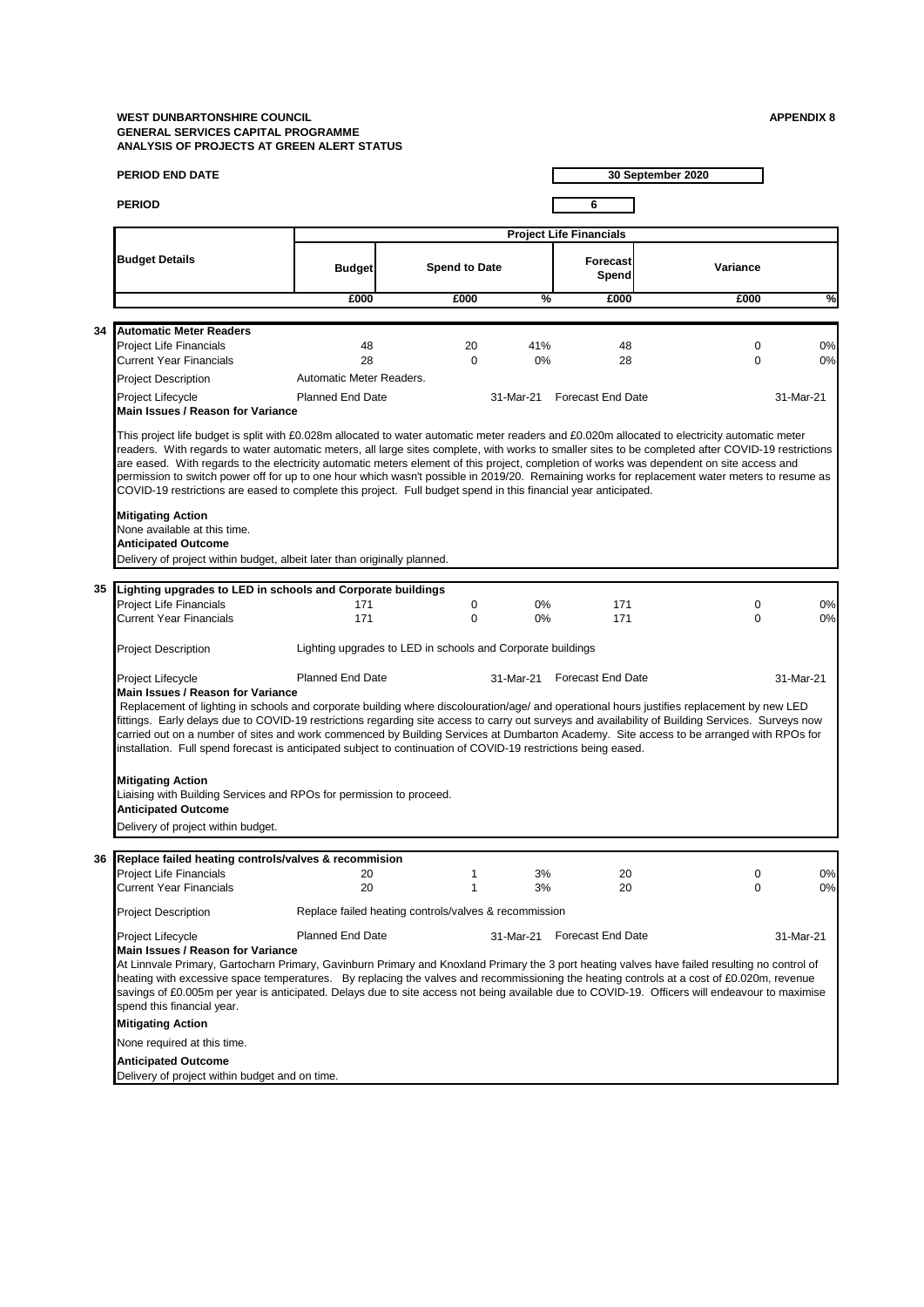|    | <b>PERIOD END DATE</b>                                                                                                                                                                                                                                                                                                                                                                                                                                                                                                                                                                                                                                                                                                |                                                             |                      |           |                                | 30 September 2020 |           |
|----|-----------------------------------------------------------------------------------------------------------------------------------------------------------------------------------------------------------------------------------------------------------------------------------------------------------------------------------------------------------------------------------------------------------------------------------------------------------------------------------------------------------------------------------------------------------------------------------------------------------------------------------------------------------------------------------------------------------------------|-------------------------------------------------------------|----------------------|-----------|--------------------------------|-------------------|-----------|
|    | <b>PERIOD</b>                                                                                                                                                                                                                                                                                                                                                                                                                                                                                                                                                                                                                                                                                                         |                                                             |                      |           | 6                              |                   |           |
|    |                                                                                                                                                                                                                                                                                                                                                                                                                                                                                                                                                                                                                                                                                                                       |                                                             |                      |           | <b>Project Life Financials</b> |                   |           |
|    | <b>Budget Details</b>                                                                                                                                                                                                                                                                                                                                                                                                                                                                                                                                                                                                                                                                                                 | <b>Budget</b>                                               | <b>Spend to Date</b> |           | Forecast<br>Spend              | Variance          |           |
|    |                                                                                                                                                                                                                                                                                                                                                                                                                                                                                                                                                                                                                                                                                                                       | £000                                                        | £000                 | %         | £000                           | £000              | %         |
|    |                                                                                                                                                                                                                                                                                                                                                                                                                                                                                                                                                                                                                                                                                                                       |                                                             |                      |           |                                |                   |           |
| 34 | <b>Automatic Meter Readers</b><br><b>Project Life Financials</b>                                                                                                                                                                                                                                                                                                                                                                                                                                                                                                                                                                                                                                                      | 48                                                          | 20                   | 41%       | 48                             | $\mathbf 0$       | 0%        |
|    | <b>Current Year Financials</b>                                                                                                                                                                                                                                                                                                                                                                                                                                                                                                                                                                                                                                                                                        | 28                                                          | $\Omega$             | 0%        | 28                             | $\Omega$          | 0%        |
|    | <b>Project Description</b>                                                                                                                                                                                                                                                                                                                                                                                                                                                                                                                                                                                                                                                                                            | Automatic Meter Readers.                                    |                      |           |                                |                   |           |
|    | Project Lifecycle                                                                                                                                                                                                                                                                                                                                                                                                                                                                                                                                                                                                                                                                                                     | <b>Planned End Date</b>                                     |                      |           | 31-Mar-21 Forecast End Date    |                   | 31-Mar-21 |
|    | Main Issues / Reason for Variance                                                                                                                                                                                                                                                                                                                                                                                                                                                                                                                                                                                                                                                                                     |                                                             |                      |           |                                |                   |           |
|    | This project life budget is split with £0.028m allocated to water automatic meter readers and £0.020m allocated to electricity automatic meter<br>readers. With regards to water automatic meters, all large sites complete, with works to smaller sites to be completed after COVID-19 restrictions<br>are eased. With regards to the electricity automatic meters element of this project, completion of works was dependent on site access and<br>permission to switch power off for up to one hour which wasn't possible in 2019/20. Remaining works for replacement water meters to resume as<br>COVID-19 restrictions are eased to complete this project. Full budget spend in this financial year anticipated. |                                                             |                      |           |                                |                   |           |
|    | <b>Mitigating Action</b><br>None available at this time.<br><b>Anticipated Outcome</b><br>Delivery of project within budget, albeit later than originally planned.                                                                                                                                                                                                                                                                                                                                                                                                                                                                                                                                                    |                                                             |                      |           |                                |                   |           |
|    |                                                                                                                                                                                                                                                                                                                                                                                                                                                                                                                                                                                                                                                                                                                       |                                                             |                      |           |                                |                   |           |
|    | 35 Lighting upgrades to LED in schools and Corporate buildings<br><b>Project Life Financials</b>                                                                                                                                                                                                                                                                                                                                                                                                                                                                                                                                                                                                                      | 171                                                         | 0                    | $0\%$     | 171                            | $\mathbf 0$       | 0%        |
|    | <b>Current Year Financials</b>                                                                                                                                                                                                                                                                                                                                                                                                                                                                                                                                                                                                                                                                                        | 171                                                         | $\Omega$             | $0\%$     | 171                            | $\Omega$          | 0%        |
|    | <b>Project Description</b>                                                                                                                                                                                                                                                                                                                                                                                                                                                                                                                                                                                                                                                                                            | Lighting upgrades to LED in schools and Corporate buildings |                      |           |                                |                   |           |
|    | Project Lifecycle<br>Main Issues / Reason for Variance<br>Replacement of lighting in schools and corporate building where discolouration/age/ and operational hours justifies replacement by new LED<br>fittings. Early delays due to COVID-19 restrictions regarding site access to carry out surveys and availability of Building Services. Surveys now<br>carried out on a number of sites and work commenced by Building Services at Dumbarton Academy. Site access to be arranged with RPOs for<br>installation. Full spend forecast is anticipated subject to continuation of COVID-19 restrictions being eased.                                                                                                | <b>Planned End Date</b>                                     |                      |           | 31-Mar-21 Forecast End Date    |                   | 31-Mar-21 |
|    | <b>Mitigating Action</b><br>Liaising with Building Services and RPOs for permission to proceed.<br><b>Anticipated Outcome</b><br>Delivery of project within budget.                                                                                                                                                                                                                                                                                                                                                                                                                                                                                                                                                   |                                                             |                      |           |                                |                   |           |
| 36 | Replace failed heating controls/valves & recommision                                                                                                                                                                                                                                                                                                                                                                                                                                                                                                                                                                                                                                                                  |                                                             |                      |           |                                |                   |           |
|    | <b>Project Life Financials</b><br><b>Current Year Financials</b>                                                                                                                                                                                                                                                                                                                                                                                                                                                                                                                                                                                                                                                      | 20<br>20                                                    | 1<br>1               | 3%<br>3%  | 20<br>20                       | 0<br>0            | 0%<br>0%  |
|    | <b>Project Description</b>                                                                                                                                                                                                                                                                                                                                                                                                                                                                                                                                                                                                                                                                                            | Replace failed heating controls/valves & recommission       |                      |           |                                |                   |           |
|    | Project Lifecycle<br>Main Issues / Reason for Variance<br>At Linnvale Primary, Gartocharn Primary, Gavinburn Primary and Knoxland Primary the 3 port heating valves have failed resulting no control of<br>heating with excessive space temperatures. By replacing the valves and recommissioning the heating controls at a cost of £0.020m, revenue<br>savings of £0.005m per year is anticipated. Delays due to site access not being available due to COVID-19. Officers will endeavour to maximise<br>spend this financial year.<br><b>Mitigating Action</b>                                                                                                                                                      | Planned End Date                                            |                      | 31-Mar-21 | <b>Forecast End Date</b>       |                   | 31-Mar-21 |
|    | None required at this time.                                                                                                                                                                                                                                                                                                                                                                                                                                                                                                                                                                                                                                                                                           |                                                             |                      |           |                                |                   |           |
|    | <b>Anticipated Outcome</b><br>Delivery of project within budget and on time.                                                                                                                                                                                                                                                                                                                                                                                                                                                                                                                                                                                                                                          |                                                             |                      |           |                                |                   |           |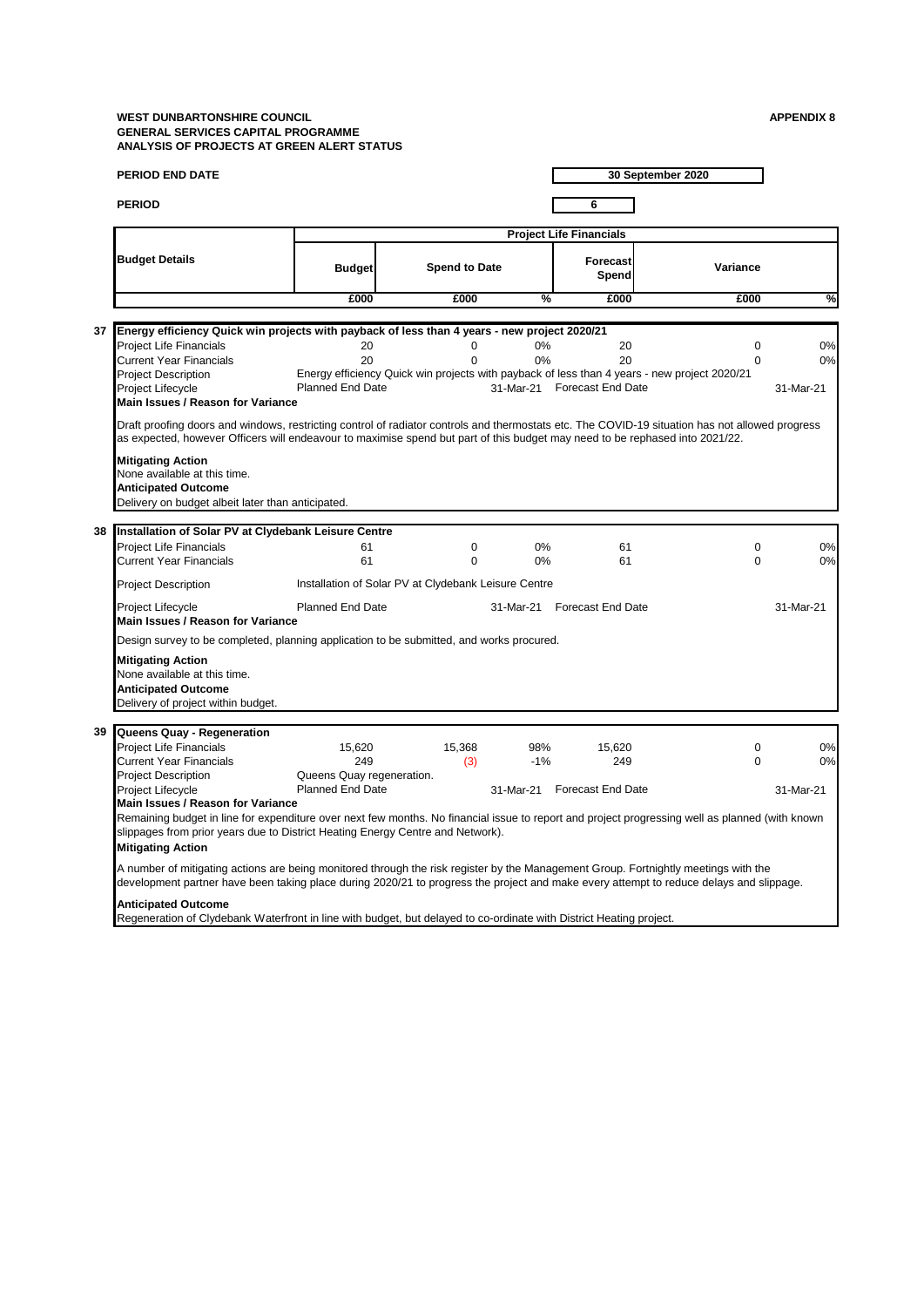|    | <b>PERIOD END DATE</b>                                                                                                                                                                                                                                                                             |                                            |                                                      |                       |                                      | 30 September 2020                                                                                                       |                       |
|----|----------------------------------------------------------------------------------------------------------------------------------------------------------------------------------------------------------------------------------------------------------------------------------------------------|--------------------------------------------|------------------------------------------------------|-----------------------|--------------------------------------|-------------------------------------------------------------------------------------------------------------------------|-----------------------|
|    | <b>PERIOD</b>                                                                                                                                                                                                                                                                                      |                                            |                                                      |                       | 6                                    |                                                                                                                         |                       |
|    |                                                                                                                                                                                                                                                                                                    |                                            |                                                      |                       | <b>Project Life Financials</b>       |                                                                                                                         |                       |
|    | <b>Budget Details</b>                                                                                                                                                                                                                                                                              | <b>Budget</b>                              | <b>Spend to Date</b>                                 |                       | <b>Forecast</b><br>Spend             | Variance                                                                                                                |                       |
|    |                                                                                                                                                                                                                                                                                                    | £000                                       | £000                                                 | %                     | £000                                 | £000                                                                                                                    | %                     |
|    |                                                                                                                                                                                                                                                                                                    |                                            |                                                      |                       |                                      |                                                                                                                         |                       |
| 37 | Energy efficiency Quick win projects with payback of less than 4 years - new project 2020/21<br><b>Project Life Financials</b><br><b>Current Year Financials</b><br><b>Project Description</b><br><b>Project Lifecycle</b>                                                                         | 20<br>20<br><b>Planned End Date</b>        | $\mathbf 0$<br>$\Omega$                              | 0%<br>0%<br>31-Mar-21 | 20<br>20<br><b>Forecast End Date</b> | $\mathbf 0$<br>$\Omega$<br>Energy efficiency Quick win projects with payback of less than 4 years - new project 2020/21 | 0%<br>0%<br>31-Mar-21 |
|    | Main Issues / Reason for Variance                                                                                                                                                                                                                                                                  |                                            |                                                      |                       |                                      |                                                                                                                         |                       |
|    | Draft proofing doors and windows, restricting control of radiator controls and thermostats etc. The COVID-19 situation has not allowed progress<br>as expected, however Officers will endeavour to maximise spend but part of this budget may need to be rephased into 2021/22.                    |                                            |                                                      |                       |                                      |                                                                                                                         |                       |
|    | <b>Mitigating Action</b><br>None available at this time.<br><b>Anticipated Outcome</b><br>Delivery on budget albeit later than anticipated.                                                                                                                                                        |                                            |                                                      |                       |                                      |                                                                                                                         |                       |
| 38 | Installation of Solar PV at Clydebank Leisure Centre                                                                                                                                                                                                                                               |                                            |                                                      |                       |                                      |                                                                                                                         |                       |
|    | <b>Project Life Financials</b><br><b>Current Year Financials</b>                                                                                                                                                                                                                                   | 61<br>61                                   | 0<br>$\Omega$                                        | 0%<br>0%              | 61<br>61                             | $\Omega$<br>$\Omega$                                                                                                    | 0%<br>0%              |
|    | <b>Project Description</b>                                                                                                                                                                                                                                                                         |                                            | Installation of Solar PV at Clydebank Leisure Centre |                       |                                      |                                                                                                                         |                       |
|    | Project Lifecycle<br>Main Issues / Reason for Variance                                                                                                                                                                                                                                             | <b>Planned End Date</b>                    |                                                      |                       | 31-Mar-21 Forecast End Date          |                                                                                                                         | 31-Mar-21             |
|    | Design survey to be completed, planning application to be submitted, and works procured.                                                                                                                                                                                                           |                                            |                                                      |                       |                                      |                                                                                                                         |                       |
|    | <b>Mitigating Action</b><br>None available at this time.<br><b>Anticipated Outcome</b><br>Delivery of project within budget.                                                                                                                                                                       |                                            |                                                      |                       |                                      |                                                                                                                         |                       |
| 39 | Queens Quay - Regeneration                                                                                                                                                                                                                                                                         |                                            |                                                      |                       |                                      |                                                                                                                         |                       |
|    | <b>Project Life Financials</b><br><b>Current Year Financials</b>                                                                                                                                                                                                                                   | 15,620<br>249<br>Queens Quay regeneration. | 15,368<br>(3)                                        | 98%<br>$-1%$          | 15,620<br>249                        | $\mathbf 0$<br>$\mathbf 0$                                                                                              | 0%<br>0%              |
|    | <b>Project Description</b><br>Project Lifecycle                                                                                                                                                                                                                                                    | <b>Planned End Date</b>                    |                                                      | 31-Mar-21             | <b>Forecast End Date</b>             |                                                                                                                         | 31-Mar-21             |
|    | Main Issues / Reason for Variance<br>Remaining budget in line for expenditure over next few months. No financial issue to report and project progressing well as planned (with known<br>slippages from prior years due to District Heating Energy Centre and Network).<br><b>Mitigating Action</b> |                                            |                                                      |                       |                                      |                                                                                                                         |                       |
|    | A number of mitigating actions are being monitored through the risk register by the Management Group. Fortnightly meetings with the<br>development partner have been taking place during 2020/21 to progress the project and make every attempt to reduce delays and slippage.                     |                                            |                                                      |                       |                                      |                                                                                                                         |                       |
|    | <b>Anticipated Outcome</b><br>Regeneration of Clydebank Waterfront in line with budget, but delayed to co-ordinate with District Heating project.                                                                                                                                                  |                                            |                                                      |                       |                                      |                                                                                                                         |                       |